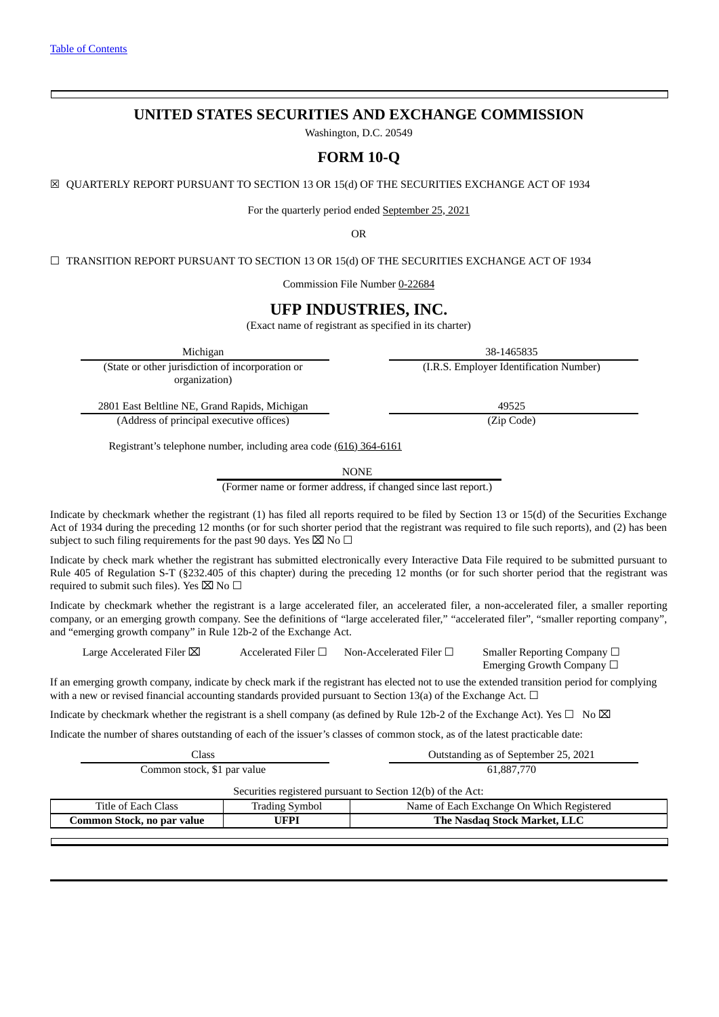# **UNITED STATES SECURITIES AND EXCHANGE COMMISSION**

Washington, D.C. 20549

# **FORM 10-Q**

☒ QUARTERLY REPORT PURSUANT TO SECTION 13 OR 15(d) OF THE SECURITIES EXCHANGE ACT OF 1934

For the quarterly period ended September 25, 2021

OR

☐ TRANSITION REPORT PURSUANT TO SECTION 13 OR 15(d) OF THE SECURITIES EXCHANGE ACT OF 1934

Commission File Number 0-22684

# **UFP INDUSTRIES, INC.**

(Exact name of registrant as specified in its charter)

Michigan 38-1465835

(State or other jurisdiction of incorporation or (I.R.S. Employer Identification Number) organization)

2801 East Beltline NE, Grand Rapids, Michigan 49525

(Address of principal executive offices) (Zip Code)

Registrant's telephone number, including area code (616) 364-6161

**NONE** 

(Former name or former address, if changed since last report.)

Indicate by checkmark whether the registrant (1) has filed all reports required to be filed by Section 13 or 15(d) of the Securities Exchange Act of 1934 during the preceding 12 months (or for such shorter period that the registrant was required to file such reports), and (2) has been subject to such filing requirements for the past 90 days. Yes  $\boxtimes$  No  $\Box$ 

Indicate by check mark whether the registrant has submitted electronically every Interactive Data File required to be submitted pursuant to Rule 405 of Regulation S-T (§232.405 of this chapter) during the preceding 12 months (or for such shorter period that the registrant was required to submit such files). Yes  $\boxtimes$  No  $\Box$ 

Indicate by checkmark whether the registrant is a large accelerated filer, an accelerated filer, a non-accelerated filer, a smaller reporting company, or an emerging growth company. See the definitions of "large accelerated filer," "accelerated filer", "smaller reporting company", and "emerging growth company" in Rule 12b-2 of the Exchange Act.

Large Accelerated Filer ⊠ Accelerated Filer □ Non-Accelerated Filer □ Smaller Reporting Company □

Emerging Growth Company ☐

If an emerging growth company, indicate by check mark if the registrant has elected not to use the extended transition period for complying with a new or revised financial accounting standards provided pursuant to Section 13(a) of the Exchange Act.  $\Box$ 

Indicate by checkmark whether the registrant is a shell company (as defined by Rule 12b-2 of the Exchange Act). Yes  $\Box$  No  $\boxtimes$ 

Indicate the number of shares outstanding of each of the issuer's classes of common stock, as of the latest practicable date:

| Class                       |                       | Outstanding as of September 25, 2021                        |
|-----------------------------|-----------------------|-------------------------------------------------------------|
| Common stock, \$1 par value |                       | 61,887,770                                                  |
|                             |                       | Securities registered pursuant to Section 12(b) of the Act: |
| Title of Each Class         | <b>Trading Symbol</b> | Name of Each Exchange On Which Registered                   |
| Common Stock, no par value  | UFPI                  | The Nasdag Stock Market, LLC                                |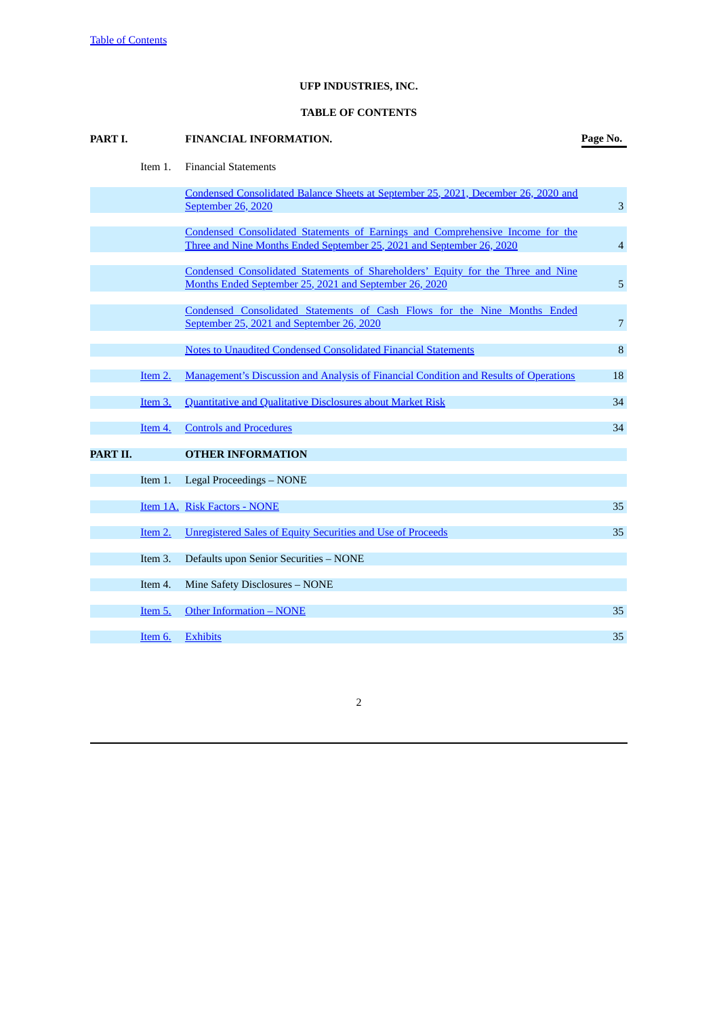# **TABLE OF CONTENTS**

<span id="page-1-0"></span>

| PART I.  |         | FINANCIAL INFORMATION.                                                                                                                                  | Page No.       |
|----------|---------|---------------------------------------------------------------------------------------------------------------------------------------------------------|----------------|
|          | Item 1. | <b>Financial Statements</b>                                                                                                                             |                |
|          |         | Condensed Consolidated Balance Sheets at September 25, 2021, December 26, 2020 and<br>September 26, 2020                                                | 3              |
|          |         | Condensed Consolidated Statements of Earnings and Comprehensive Income for the<br>Three and Nine Months Ended September 25, 2021 and September 26, 2020 | $\overline{4}$ |
|          |         | Condensed Consolidated Statements of Shareholders' Equity for the Three and Nine<br>Months Ended September 25, 2021 and September 26, 2020              | 5              |
|          |         | Condensed Consolidated Statements of Cash Flows for the Nine Months Ended<br>September 25, 2021 and September 26, 2020                                  | 7              |
|          |         | <b>Notes to Unaudited Condensed Consolidated Financial Statements</b>                                                                                   | 8              |
|          | Item 2. | <b>Management's Discussion and Analysis of Financial Condition and Results of Operations</b>                                                            | 18             |
|          | Item 3. | Quantitative and Qualitative Disclosures about Market Risk                                                                                              | 34             |
|          | Item 4. | <b>Controls and Procedures</b>                                                                                                                          | 34             |
| PART II. |         | <b>OTHER INFORMATION</b>                                                                                                                                |                |
|          | Item 1. | Legal Proceedings - NONE                                                                                                                                |                |
|          |         | Item 1A. Risk Factors - NONE                                                                                                                            | 35             |
|          | Item 2. | <b>Unregistered Sales of Equity Securities and Use of Proceeds</b>                                                                                      | 35             |
|          | Item 3. | Defaults upon Senior Securities - NONE                                                                                                                  |                |
|          | Item 4. | Mine Safety Disclosures - NONE                                                                                                                          |                |
|          | Item 5. | Other Information - NONE                                                                                                                                | 35             |
|          | Item 6. | <b>Exhibits</b>                                                                                                                                         | 35             |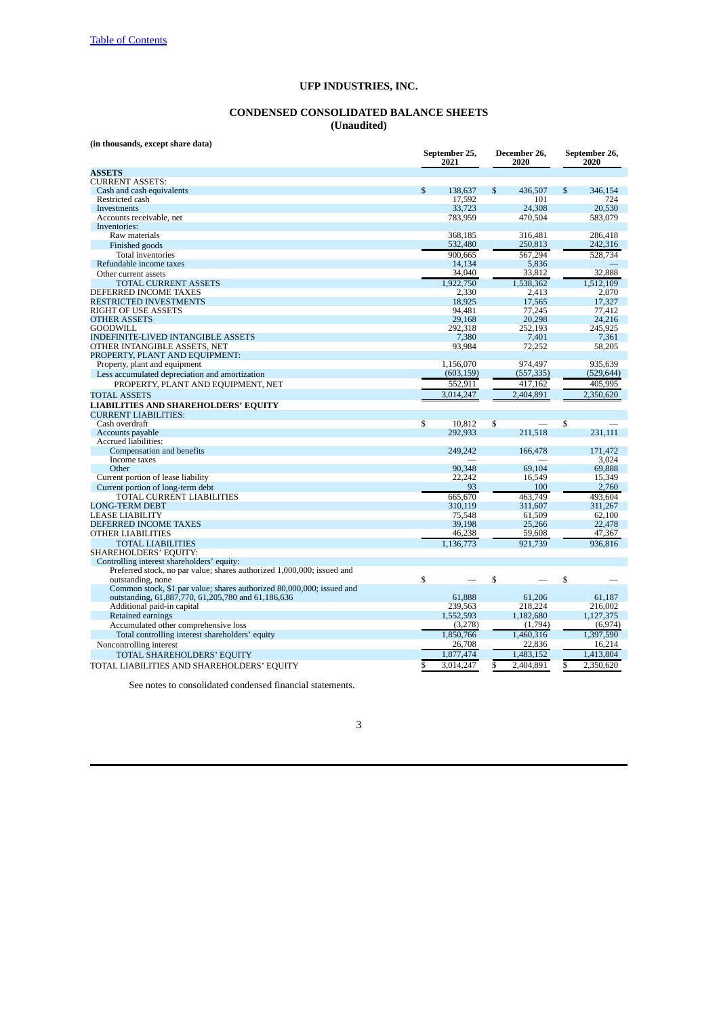# **CONDENSED CONSOLIDATED BALANCE SHEETS (Unaudited)**

<span id="page-2-0"></span>

| (in thousands, except share data)                                      |                       |            |                      |              |                       |
|------------------------------------------------------------------------|-----------------------|------------|----------------------|--------------|-----------------------|
|                                                                        | September 25,<br>2021 |            | December 26,<br>2020 |              | September 26,<br>2020 |
| <b>ASSETS</b>                                                          |                       |            |                      |              |                       |
| <b>CURRENT ASSETS:</b>                                                 |                       |            |                      |              |                       |
| Cash and cash equivalents                                              | $\mathbb{S}$          | 138,637    | \$<br>436,507        | $\mathbb{S}$ | 346,154               |
| Restricted cash                                                        |                       | 17,592     | 101                  |              | 724                   |
| Investments                                                            |                       | 33,723     | 24,308               |              | 20,530                |
| Accounts receivable, net                                               |                       | 783,959    | 470,504              |              | 583,079               |
| Inventories:                                                           |                       |            |                      |              |                       |
| Raw materials                                                          |                       | 368,185    | 316,481              |              | 286,418               |
| Finished goods                                                         |                       | 532,480    | 250,813              |              | 242,316               |
| <b>Total inventories</b>                                               |                       | 900.665    | 567.294              |              | 528,734               |
| Refundable income taxes                                                |                       | 14,134     | 5,836                |              |                       |
| Other current assets                                                   |                       | 34,040     | 33,812               |              | 32,888                |
| <b>TOTAL CURRENT ASSETS</b>                                            |                       | 1,922,750  | 1,538,362            |              | 1,512,109             |
| DEFERRED INCOME TAXES                                                  |                       | 2,330      | 2.413                |              | 2.070                 |
| RESTRICTED INVESTMENTS                                                 |                       | 18,925     | 17,565               |              | 17.327                |
| RIGHT OF USE ASSETS                                                    |                       | 94,481     | 77,245               |              | 77,412                |
| <b>OTHER ASSETS</b>                                                    |                       | 29,168     | 20,298               |              | 24.216                |
| GOODWILL                                                               |                       | 292,318    | 252,193              |              | 245,925               |
| <b>INDEFINITE-LIVED INTANGIBLE ASSETS</b>                              |                       | 7,380      | 7.401                |              | 7.361                 |
| OTHER INTANGIBLE ASSETS, NET                                           |                       | 93,984     | 72,252               |              | 58,205                |
| PROPERTY, PLANT AND EQUIPMENT:                                         |                       |            |                      |              |                       |
| Property, plant and equipment                                          |                       | 1,156,070  | 974,497              |              | 935,639               |
| Less accumulated depreciation and amortization                         |                       | (603, 159) | (557, 335)           |              | (529, 644)            |
| PROPERTY, PLANT AND EQUIPMENT, NET                                     |                       | 552,911    | 417,162              |              | 405,995               |
| <b>TOTAL ASSETS</b>                                                    |                       | 3,014,247  | 2,404,891            |              | 2,350,620             |
| <b>LIABILITIES AND SHAREHOLDERS' EQUITY</b>                            |                       |            |                      |              |                       |
| <b>CURRENT LIABILITIES:</b>                                            |                       |            |                      |              |                       |
| Cash overdraft                                                         | \$                    | 10,812     | \$                   | \$           |                       |
| Accounts payable                                                       |                       | 292,933    | 211,518              |              | 231,111               |
| Accrued liabilities:                                                   |                       |            |                      |              |                       |
| Compensation and benefits                                              |                       | 249.242    | 166,478              |              | 171.472               |
| Income taxes                                                           |                       |            |                      |              | 3,024                 |
| Other                                                                  |                       | 90,348     | 69,104               |              | 69,888                |
| Current portion of lease liability                                     |                       | 22,242     | 16,549               |              | 15,349                |
| Current portion of long-term debt                                      |                       | 93         | 100                  |              | 2,760                 |
| TOTAL CURRENT LIABILITIES                                              |                       | 665,670    | 463,749              |              | 493,604               |
| <b>LONG-TERM DEBT</b>                                                  |                       | 310,119    | 311,607              |              | 311,267               |
| <b>LEASE LIABILITY</b>                                                 |                       | 75,548     | 61,509               |              | 62.100                |
| DEFERRED INCOME TAXES                                                  |                       | 39,198     | 25,266               |              | 22,478                |
| OTHER LIABILITIES                                                      |                       | 46,238     | 59,608               |              | 47,367                |
| <b>TOTAL LIABILITIES</b>                                               |                       | 1,136,773  | 921.739              |              | 936.816               |
| SHAREHOLDERS' EQUITY:                                                  |                       |            |                      |              |                       |
| Controlling interest shareholders' equity:                             |                       |            |                      |              |                       |
| Preferred stock, no par value; shares authorized 1,000,000; issued and |                       |            |                      |              |                       |
| outstanding, none                                                      | \$                    |            | \$                   | \$           |                       |
| Common stock, \$1 par value; shares authorized 80,000,000; issued and  |                       |            |                      |              |                       |
| outstanding, 61,887,770, 61,205,780 and 61,186,636                     |                       | 61,888     | 61,206               |              | 61,187                |
| Additional paid-in capital                                             |                       | 239,563    | 218,224              |              | 216,002               |
| Retained earnings                                                      |                       | 1,552,593  | 1,182,680            |              | 1,127,375             |
| Accumulated other comprehensive loss                                   |                       | (3,278)    | (1,794)              |              | (6, 974)              |
| Total controlling interest shareholders' equity                        |                       | 1,850,766  | 1,460,316            |              | 1,397,590             |
| Noncontrolling interest                                                |                       | 26,708     | 22,836               |              | 16,214                |
|                                                                        |                       | 1,877,474  | 1,483,152            |              | 1,413,804             |
| TOTAL SHAREHOLDERS' EQUITY                                             |                       |            |                      |              |                       |
| TOTAL LIABILITIES AND SHAREHOLDERS' EQUITY                             | \$                    | 3,014,247  | \$<br>2,404,891      | \$           | 2,350,620             |

See notes to consolidated condensed financial statements.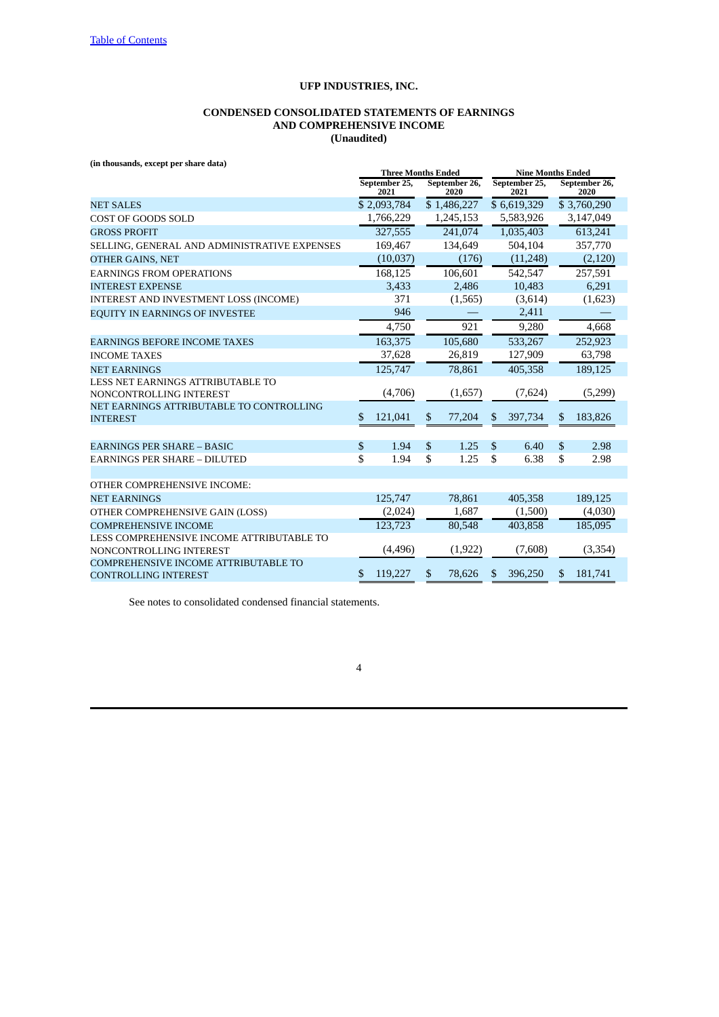# **CONDENSED CONSOLIDATED STATEMENTS OF EARNINGS AND COMPREHENSIVE INCOME (Unaudited)**

<span id="page-3-0"></span>**(in thousands, except per share data)**

| (in thousands, except per share data)                               | <b>Three Months Ended</b> |                       | <b>Nine Months Ended</b> |                       |    |                       |  |
|---------------------------------------------------------------------|---------------------------|-----------------------|--------------------------|-----------------------|----|-----------------------|--|
|                                                                     | September 25,<br>2021     | September 26,<br>2020 |                          | September 25,<br>2021 |    | September 26,<br>2020 |  |
| <b>NET SALES</b>                                                    | \$2,093,784               | \$1,486,227           |                          | \$6,619,329           |    | \$3,760,290           |  |
| COST OF GOODS SOLD                                                  | 1,766,229                 | 1,245,153             |                          | 5,583,926             |    | 3,147,049             |  |
| <b>GROSS PROFIT</b>                                                 | 327,555                   | 241,074               |                          | 1,035,403             |    | 613.241               |  |
| SELLING, GENERAL AND ADMINISTRATIVE EXPENSES                        | 169,467                   | 134,649               |                          | 504,104               |    | 357,770               |  |
| <b>OTHER GAINS, NET</b>                                             | (10,037)                  | (176)                 |                          | (11,248)              |    | (2,120)               |  |
| <b>EARNINGS FROM OPERATIONS</b>                                     | 168,125                   | 106,601               |                          | 542,547               |    | 257,591               |  |
| <b>INTEREST EXPENSE</b>                                             | 3,433                     | 2,486                 |                          | 10,483                |    | 6,291                 |  |
| INTEREST AND INVESTMENT LOSS (INCOME)                               | 371                       | (1,565)               |                          | (3,614)               |    | (1,623)               |  |
| <b>EQUITY IN EARNINGS OF INVESTEE</b>                               | 946                       |                       |                          | 2,411                 |    |                       |  |
|                                                                     | 4,750                     | 921                   |                          | 9,280                 |    | 4,668                 |  |
| <b>EARNINGS BEFORE INCOME TAXES</b>                                 | 163,375                   | 105,680               |                          | 533,267               |    | 252,923               |  |
| <b>INCOME TAXES</b>                                                 | 37,628                    | 26,819                |                          | 127,909               |    | 63,798                |  |
| <b>NET EARNINGS</b>                                                 | 125,747                   | 78,861                |                          | 405,358               |    | 189,125               |  |
| LESS NET EARNINGS ATTRIBUTABLE TO                                   |                           |                       |                          |                       |    |                       |  |
| NONCONTROLLING INTEREST                                             | (4,706)                   | (1,657)               |                          | (7,624)               |    | (5,299)               |  |
| NET EARNINGS ATTRIBUTABLE TO CONTROLLING                            |                           |                       |                          |                       |    |                       |  |
| <b>INTEREST</b>                                                     | \$<br>121,041             | \$<br>77,204          | \$                       | 397,734               | \$ | 183,826               |  |
|                                                                     |                           |                       |                          |                       |    |                       |  |
| <b>EARNINGS PER SHARE - BASIC</b>                                   | \$<br>1.94                | \$<br>1.25            | \$                       | 6.40                  | \$ | 2.98                  |  |
| <b>EARNINGS PER SHARE - DILUTED</b>                                 | \$<br>1.94                | \$<br>1.25            | \$                       | 6.38                  | \$ | 2.98                  |  |
|                                                                     |                           |                       |                          |                       |    |                       |  |
| OTHER COMPREHENSIVE INCOME:                                         |                           |                       |                          |                       |    |                       |  |
| <b>NET EARNINGS</b>                                                 | 125,747                   | 78,861                |                          | 405,358               |    | 189,125               |  |
| OTHER COMPREHENSIVE GAIN (LOSS)                                     | (2,024)                   | 1,687                 |                          | (1,500)               |    | (4,030)               |  |
| <b>COMPREHENSIVE INCOME</b>                                         | 123,723                   | 80,548                |                          | 403,858               |    | 185,095               |  |
| LESS COMPREHENSIVE INCOME ATTRIBUTABLE TO                           |                           |                       |                          |                       |    |                       |  |
| NONCONTROLLING INTEREST                                             | (4, 496)                  | (1, 922)              |                          | (7,608)               |    | (3,354)               |  |
| COMPREHENSIVE INCOME ATTRIBUTABLE TO<br><b>CONTROLLING INTEREST</b> | \$<br>119,227             | \$<br>78,626          | \$                       | 396,250               | \$ | 181,741               |  |

See notes to consolidated condensed financial statements.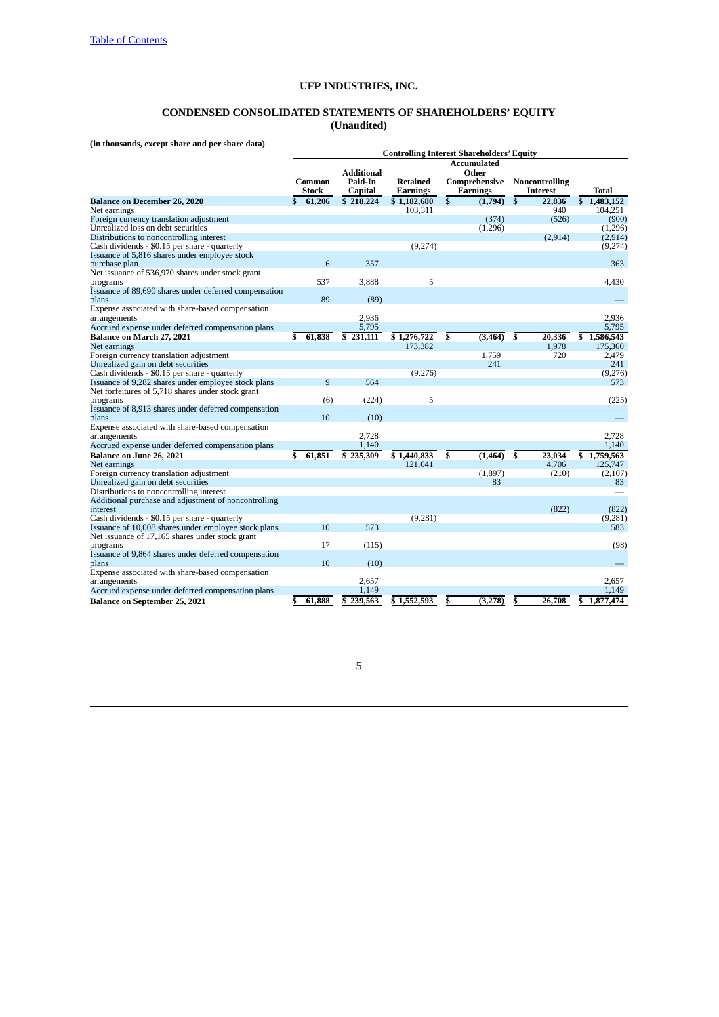# **CONDENSED CONSOLIDATED STATEMENTS OF SHAREHOLDERS' EQUITY (Unaudited)**

<span id="page-4-0"></span>**(in thousands, except share and per share data)**

| (in thousands, except share and per share data)       | <b>Controlling Interest Shareholders' Equity</b> |                 |                                  |                         |    |                                                                 |    |                                          |    |                    |
|-------------------------------------------------------|--------------------------------------------------|-----------------|----------------------------------|-------------------------|----|-----------------------------------------------------------------|----|------------------------------------------|----|--------------------|
|                                                       |                                                  | Common<br>Stock | Additional<br>Paid-In<br>Capital | Retained<br>Earnings    |    | <b>Accumulated</b><br>Other<br>Comprehensive<br><b>Earnings</b> |    | <b>Noncontrolling</b><br><b>Interest</b> |    | Total              |
| <b>Balance on December 26, 2020</b>                   |                                                  | \$61,206        | \$218,224                        | \$1,182,680             | \$ | (1,794)                                                         | \$ | 22,836                                   |    | \$1,483,152        |
| Net earnings                                          |                                                  |                 |                                  | 103,311                 |    |                                                                 |    | 940                                      |    | 104,251            |
| Foreign currency translation adjustment               |                                                  |                 |                                  |                         |    | (374)                                                           |    | (526)                                    |    | (900)              |
| Unrealized loss on debt securities                    |                                                  |                 |                                  |                         |    | (1,296)                                                         |    |                                          |    | (1,296)            |
| Distributions to noncontrolling interest              |                                                  |                 |                                  |                         |    |                                                                 |    | (2,914)                                  |    | (2,914)            |
| Cash dividends - \$0.15 per share - quarterly         |                                                  |                 |                                  | (9,274)                 |    |                                                                 |    |                                          |    | (9,274)            |
| Issuance of 5,816 shares under employee stock         |                                                  |                 |                                  |                         |    |                                                                 |    |                                          |    |                    |
| purchase plan                                         |                                                  | 6               | 357                              |                         |    |                                                                 |    |                                          |    | 363                |
| Net issuance of 536,970 shares under stock grant      |                                                  |                 |                                  |                         |    |                                                                 |    |                                          |    |                    |
| programs                                              |                                                  | 537             | 3,888                            | 5                       |    |                                                                 |    |                                          |    | 4,430              |
| Issuance of 89,690 shares under deferred compensation |                                                  |                 |                                  |                         |    |                                                                 |    |                                          |    |                    |
| plans                                                 |                                                  | 89              | (89)                             |                         |    |                                                                 |    |                                          |    |                    |
| Expense associated with share-based compensation      |                                                  |                 |                                  |                         |    |                                                                 |    |                                          |    |                    |
| arrangements                                          |                                                  |                 | 2,936                            |                         |    |                                                                 |    |                                          |    | 2,936              |
| Accrued expense under deferred compensation plans     |                                                  |                 | 5.795                            |                         |    |                                                                 |    |                                          |    | 5.795              |
| Balance on March 27, 2021                             |                                                  | $5\quad 61,838$ | \$231,111                        | \$1,276,722             | \$ | (3, 464)                                                        | \$ | 20,336                                   |    | $5\quad 1,586,543$ |
| Net earnings                                          |                                                  |                 |                                  | 173,382                 |    |                                                                 |    | 1,978                                    |    | 175,360            |
| Foreign currency translation adjustment               |                                                  |                 |                                  |                         |    | 1,759                                                           |    | 720                                      |    | 2,479              |
| Unrealized gain on debt securities                    |                                                  |                 |                                  |                         |    | 241                                                             |    |                                          |    | 241                |
| Cash dividends - \$0.15 per share - quarterly         |                                                  |                 |                                  | (9,276)                 |    |                                                                 |    |                                          |    | (9,276)            |
| Issuance of 9,282 shares under employee stock plans   |                                                  | 9               | 564                              |                         |    |                                                                 |    |                                          |    | 573                |
| Net forfeitures of 5,718 shares under stock grant     |                                                  |                 |                                  |                         |    |                                                                 |    |                                          |    |                    |
| programs                                              |                                                  | (6)             | (224)                            | 5                       |    |                                                                 |    |                                          |    | (225)              |
| Issuance of 8,913 shares under deferred compensation  |                                                  |                 |                                  |                         |    |                                                                 |    |                                          |    |                    |
| plans                                                 |                                                  | 10              | (10)                             |                         |    |                                                                 |    |                                          |    |                    |
| Expense associated with share-based compensation      |                                                  |                 |                                  |                         |    |                                                                 |    |                                          |    |                    |
| arrangements                                          |                                                  |                 | 2.728                            |                         |    |                                                                 |    |                                          |    | 2,728              |
| Accrued expense under deferred compensation plans     |                                                  |                 | 1,140                            |                         |    |                                                                 |    |                                          |    | 1,140              |
| Balance on June 26, 2021                              |                                                  | $5\quad 61,851$ | $\overline{$}$ 235,309           | \$1,440,833             | \$ | (1, 464)                                                        | \$ | 23,034                                   |    | \$1,759,563        |
| Net earnings                                          |                                                  |                 |                                  | 121,041                 |    |                                                                 |    | 4,706                                    |    | 125,747            |
| Foreign currency translation adjustment               |                                                  |                 |                                  |                         |    | (1,897)                                                         |    | (210)                                    |    | (2,107)            |
| Unrealized gain on debt securities                    |                                                  |                 |                                  |                         |    | 83                                                              |    |                                          |    | 83                 |
| Distributions to noncontrolling interest              |                                                  |                 |                                  |                         |    |                                                                 |    |                                          |    |                    |
| Additional purchase and adjustment of noncontrolling  |                                                  |                 |                                  |                         |    |                                                                 |    |                                          |    |                    |
| interest                                              |                                                  |                 |                                  |                         |    |                                                                 |    | (822)                                    |    | (822)              |
| Cash dividends - \$0.15 per share - quarterly         |                                                  |                 |                                  | (9,281)                 |    |                                                                 |    |                                          |    | (9,281)            |
| Issuance of 10,008 shares under employee stock plans  |                                                  | 10              | 573                              |                         |    |                                                                 |    |                                          |    | 583                |
| Net issuance of 17,165 shares under stock grant       |                                                  |                 |                                  |                         |    |                                                                 |    |                                          |    |                    |
| programs                                              |                                                  | 17              | (115)                            |                         |    |                                                                 |    |                                          |    | (98)               |
| Issuance of 9,864 shares under deferred compensation  |                                                  |                 |                                  |                         |    |                                                                 |    |                                          |    |                    |
| plans                                                 |                                                  | 10              | (10)                             |                         |    |                                                                 |    |                                          |    |                    |
| Expense associated with share-based compensation      |                                                  |                 |                                  |                         |    |                                                                 |    |                                          |    |                    |
| arrangements                                          |                                                  |                 | 2,657                            |                         |    |                                                                 |    |                                          |    | 2.657              |
|                                                       |                                                  |                 | 1,149                            |                         |    |                                                                 |    |                                          |    | 1.149              |
| Accrued expense under deferred compensation plans     |                                                  |                 |                                  |                         |    |                                                                 |    |                                          |    |                    |
| Balance on September 25, 2021                         | \$                                               | 61,888          | \$239,563                        | $\overline{51,552,593}$ | \$ | (3,278)                                                         | \$ | 26,708                                   | \$ | 1,877,474          |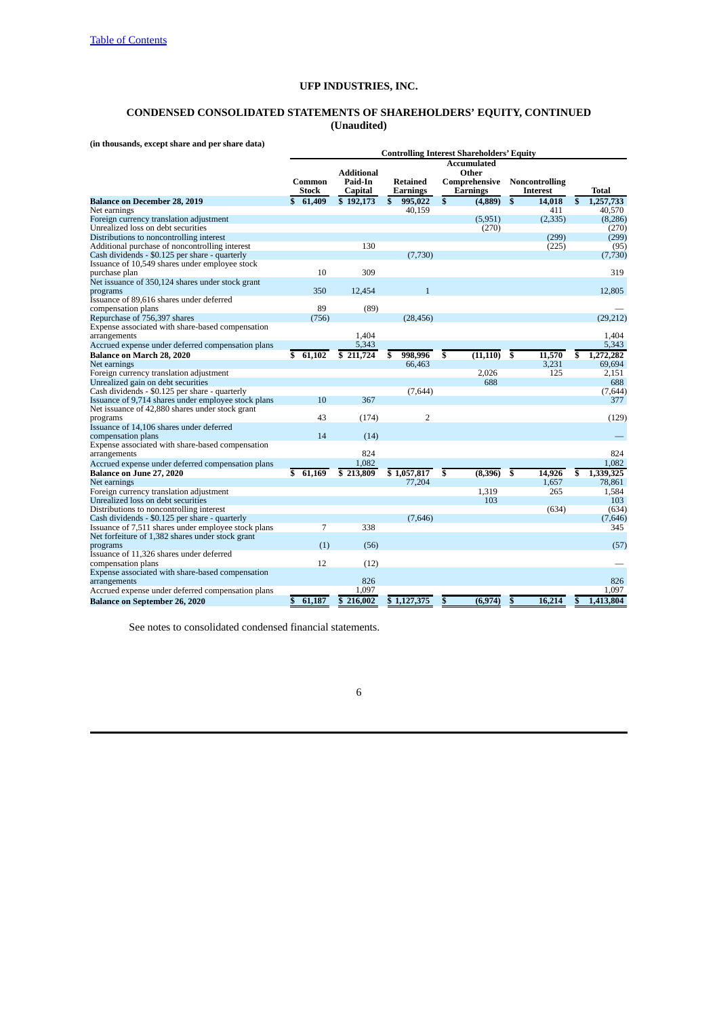# **CONDENSED CONSOLIDATED STATEMENTS OF SHAREHOLDERS' EQUITY, CONTINUED (Unaudited)**

**(in thousands, except share and per share data)**

| (in thousands, except share and per share data)     | <b>Controlling Interest Shareholders' Equity</b> |                                         |                             |              |              |                                                          |                         |                                   |    |           |
|-----------------------------------------------------|--------------------------------------------------|-----------------------------------------|-----------------------------|--------------|--------------|----------------------------------------------------------|-------------------------|-----------------------------------|----|-----------|
|                                                     | Common<br>Stock                                  | <b>Additional</b><br>Paid-In<br>Capital | Retained<br><b>Earnings</b> |              |              | <b>Accumulated</b><br>Other<br>Comprehensive<br>Earnings |                         | Noncontrolling<br><b>Interest</b> |    | Total     |
| <b>Balance on December 28, 2019</b>                 | \$61,409                                         | \$192,173                               | \$<br>995,022               |              | $\mathbf{s}$ | (4,889)                                                  | \$                      | 14,018                            |    | 1,257,733 |
| Net earnings                                        |                                                  |                                         | 40,159                      |              |              |                                                          |                         | 411                               |    | 40,570    |
| Foreign currency translation adjustment             |                                                  |                                         |                             |              |              | (5,951)                                                  |                         | (2, 335)                          |    | (8, 286)  |
| Unrealized loss on debt securities                  |                                                  |                                         |                             |              |              | (270)                                                    |                         |                                   |    | (270)     |
| Distributions to noncontrolling interest            |                                                  |                                         |                             |              |              |                                                          |                         | (299)                             |    | (299)     |
| Additional purchase of noncontrolling interest      |                                                  | 130                                     |                             |              |              |                                                          |                         | (225)                             |    | (95)      |
| Cash dividends - \$0.125 per share - quarterly      |                                                  |                                         |                             | (7,730)      |              |                                                          |                         |                                   |    | (7,730)   |
| Issuance of 10,549 shares under employee stock      |                                                  |                                         |                             |              |              |                                                          |                         |                                   |    |           |
| purchase plan                                       | 10                                               | 309                                     |                             |              |              |                                                          |                         |                                   |    | 319       |
| Net issuance of 350,124 shares under stock grant    |                                                  |                                         |                             |              |              |                                                          |                         |                                   |    |           |
| programs                                            | 350                                              | 12,454                                  |                             | $\mathbf{1}$ |              |                                                          |                         |                                   |    | 12,805    |
| Issuance of 89,616 shares under deferred            |                                                  |                                         |                             |              |              |                                                          |                         |                                   |    |           |
| compensation plans                                  | 89                                               | (89)                                    |                             |              |              |                                                          |                         |                                   |    |           |
| Repurchase of 756,397 shares                        | (756)                                            |                                         | (28, 456)                   |              |              |                                                          |                         |                                   |    | (29, 212) |
| Expense associated with share-based compensation    |                                                  |                                         |                             |              |              |                                                          |                         |                                   |    |           |
| arrangements                                        |                                                  | 1.404                                   |                             |              |              |                                                          |                         |                                   |    | 1.404     |
| Accrued expense under deferred compensation plans   |                                                  | 5,343                                   |                             |              |              |                                                          |                         |                                   |    | 5,343     |
| Balance on March 28, 2020                           | $\overline{61,}102$<br>\$                        | \$211,724                               | 998,996<br>\$               |              | \$           | (11, 110)                                                | \$                      | 11,570                            | \$ | 1,272,282 |
| Net earnings                                        |                                                  |                                         | 66,463                      |              |              |                                                          |                         | 3.231                             |    | 69,694    |
| Foreign currency translation adjustment             |                                                  |                                         |                             |              |              | 2,026                                                    |                         | 125                               |    | 2,151     |
| Unrealized gain on debt securities                  |                                                  |                                         |                             |              |              | 688                                                      |                         |                                   |    | 688       |
| Cash dividends - \$0.125 per share - quarterly      |                                                  |                                         |                             | (7,644)      |              |                                                          |                         |                                   |    | (7,644)   |
| Issuance of 9,714 shares under employee stock plans | 10                                               | 367                                     |                             |              |              |                                                          |                         |                                   |    | 377       |
| Net issuance of 42,880 shares under stock grant     |                                                  |                                         |                             |              |              |                                                          |                         |                                   |    |           |
| programs                                            | 43                                               | (174)                                   |                             | 2            |              |                                                          |                         |                                   |    | (129)     |
| Issuance of 14,106 shares under deferred            |                                                  |                                         |                             |              |              |                                                          |                         |                                   |    |           |
| compensation plans                                  | 14                                               | (14)                                    |                             |              |              |                                                          |                         |                                   |    |           |
| Expense associated with share-based compensation    |                                                  |                                         |                             |              |              |                                                          |                         |                                   |    |           |
| arrangements                                        |                                                  | 824                                     |                             |              |              |                                                          |                         |                                   |    | 824       |
|                                                     |                                                  | 1.082                                   |                             |              |              |                                                          |                         |                                   |    | 1,082     |
| Accrued expense under deferred compensation plans   |                                                  |                                         |                             |              |              |                                                          |                         | 14,926                            |    |           |
| <b>Balance on June 27, 2020</b>                     | 61,169<br>\$                                     | 5213,809                                | \$1,057,817                 |              | \$           | (8,396)                                                  | $\overline{\mathbf{s}}$ |                                   | \$ | 1,339,325 |
| Net earnings                                        |                                                  |                                         | 77,204                      |              |              |                                                          |                         | 1.657                             |    | 78.861    |
| Foreign currency translation adjustment             |                                                  |                                         |                             |              |              | 1,319                                                    |                         | 265                               |    | 1,584     |
| Unrealized loss on debt securities                  |                                                  |                                         |                             |              |              | 103                                                      |                         |                                   |    | 103       |
| Distributions to noncontrolling interest            |                                                  |                                         |                             |              |              |                                                          |                         | (634)                             |    | (634)     |
| Cash dividends - \$0.125 per share - quarterly      |                                                  |                                         |                             | (7,646)      |              |                                                          |                         |                                   |    | (7,646)   |
| Issuance of 7,511 shares under employee stock plans | 7                                                | 338                                     |                             |              |              |                                                          |                         |                                   |    | 345       |
| Net forfeiture of 1,382 shares under stock grant    |                                                  |                                         |                             |              |              |                                                          |                         |                                   |    |           |
| programs                                            | (1)                                              | (56)                                    |                             |              |              |                                                          |                         |                                   |    | (57)      |
| Issuance of 11,326 shares under deferred            |                                                  |                                         |                             |              |              |                                                          |                         |                                   |    |           |
| compensation plans                                  | 12                                               | (12)                                    |                             |              |              |                                                          |                         |                                   |    |           |
| Expense associated with share-based compensation    |                                                  |                                         |                             |              |              |                                                          |                         |                                   |    |           |
| arrangements                                        |                                                  | 826                                     |                             |              |              |                                                          |                         |                                   |    | 826       |
| Accrued expense under deferred compensation plans   |                                                  | 1,097                                   |                             |              |              |                                                          |                         |                                   |    | 1,097     |
| <b>Balance on September 26, 2020</b>                | 61,187<br>\$                                     | \$216,002                               | \$1,127,375                 |              | \$           | (6,974)                                                  | \$                      | 16,214                            | \$ | 1,413,804 |

6

See notes to consolidated condensed financial statements.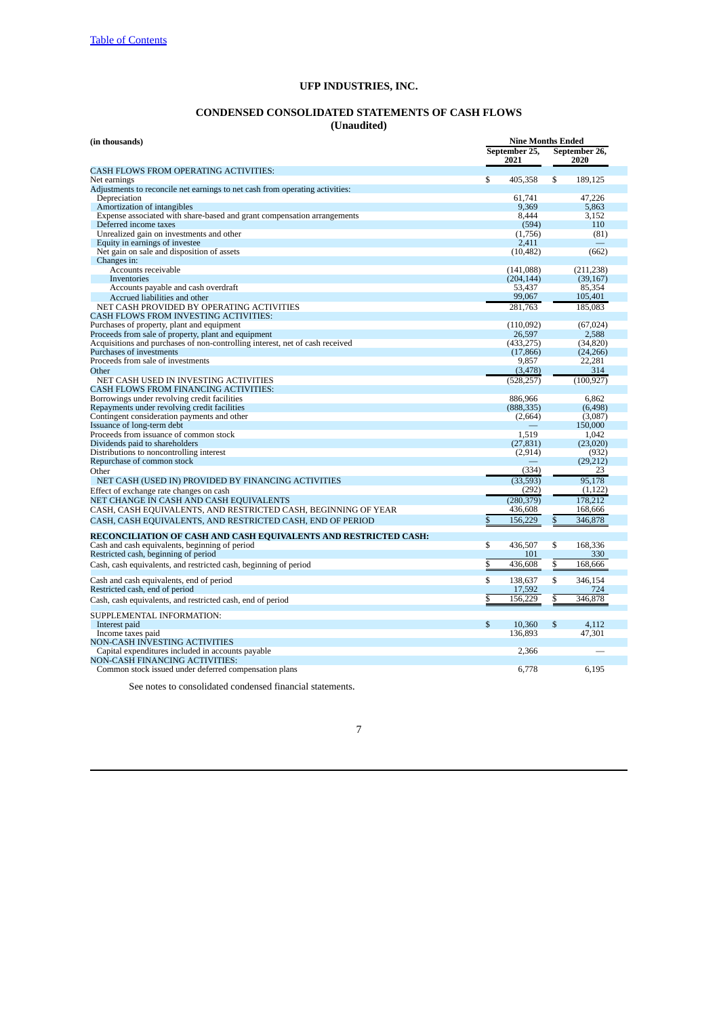# **CONDENSED CONSOLIDATED STATEMENTS OF CASH FLOWS (Unaudited)**

<span id="page-6-0"></span>

| (in thousands)                                                               | <b>Nine Months Ended</b> |                       |                         |            |  |  |  |  |  |
|------------------------------------------------------------------------------|--------------------------|-----------------------|-------------------------|------------|--|--|--|--|--|
|                                                                              |                          | September 25,<br>2021 | September 26,<br>2020   |            |  |  |  |  |  |
| CASH FLOWS FROM OPERATING ACTIVITIES:                                        |                          |                       |                         |            |  |  |  |  |  |
| Net earnings                                                                 | \$                       | 405,358               | \$                      | 189,125    |  |  |  |  |  |
| Adjustments to reconcile net earnings to net cash from operating activities: |                          |                       |                         |            |  |  |  |  |  |
| Depreciation                                                                 |                          | 61,741                |                         | 47,226     |  |  |  |  |  |
| Amortization of intangibles                                                  |                          | 9,369                 |                         | 5,863      |  |  |  |  |  |
| Expense associated with share-based and grant compensation arrangements      |                          | 8,444                 |                         | 3,152      |  |  |  |  |  |
| Deferred income taxes                                                        |                          | (594)                 |                         | 110        |  |  |  |  |  |
| Unrealized gain on investments and other                                     |                          | (1,756)               |                         | (81)       |  |  |  |  |  |
| Equity in earnings of investee                                               |                          | 2,411                 |                         |            |  |  |  |  |  |
| Net gain on sale and disposition of assets                                   |                          | (10, 482)             |                         | (662)      |  |  |  |  |  |
| Changes in:                                                                  |                          |                       |                         |            |  |  |  |  |  |
| Accounts receivable                                                          |                          | (141,088)             |                         | (211, 238) |  |  |  |  |  |
| Inventories                                                                  |                          | (204, 144)            |                         | (39, 167)  |  |  |  |  |  |
| Accounts payable and cash overdraft                                          |                          | 53,437                |                         | 85,354     |  |  |  |  |  |
| Accrued liabilities and other                                                |                          | 99,067                |                         | 105,401    |  |  |  |  |  |
| NET CASH PROVIDED BY OPERATING ACTIVITIES                                    |                          | 281,763               |                         | 185,083    |  |  |  |  |  |
| <b>CASH FLOWS FROM INVESTING ACTIVITIES:</b>                                 |                          |                       |                         |            |  |  |  |  |  |
| Purchases of property, plant and equipment                                   |                          | (110,092)             |                         | (67, 024)  |  |  |  |  |  |
| Proceeds from sale of property, plant and equipment                          |                          | 26,597                |                         | 2,588      |  |  |  |  |  |
| Acquisitions and purchases of non-controlling interest, net of cash received |                          | (433, 275)            |                         | (34, 820)  |  |  |  |  |  |
| Purchases of investments                                                     |                          | (17, 866)             |                         | (24, 266)  |  |  |  |  |  |
| Proceeds from sale of investments                                            |                          | 9,857                 |                         | 22,281     |  |  |  |  |  |
| Other                                                                        |                          | (3, 478)              |                         | 314        |  |  |  |  |  |
| NET CASH USED IN INVESTING ACTIVITIES                                        |                          | (528, 257)            |                         | (100, 927) |  |  |  |  |  |
| <b>CASH FLOWS FROM FINANCING ACTIVITIES:</b>                                 |                          |                       |                         |            |  |  |  |  |  |
| Borrowings under revolving credit facilities                                 |                          | 886,966               |                         | 6,862      |  |  |  |  |  |
| Repayments under revolving credit facilities                                 |                          | (888, 335)            |                         | (6, 498)   |  |  |  |  |  |
| Contingent consideration payments and other                                  |                          | (2,664)               |                         | (3,087)    |  |  |  |  |  |
| Issuance of long-term debt                                                   |                          |                       |                         | 150,000    |  |  |  |  |  |
| Proceeds from issuance of common stock                                       |                          | 1,519                 |                         | 1,042      |  |  |  |  |  |
| Dividends paid to shareholders                                               |                          | (27, 831)             |                         | (23,020)   |  |  |  |  |  |
| Distributions to noncontrolling interest                                     |                          | (2,914)               |                         | (932)      |  |  |  |  |  |
| Repurchase of common stock                                                   |                          |                       |                         | (29,212)   |  |  |  |  |  |
| Other                                                                        |                          | (334)                 |                         | 23         |  |  |  |  |  |
| NET CASH (USED IN) PROVIDED BY FINANCING ACTIVITIES                          |                          | (33,593)              |                         | 95,178     |  |  |  |  |  |
| Effect of exchange rate changes on cash                                      |                          | (292)                 |                         | (1,122)    |  |  |  |  |  |
| NET CHANGE IN CASH AND CASH EQUIVALENTS                                      |                          | (280, 379)            |                         | 178.212    |  |  |  |  |  |
| CASH, CASH EQUIVALENTS, AND RESTRICTED CASH, BEGINNING OF YEAR               |                          | 436,608               |                         | 168,666    |  |  |  |  |  |
|                                                                              | \$                       | 156,229               | \$                      | 346,878    |  |  |  |  |  |
| CASH, CASH EQUIVALENTS, AND RESTRICTED CASH, END OF PERIOD                   |                          |                       |                         |            |  |  |  |  |  |
| RECONCILIATION OF CASH AND CASH EQUIVALENTS AND RESTRICTED CASH:             |                          |                       |                         |            |  |  |  |  |  |
| Cash and cash equivalents, beginning of period                               | \$                       | 436,507               | \$                      | 168,336    |  |  |  |  |  |
| Restricted cash, beginning of period                                         |                          | 101                   |                         | 330        |  |  |  |  |  |
| Cash, cash equivalents, and restricted cash, beginning of period             | $\overline{\mathbb{S}}$  | 436,608               | $\overline{\mathbb{S}}$ | 168,666    |  |  |  |  |  |
|                                                                              |                          |                       |                         |            |  |  |  |  |  |
| Cash and cash equivalents, end of period                                     | \$                       | 138,637               | \$                      | 346,154    |  |  |  |  |  |
| Restricted cash, end of period                                               |                          | 17,592                |                         | 724        |  |  |  |  |  |
| Cash, cash equivalents, and restricted cash, end of period                   | \$                       | 156,229               | \$                      | 346,878    |  |  |  |  |  |
|                                                                              |                          |                       |                         |            |  |  |  |  |  |
| SUPPLEMENTAL INFORMATION:                                                    |                          |                       |                         |            |  |  |  |  |  |
| Interest paid                                                                | \$                       | 10,360                | \$                      | 4,112      |  |  |  |  |  |
| Income taxes paid                                                            |                          | 136,893               |                         | 47,301     |  |  |  |  |  |
| NON-CASH INVESTING ACTIVITIES                                                |                          |                       |                         |            |  |  |  |  |  |
| Capital expenditures included in accounts payable                            |                          | 2,366                 |                         |            |  |  |  |  |  |
| NON-CASH FINANCING ACTIVITIES:                                               |                          |                       |                         |            |  |  |  |  |  |
| Common stock issued under deferred compensation plans                        |                          | 6,778                 |                         | 6,195      |  |  |  |  |  |

See notes to consolidated condensed financial statements.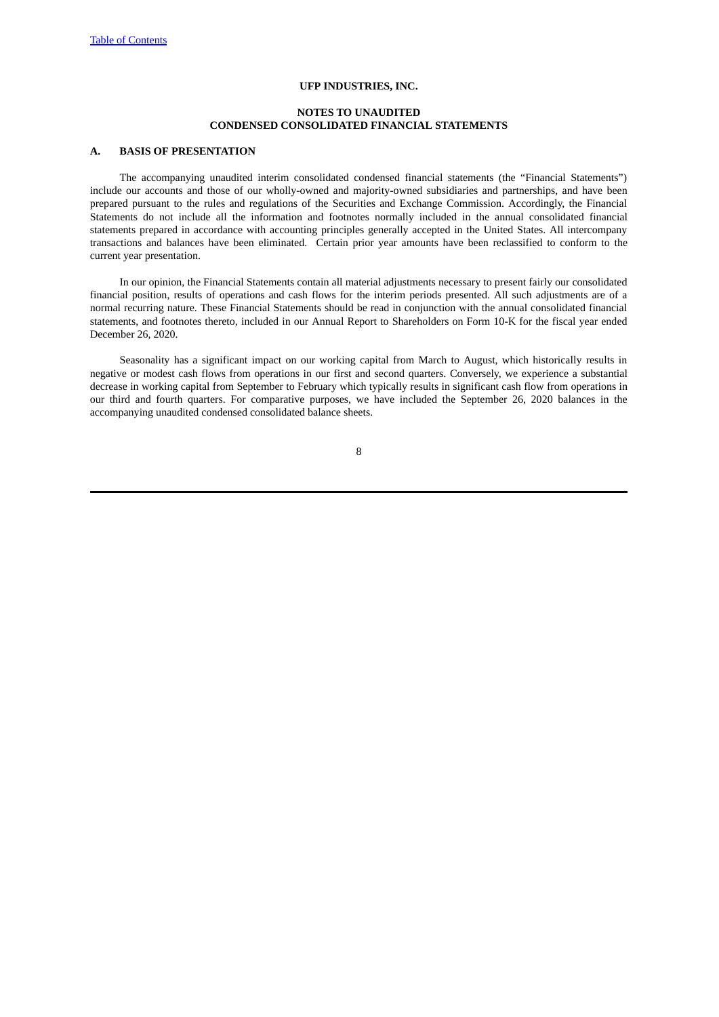# **NOTES TO UNAUDITED CONDENSED CONSOLIDATED FINANCIAL STATEMENTS**

## <span id="page-7-0"></span>**A. BASIS OF PRESENTATION**

The accompanying unaudited interim consolidated condensed financial statements (the "Financial Statements") include our accounts and those of our wholly-owned and majority-owned subsidiaries and partnerships, and have been prepared pursuant to the rules and regulations of the Securities and Exchange Commission. Accordingly, the Financial Statements do not include all the information and footnotes normally included in the annual consolidated financial statements prepared in accordance with accounting principles generally accepted in the United States. All intercompany transactions and balances have been eliminated. Certain prior year amounts have been reclassified to conform to the current year presentation.

In our opinion, the Financial Statements contain all material adjustments necessary to present fairly our consolidated financial position, results of operations and cash flows for the interim periods presented. All such adjustments are of a normal recurring nature. These Financial Statements should be read in conjunction with the annual consolidated financial statements, and footnotes thereto, included in our Annual Report to Shareholders on Form 10-K for the fiscal year ended December 26, 2020.

Seasonality has a significant impact on our working capital from March to August, which historically results in negative or modest cash flows from operations in our first and second quarters. Conversely, we experience a substantial decrease in working capital from September to February which typically results in significant cash flow from operations in our third and fourth quarters. For comparative purposes, we have included the September 26, 2020 balances in the accompanying unaudited condensed consolidated balance sheets.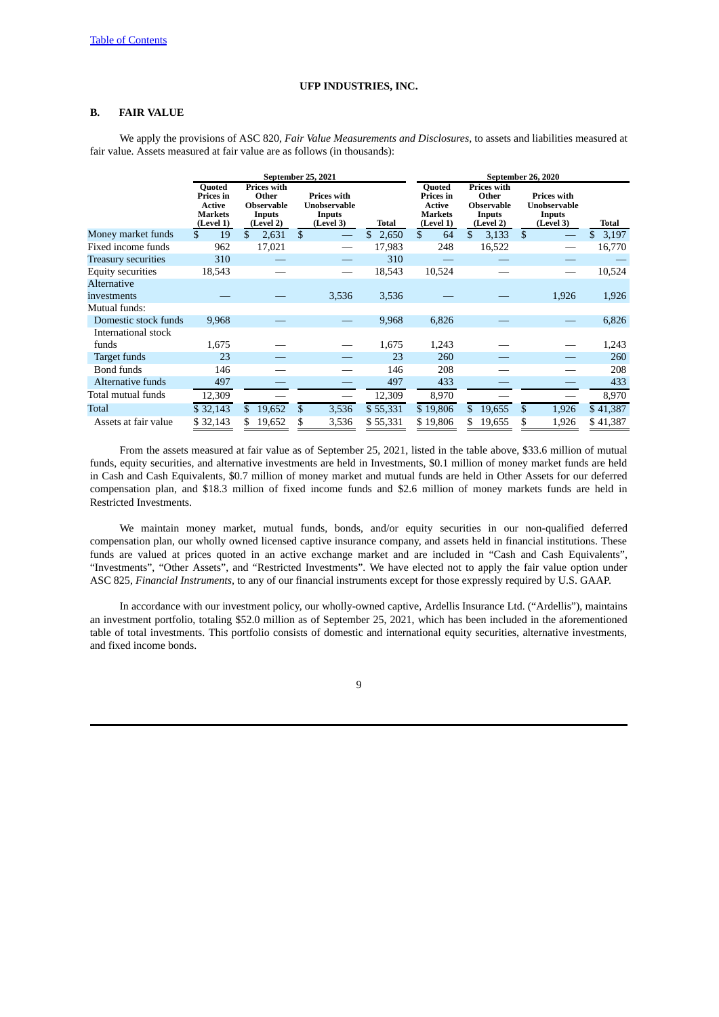# **B. FAIR VALUE**

We apply the provisions of ASC 820, *Fair Value Measurements and Disclosures*, to assets and liabilities measured at fair value. Assets measured at fair value are as follows (in thousands):

|                                             |                                                              |                                                                                | <b>September 25, 2021</b>                                        |             |                                                                     |                                                                                |                                                           |              |
|---------------------------------------------|--------------------------------------------------------------|--------------------------------------------------------------------------------|------------------------------------------------------------------|-------------|---------------------------------------------------------------------|--------------------------------------------------------------------------------|-----------------------------------------------------------|--------------|
|                                             | Quoted<br>Prices in<br>Active<br><b>Markets</b><br>(Level 1) | <b>Prices with</b><br>Other<br><b>Observable</b><br><b>Inputs</b><br>(Level 2) | <b>Prices with</b><br><b>Unobservable</b><br>Inputs<br>(Level 3) | Total       | <b>Quoted</b><br>Prices in<br>Active<br><b>Markets</b><br>(Level 1) | <b>Prices with</b><br>Other<br><b>Observable</b><br><b>Inputs</b><br>(Level 2) | <b>Prices with</b><br>Unobservable<br>Inputs<br>(Level 3) | <b>Total</b> |
| Money market funds                          | \$<br>19                                                     | 2,631<br>\$                                                                    | \$                                                               | \$<br>2,650 | \$<br>64                                                            | 3,133<br>\$                                                                    | \$                                                        | \$<br>3,197  |
| Fixed income funds                          | 962                                                          | 17,021                                                                         |                                                                  | 17,983      | 248                                                                 | 16,522                                                                         |                                                           | 16,770       |
| <b>Treasury securities</b>                  | 310                                                          |                                                                                |                                                                  | 310         |                                                                     |                                                                                |                                                           |              |
| <b>Equity securities</b>                    | 18,543                                                       |                                                                                | $\overbrace{\phantom{aaaaa}}^{}$                                 | 18,543      | 10,524                                                              |                                                                                |                                                           | 10,524       |
| Alternative<br>investments<br>Mutual funds: |                                                              |                                                                                | 3,536                                                            | 3,536       |                                                                     |                                                                                | 1,926                                                     | 1,926        |
| Domestic stock funds                        |                                                              |                                                                                |                                                                  | 9,968       | 6,826                                                               |                                                                                |                                                           | 6,826        |
| International stock<br>funds                | 9,968<br>1,675                                               |                                                                                |                                                                  | 1,675       | 1,243                                                               |                                                                                |                                                           | 1,243        |
| Target funds                                | 23                                                           |                                                                                |                                                                  | 23          | 260                                                                 |                                                                                |                                                           | 260          |
| Bond funds                                  | 146                                                          |                                                                                |                                                                  | 146         | 208                                                                 |                                                                                |                                                           | 208          |
| Alternative funds                           | 497                                                          |                                                                                |                                                                  | 497         | 433                                                                 |                                                                                |                                                           | 433          |
| Total mutual funds                          | 12,309                                                       |                                                                                |                                                                  | 12,309      | 8,970                                                               |                                                                                |                                                           | 8,970        |
| Total                                       | \$32,143                                                     | \$<br>19,652                                                                   | \$<br>3,536                                                      | \$55,331    | \$19,806                                                            | 19,655<br>\$                                                                   | \$<br>1,926                                               | \$41,387     |
| Assets at fair value                        | \$32,143                                                     | \$<br>19,652                                                                   | \$<br>3,536                                                      | \$55,331    | \$19,806                                                            | \$<br>19,655                                                                   | \$<br>1,926                                               | \$41,387     |

From the assets measured at fair value as of September 25, 2021, listed in the table above, \$33.6 million of mutual funds, equity securities, and alternative investments are held in Investments, \$0.1 million of money market funds are held in Cash and Cash Equivalents, \$0.7 million of money market and mutual funds are held in Other Assets for our deferred compensation plan, and \$18.3 million of fixed income funds and \$2.6 million of money markets funds are held in Restricted Investments.

We maintain money market, mutual funds, bonds, and/or equity securities in our non-qualified deferred compensation plan, our wholly owned licensed captive insurance company, and assets held in financial institutions. These funds are valued at prices quoted in an active exchange market and are included in "Cash and Cash Equivalents", "Investments", "Other Assets", and "Restricted Investments". We have elected not to apply the fair value option under ASC 825, *Financial Instruments,* to any of our financial instruments except for those expressly required by U.S. GAAP.

In accordance with our investment policy, our wholly-owned captive, Ardellis Insurance Ltd. ("Ardellis"), maintains an investment portfolio, totaling \$52.0 million as of September 25, 2021, which has been included in the aforementioned table of total investments. This portfolio consists of domestic and international equity securities, alternative investments, and fixed income bonds.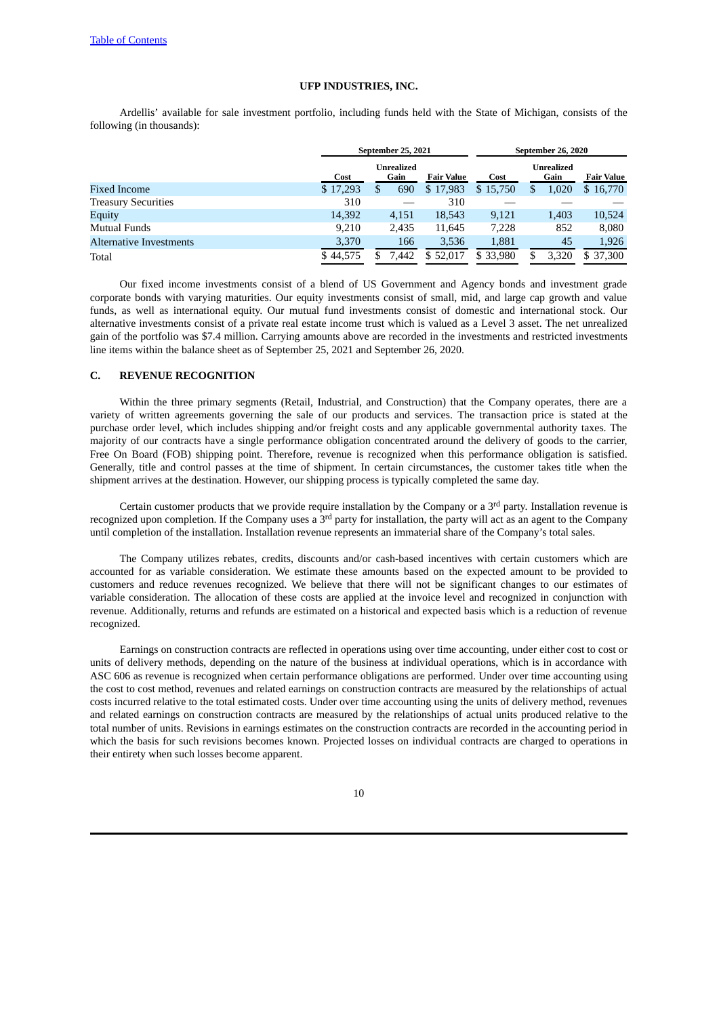Ardellis' available for sale investment portfolio, including funds held with the State of Michigan, consists of the following (in thousands):

|                            |          |   | September 25, 2021 |                   | September 26, 2020 |  |                    |                   |  |  |
|----------------------------|----------|---|--------------------|-------------------|--------------------|--|--------------------|-------------------|--|--|
|                            | Cost     |   | Unrealized<br>Gain | <b>Fair Value</b> | Cost               |  | Unrealized<br>Gain | <b>Fair Value</b> |  |  |
| Fixed Income               | \$17,293 | S | 690                | \$17,983          | \$15,750           |  | 1,020              | \$16,770          |  |  |
| <b>Treasury Securities</b> | 310      |   |                    | 310               |                    |  |                    |                   |  |  |
| Equity                     | 14,392   |   | 4,151              | 18,543            | 9,121              |  | 1,403              | 10,524            |  |  |
| <b>Mutual Funds</b>        | 9.210    |   | 2,435              | 11,645            | 7.228              |  | 852                | 8,080             |  |  |
| Alternative Investments    | 3,370    |   | 166                | 3,536             | 1,881              |  | 45                 | 1,926             |  |  |
| Total                      | \$44,575 |   | 7.442              | \$52,017          | \$33,980           |  | 3.320              | \$ 37,300         |  |  |

Our fixed income investments consist of a blend of US Government and Agency bonds and investment grade corporate bonds with varying maturities. Our equity investments consist of small, mid, and large cap growth and value funds, as well as international equity. Our mutual fund investments consist of domestic and international stock. Our alternative investments consist of a private real estate income trust which is valued as a Level 3 asset. The net unrealized gain of the portfolio was \$7.4 million. Carrying amounts above are recorded in the investments and restricted investments line items within the balance sheet as of September 25, 2021 and September 26, 2020.

# **C. REVENUE RECOGNITION**

Within the three primary segments (Retail, Industrial, and Construction) that the Company operates, there are a variety of written agreements governing the sale of our products and services. The transaction price is stated at the purchase order level, which includes shipping and/or freight costs and any applicable governmental authority taxes. The majority of our contracts have a single performance obligation concentrated around the delivery of goods to the carrier, Free On Board (FOB) shipping point. Therefore, revenue is recognized when this performance obligation is satisfied. Generally, title and control passes at the time of shipment. In certain circumstances, the customer takes title when the shipment arrives at the destination. However, our shipping process is typically completed the same day.

Certain customer products that we provide require installation by the Company or a 3<sup>rd</sup> party. Installation revenue is recognized upon completion. If the Company uses a  $3<sup>rd</sup>$  party for installation, the party will act as an agent to the Company until completion of the installation. Installation revenue represents an immaterial share of the Company's total sales.

The Company utilizes rebates, credits, discounts and/or cash-based incentives with certain customers which are accounted for as variable consideration. We estimate these amounts based on the expected amount to be provided to customers and reduce revenues recognized. We believe that there will not be significant changes to our estimates of variable consideration. The allocation of these costs are applied at the invoice level and recognized in conjunction with revenue. Additionally, returns and refunds are estimated on a historical and expected basis which is a reduction of revenue recognized.

Earnings on construction contracts are reflected in operations using over time accounting, under either cost to cost or units of delivery methods, depending on the nature of the business at individual operations, which is in accordance with ASC 606 as revenue is recognized when certain performance obligations are performed. Under over time accounting using the cost to cost method, revenues and related earnings on construction contracts are measured by the relationships of actual costs incurred relative to the total estimated costs. Under over time accounting using the units of delivery method, revenues and related earnings on construction contracts are measured by the relationships of actual units produced relative to the total number of units. Revisions in earnings estimates on the construction contracts are recorded in the accounting period in which the basis for such revisions becomes known. Projected losses on individual contracts are charged to operations in their entirety when such losses become apparent.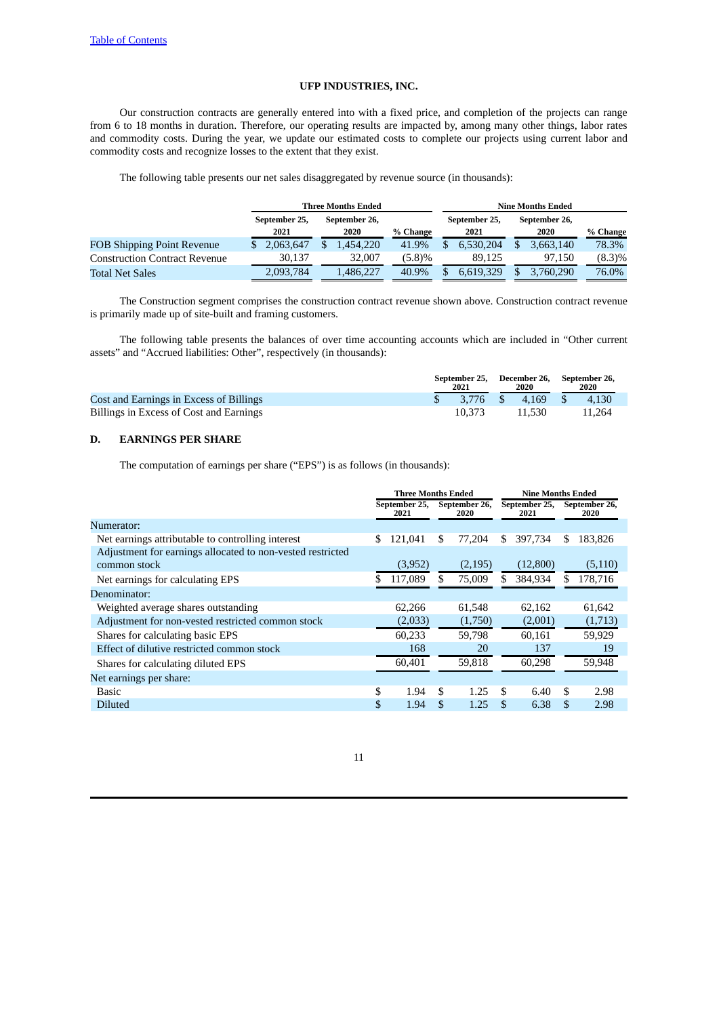Our construction contracts are generally entered into with a fixed price, and completion of the projects can range from 6 to 18 months in duration. Therefore, our operating results are impacted by, among many other things, labor rates and commodity costs. During the year, we update our estimated costs to complete our projects using current labor and commodity costs and recognize losses to the extent that they exist.

The following table presents our net sales disaggregated by revenue source (in thousands):

|                                      |               | <b>Three Months Ended</b> |               |  |          |  |               |  | <b>Nine Months Ended</b> |          |  |  |  |  |  |  |
|--------------------------------------|---------------|---------------------------|---------------|--|----------|--|---------------|--|--------------------------|----------|--|--|--|--|--|--|
|                                      | September 25, |                           | September 26, |  |          |  | September 25, |  | September 26,            |          |  |  |  |  |  |  |
|                                      | 2021          |                           | 2020          |  | % Change |  | 2021          |  | 2020                     | % Change |  |  |  |  |  |  |
| FOB Shipping Point Revenue           | 2.063.647     |                           | .454.220      |  | 41.9%    |  | 6.530.204     |  | 3,663,140                | 78.3%    |  |  |  |  |  |  |
| <b>Construction Contract Revenue</b> | 30.137        |                           | 32,007        |  | (5.8)%   |  | 89.125        |  | 97.150                   | (8.3)%   |  |  |  |  |  |  |
| Total Net Sales                      | 2,093,784     |                           | 1,486,227     |  | 40.9%    |  | 6.619.329     |  | 3.760.290                | 76.0%    |  |  |  |  |  |  |

The Construction segment comprises the construction contract revenue shown above. Construction contract revenue is primarily made up of site-built and framing customers.

The following table presents the balances of over time accounting accounts which are included in "Other current assets" and "Accrued liabilities: Other", respectively (in thousands):

|                                         | September 25, December 26, September 26,<br>2021 | 2020   | 2020   |  |
|-----------------------------------------|--------------------------------------------------|--------|--------|--|
| Cost and Earnings in Excess of Billings | $\sqrt{\$}$ 3.776 \$ 4.169 \$                    |        | 4.130  |  |
| Billings in Excess of Cost and Earnings | 10.373                                           | 11.530 | 11.264 |  |

# **D. EARNINGS PER SHARE**

The computation of earnings per share ("EPS") is as follows (in thousands):

|                                                            | <b>Three Months Ended</b>                      |         |    |          |     | <b>Nine Months Ended</b> |    |                       |  |
|------------------------------------------------------------|------------------------------------------------|---------|----|----------|-----|--------------------------|----|-----------------------|--|
|                                                            | September 25,<br>September 26,<br>2021<br>2020 |         |    |          |     | September 25,<br>2021    |    | September 26,<br>2020 |  |
| Numerator:                                                 |                                                |         |    |          |     |                          |    |                       |  |
| Net earnings attributable to controlling interest          | S                                              | 121.041 | \$ | 77.204   | S   | 397,734                  | S  | 183,826               |  |
| Adjustment for earnings allocated to non-vested restricted |                                                |         |    |          |     |                          |    |                       |  |
| common stock                                               |                                                | (3,952) |    | (2, 195) |     | (12,800)                 |    | (5, 110)              |  |
| Net earnings for calculating EPS                           | \$                                             | 117,089 | \$ | 75,009   | SS. | 384,934                  | S. | 178,716               |  |
| Denominator:                                               |                                                |         |    |          |     |                          |    |                       |  |
| Weighted average shares outstanding                        |                                                | 62,266  |    | 61,548   |     | 62.162                   |    | 61,642                |  |
| Adjustment for non-vested restricted common stock          |                                                | (2,033) |    | (1,750)  |     | (2,001)                  |    | (1,713)               |  |
| Shares for calculating basic EPS                           |                                                | 60.233  |    | 59.798   |     | 60.161                   |    | 59,929                |  |
| Effect of dilutive restricted common stock                 |                                                | 168     |    | 20       |     | 137                      |    | 19                    |  |
| Shares for calculating diluted EPS                         |                                                | 60,401  |    | 59,818   |     | 60,298                   |    | 59,948                |  |
| Net earnings per share:                                    |                                                |         |    |          |     |                          |    |                       |  |
| <b>Basic</b>                                               | \$                                             | 1.94    | ß. | 1.25     | \$  | 6.40                     | \$ | 2.98                  |  |
| <b>Diluted</b>                                             | \$                                             | 1.94    | \$ | 1.25     | \$  | 6.38                     | \$ | 2.98                  |  |
|                                                            |                                                |         |    |          |     |                          |    |                       |  |

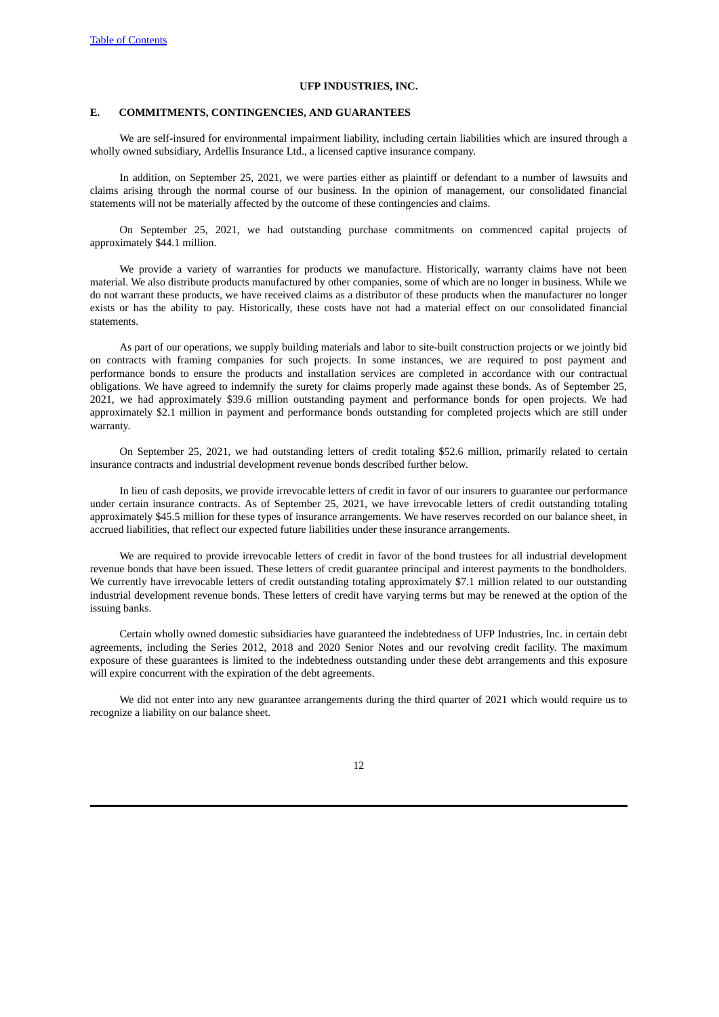#### **E. COMMITMENTS, CONTINGENCIES, AND GUARANTEES**

We are self-insured for environmental impairment liability, including certain liabilities which are insured through a wholly owned subsidiary, Ardellis Insurance Ltd., a licensed captive insurance company.

In addition, on September 25, 2021, we were parties either as plaintiff or defendant to a number of lawsuits and claims arising through the normal course of our business. In the opinion of management, our consolidated financial statements will not be materially affected by the outcome of these contingencies and claims.

On September 25, 2021, we had outstanding purchase commitments on commenced capital projects of approximately \$44.1 million.

We provide a variety of warranties for products we manufacture. Historically, warranty claims have not been material. We also distribute products manufactured by other companies, some of which are no longer in business. While we do not warrant these products, we have received claims as a distributor of these products when the manufacturer no longer exists or has the ability to pay. Historically, these costs have not had a material effect on our consolidated financial statements.

As part of our operations, we supply building materials and labor to site-built construction projects or we jointly bid on contracts with framing companies for such projects. In some instances, we are required to post payment and performance bonds to ensure the products and installation services are completed in accordance with our contractual obligations. We have agreed to indemnify the surety for claims properly made against these bonds. As of September 25, 2021, we had approximately \$39.6 million outstanding payment and performance bonds for open projects. We had approximately \$2.1 million in payment and performance bonds outstanding for completed projects which are still under warranty.

On September 25, 2021, we had outstanding letters of credit totaling \$52.6 million, primarily related to certain insurance contracts and industrial development revenue bonds described further below.

In lieu of cash deposits, we provide irrevocable letters of credit in favor of our insurers to guarantee our performance under certain insurance contracts. As of September 25, 2021, we have irrevocable letters of credit outstanding totaling approximately \$45.5 million for these types of insurance arrangements. We have reserves recorded on our balance sheet, in accrued liabilities, that reflect our expected future liabilities under these insurance arrangements.

We are required to provide irrevocable letters of credit in favor of the bond trustees for all industrial development revenue bonds that have been issued. These letters of credit guarantee principal and interest payments to the bondholders. We currently have irrevocable letters of credit outstanding totaling approximately \$7.1 million related to our outstanding industrial development revenue bonds. These letters of credit have varying terms but may be renewed at the option of the issuing banks.

Certain wholly owned domestic subsidiaries have guaranteed the indebtedness of UFP Industries, Inc. in certain debt agreements, including the Series 2012, 2018 and 2020 Senior Notes and our revolving credit facility. The maximum exposure of these guarantees is limited to the indebtedness outstanding under these debt arrangements and this exposure will expire concurrent with the expiration of the debt agreements.

We did not enter into any new guarantee arrangements during the third quarter of 2021 which would require us to recognize a liability on our balance sheet.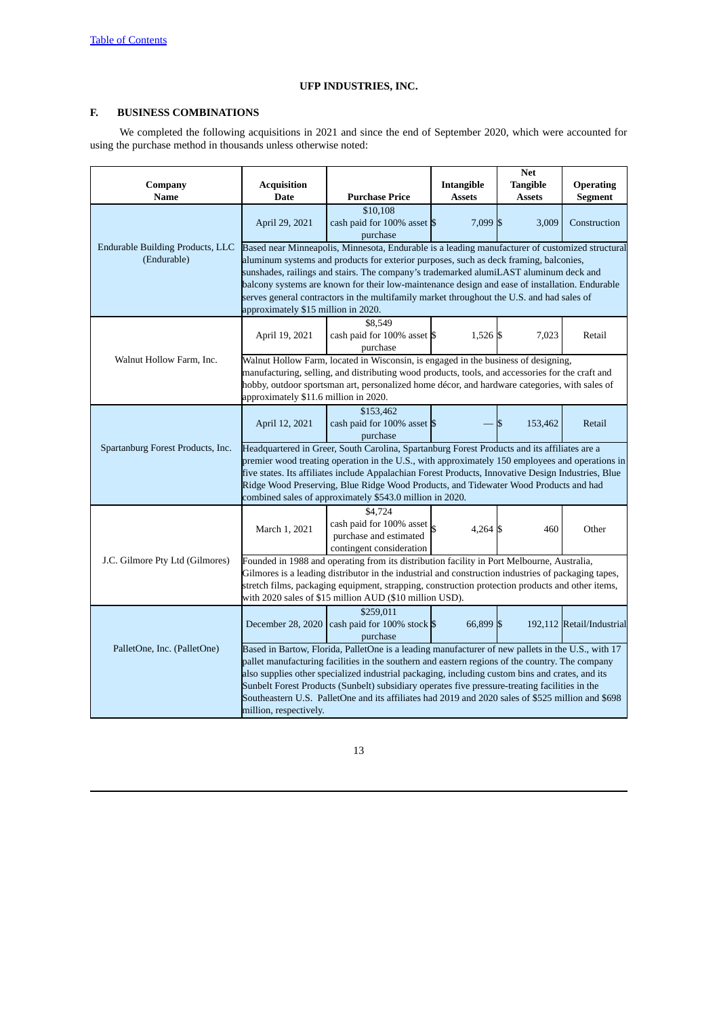# **F. BUSINESS COMBINATIONS**

We completed the following acquisitions in 2021 and since the end of September 2020, which were accounted for using the purchase method in thousands unless otherwise noted:

| Company                           | <b>Acquisition</b>                    |                                                                                                                                                                                                                                                                                                                                                                                                                                                                                  | Intangible    | <b>Net</b><br><b>Tangible</b> | <b>Operating</b>          |  |  |  |  |
|-----------------------------------|---------------------------------------|----------------------------------------------------------------------------------------------------------------------------------------------------------------------------------------------------------------------------------------------------------------------------------------------------------------------------------------------------------------------------------------------------------------------------------------------------------------------------------|---------------|-------------------------------|---------------------------|--|--|--|--|
| <b>Name</b>                       | <b>Date</b>                           | <b>Purchase Price</b>                                                                                                                                                                                                                                                                                                                                                                                                                                                            | <b>Assets</b> | <b>Assets</b>                 | <b>Segment</b>            |  |  |  |  |
|                                   |                                       | \$10,108                                                                                                                                                                                                                                                                                                                                                                                                                                                                         |               |                               |                           |  |  |  |  |
|                                   | April 29, 2021                        | cash paid for 100% asset \$                                                                                                                                                                                                                                                                                                                                                                                                                                                      | 7,099 \$      | 3,009                         | Construction              |  |  |  |  |
| Endurable Building Products, LLC  |                                       | purchase                                                                                                                                                                                                                                                                                                                                                                                                                                                                         |               |                               |                           |  |  |  |  |
| (Endurable)                       | approximately \$15 million in 2020.   | Based near Minneapolis, Minnesota, Endurable is a leading manufacturer of customized structural<br>aluminum systems and products for exterior purposes, such as deck framing, balconies,<br>sunshades, railings and stairs. The company's trademarked alumiLAST aluminum deck and<br>balcony systems are known for their low-maintenance design and ease of installation. Endurable<br>serves general contractors in the multifamily market throughout the U.S. and had sales of |               |                               |                           |  |  |  |  |
|                                   |                                       | \$8,549                                                                                                                                                                                                                                                                                                                                                                                                                                                                          |               |                               |                           |  |  |  |  |
|                                   | April 19, 2021                        | cash paid for 100% asset \$<br>purchase                                                                                                                                                                                                                                                                                                                                                                                                                                          | 1,526 \$      | 7,023                         | Retail                    |  |  |  |  |
| Walnut Hollow Farm, Inc.          |                                       | Walnut Hollow Farm, located in Wisconsin, is engaged in the business of designing,                                                                                                                                                                                                                                                                                                                                                                                               |               |                               |                           |  |  |  |  |
|                                   |                                       | manufacturing, selling, and distributing wood products, tools, and accessories for the craft and                                                                                                                                                                                                                                                                                                                                                                                 |               |                               |                           |  |  |  |  |
|                                   | approximately \$11.6 million in 2020. | hobby, outdoor sportsman art, personalized home décor, and hardware categories, with sales of                                                                                                                                                                                                                                                                                                                                                                                    |               |                               |                           |  |  |  |  |
|                                   |                                       | \$153,462                                                                                                                                                                                                                                                                                                                                                                                                                                                                        |               |                               |                           |  |  |  |  |
|                                   | April 12, 2021                        | cash paid for 100% asset \$<br>purchase                                                                                                                                                                                                                                                                                                                                                                                                                                          |               | \$<br>153,462                 | Retail                    |  |  |  |  |
| Spartanburg Forest Products, Inc. |                                       | Headquartered in Greer, South Carolina, Spartanburg Forest Products and its affiliates are a                                                                                                                                                                                                                                                                                                                                                                                     |               |                               |                           |  |  |  |  |
|                                   |                                       | premier wood treating operation in the U.S., with approximately 150 employees and operations in                                                                                                                                                                                                                                                                                                                                                                                  |               |                               |                           |  |  |  |  |
|                                   |                                       | five states. Its affiliates include Appalachian Forest Products, Innovative Design Industries, Blue<br>Ridge Wood Preserving, Blue Ridge Wood Products, and Tidewater Wood Products and had                                                                                                                                                                                                                                                                                      |               |                               |                           |  |  |  |  |
|                                   |                                       | combined sales of approximately \$543.0 million in 2020.                                                                                                                                                                                                                                                                                                                                                                                                                         |               |                               |                           |  |  |  |  |
|                                   |                                       | \$4,724                                                                                                                                                                                                                                                                                                                                                                                                                                                                          |               |                               |                           |  |  |  |  |
|                                   | March 1, 2021                         | cash paid for 100% asset $\int$<br>purchase and estimated                                                                                                                                                                                                                                                                                                                                                                                                                        | 4,264 \$      | 460                           | Other                     |  |  |  |  |
|                                   |                                       | contingent consideration                                                                                                                                                                                                                                                                                                                                                                                                                                                         |               |                               |                           |  |  |  |  |
| J.C. Gilmore Pty Ltd (Gilmores)   |                                       | Founded in 1988 and operating from its distribution facility in Port Melbourne, Australia,                                                                                                                                                                                                                                                                                                                                                                                       |               |                               |                           |  |  |  |  |
|                                   |                                       | Gilmores is a leading distributor in the industrial and construction industries of packaging tapes,<br>stretch films, packaging equipment, strapping, construction protection products and other items,                                                                                                                                                                                                                                                                          |               |                               |                           |  |  |  |  |
|                                   |                                       | with 2020 sales of \$15 million AUD (\$10 million USD).                                                                                                                                                                                                                                                                                                                                                                                                                          |               |                               |                           |  |  |  |  |
|                                   |                                       | \$259.011                                                                                                                                                                                                                                                                                                                                                                                                                                                                        |               |                               |                           |  |  |  |  |
|                                   | December 28, 2020                     | cash paid for 100% stock \$                                                                                                                                                                                                                                                                                                                                                                                                                                                      | 66,899 \$     |                               | 192,112 Retail/Industrial |  |  |  |  |
| PalletOne, Inc. (PalletOne)       |                                       | purchase<br>Based in Bartow, Florida, PalletOne is a leading manufacturer of new pallets in the U.S., with 17                                                                                                                                                                                                                                                                                                                                                                    |               |                               |                           |  |  |  |  |
|                                   |                                       | pallet manufacturing facilities in the southern and eastern regions of the country. The company                                                                                                                                                                                                                                                                                                                                                                                  |               |                               |                           |  |  |  |  |
|                                   |                                       | also supplies other specialized industrial packaging, including custom bins and crates, and its                                                                                                                                                                                                                                                                                                                                                                                  |               |                               |                           |  |  |  |  |
|                                   |                                       | Sunbelt Forest Products (Sunbelt) subsidiary operates five pressure-treating facilities in the<br>Southeastern U.S. PalletOne and its affiliates had 2019 and 2020 sales of \$525 million and \$698                                                                                                                                                                                                                                                                              |               |                               |                           |  |  |  |  |
|                                   | million, respectively.                |                                                                                                                                                                                                                                                                                                                                                                                                                                                                                  |               |                               |                           |  |  |  |  |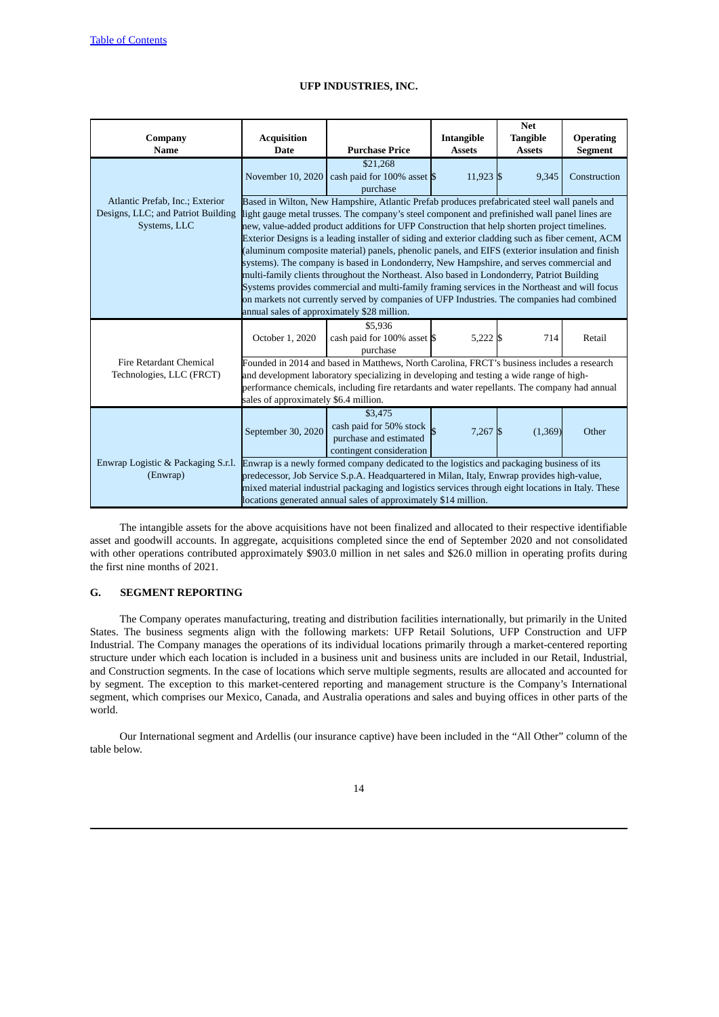| Company<br><b>Name</b>                                                                | <b>Acquisition</b><br><b>Date</b>                                                                                                                                                                                                                                                                                                                                                                                                                                                                                                                                                                                                                                                                                                                                                                                                                                                             | <b>Purchase Price</b>                                                                                                                                                                                                                                                                                                                                            | Intangible<br><b>Assets</b> | <b>Net</b><br><b>Tangible</b><br><b>Assets</b> | <b>Operating</b><br><b>Segment</b> |  |  |  |
|---------------------------------------------------------------------------------------|-----------------------------------------------------------------------------------------------------------------------------------------------------------------------------------------------------------------------------------------------------------------------------------------------------------------------------------------------------------------------------------------------------------------------------------------------------------------------------------------------------------------------------------------------------------------------------------------------------------------------------------------------------------------------------------------------------------------------------------------------------------------------------------------------------------------------------------------------------------------------------------------------|------------------------------------------------------------------------------------------------------------------------------------------------------------------------------------------------------------------------------------------------------------------------------------------------------------------------------------------------------------------|-----------------------------|------------------------------------------------|------------------------------------|--|--|--|
|                                                                                       | November 10, 2020                                                                                                                                                                                                                                                                                                                                                                                                                                                                                                                                                                                                                                                                                                                                                                                                                                                                             | \$21,268<br>cash paid for 100% asset \$<br>purchase                                                                                                                                                                                                                                                                                                              | $11,923$ \$                 | 9,345                                          | Construction                       |  |  |  |
| Atlantic Prefab, Inc.; Exterior<br>Designs, LLC; and Patriot Building<br>Systems, LLC | Based in Wilton, New Hampshire, Atlantic Prefab produces prefabricated steel wall panels and<br>light gauge metal trusses. The company's steel component and prefinished wall panel lines are<br>new, value-added product additions for UFP Construction that help shorten project timelines.<br>Exterior Designs is a leading installer of siding and exterior cladding such as fiber cement, ACM<br>(aluminum composite material) panels, phenolic panels, and EIFS (exterior insulation and finish<br>systems). The company is based in Londonderry, New Hampshire, and serves commercial and<br>multi-family clients throughout the Northeast. Also based in Londonderry, Patriot Building<br>Systems provides commercial and multi-family framing services in the Northeast and will focus<br>on markets not currently served by companies of UFP Industries. The companies had combined |                                                                                                                                                                                                                                                                                                                                                                  |                             |                                                |                                    |  |  |  |
|                                                                                       |                                                                                                                                                                                                                                                                                                                                                                                                                                                                                                                                                                                                                                                                                                                                                                                                                                                                                               | annual sales of approximately \$28 million.                                                                                                                                                                                                                                                                                                                      |                             |                                                |                                    |  |  |  |
|                                                                                       | October 1, 2020                                                                                                                                                                                                                                                                                                                                                                                                                                                                                                                                                                                                                                                                                                                                                                                                                                                                               | \$5,936<br>cash paid for 100% asset \$<br>purchase                                                                                                                                                                                                                                                                                                               | $5,222$ \$                  | 714                                            | Retail                             |  |  |  |
| Fire Retardant Chemical<br>Technologies, LLC (FRCT)                                   | Founded in 2014 and based in Matthews, North Carolina, FRCT's business includes a research<br>and development laboratory specializing in developing and testing a wide range of high-<br>performance chemicals, including fire retardants and water repellants. The company had annual<br>sales of approximately \$6.4 million.                                                                                                                                                                                                                                                                                                                                                                                                                                                                                                                                                               |                                                                                                                                                                                                                                                                                                                                                                  |                             |                                                |                                    |  |  |  |
|                                                                                       | September 30, 2020                                                                                                                                                                                                                                                                                                                                                                                                                                                                                                                                                                                                                                                                                                                                                                                                                                                                            | \$3,475<br>cash paid for 50% stock<br>purchase and estimated<br>contingent consideration                                                                                                                                                                                                                                                                         | 7,267 \$                    | (1,369)                                        | Other                              |  |  |  |
| Enwrap Logistic & Packaging S.r.l.<br>(Enwrap)                                        |                                                                                                                                                                                                                                                                                                                                                                                                                                                                                                                                                                                                                                                                                                                                                                                                                                                                                               | Enwrap is a newly formed company dedicated to the logistics and packaging business of its<br>predecessor, Job Service S.p.A. Headquartered in Milan, Italy, Enwrap provides high-value,<br>mixed material industrial packaging and logistics services through eight locations in Italy. These<br>locations generated annual sales of approximately \$14 million. |                             |                                                |                                    |  |  |  |

The intangible assets for the above acquisitions have not been finalized and allocated to their respective identifiable asset and goodwill accounts. In aggregate, acquisitions completed since the end of September 2020 and not consolidated with other operations contributed approximately \$903.0 million in net sales and \$26.0 million in operating profits during the first nine months of 2021.

### **G. SEGMENT REPORTING**

The Company operates manufacturing, treating and distribution facilities internationally, but primarily in the United States. The business segments align with the following markets: UFP Retail Solutions, UFP Construction and UFP Industrial. The Company manages the operations of its individual locations primarily through a market-centered reporting structure under which each location is included in a business unit and business units are included in our Retail, Industrial, and Construction segments. In the case of locations which serve multiple segments, results are allocated and accounted for by segment. The exception to this market-centered reporting and management structure is the Company's International segment, which comprises our Mexico, Canada, and Australia operations and sales and buying offices in other parts of the world.

Our International segment and Ardellis (our insurance captive) have been included in the "All Other" column of the table below.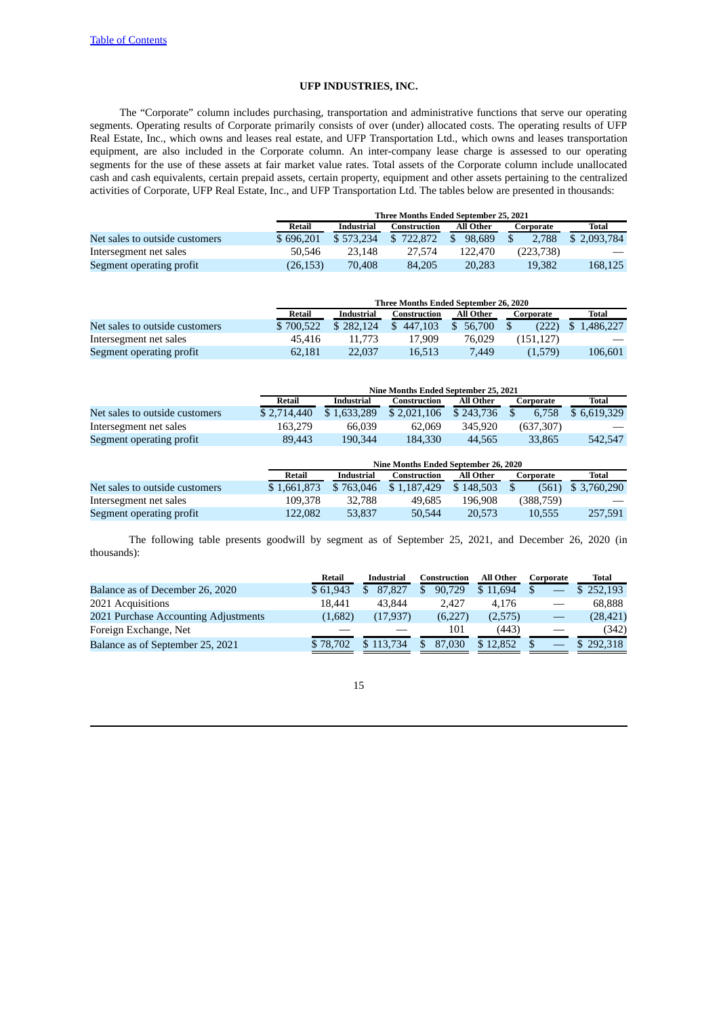The "Corporate" column includes purchasing, transportation and administrative functions that serve our operating segments. Operating results of Corporate primarily consists of over (under) allocated costs. The operating results of UFP Real Estate, Inc., which owns and leases real estate, and UFP Transportation Ltd., which owns and leases transportation equipment, are also included in the Corporate column. An inter-company lease charge is assessed to our operating segments for the use of these assets at fair market value rates. Total assets of the Corporate column include unallocated cash and cash equivalents, certain prepaid assets, certain property, equipment and other assets pertaining to the centralized activities of Corporate, UFP Real Estate, Inc., and UFP Transportation Ltd. The tables below are presented in thousands:

|                                |           | <b>Three Months Ended September 25, 2021</b> |              |                         |           |             |  |  |  |
|--------------------------------|-----------|----------------------------------------------|--------------|-------------------------|-----------|-------------|--|--|--|
|                                | Retail    | Industrial                                   | Construction | All Other               | Corporate | Total       |  |  |  |
| Net sales to outside customers | \$696,201 | \$573.234                                    | \$722,872    | 98.689<br><sup>\$</sup> | 2.788     | \$2.093.784 |  |  |  |
| Intersegment net sales         | 50,546    | 23.148                                       | 27,574       | 122.470                 | (223.738) |             |  |  |  |
| Segment operating profit       | (26, 153) | 70,408                                       | 84,205       | 20,283                  | 19.382    | 168.125     |  |  |  |

|                                |           | <b>Three Months Ended September 26, 2020</b> |              |           |           |              |  |  |
|--------------------------------|-----------|----------------------------------------------|--------------|-----------|-----------|--------------|--|--|
|                                | Retail    | <b>Industrial</b>                            | Construction | All Other | Corporate | <b>Total</b> |  |  |
| Net sales to outside customers | \$700.522 | \$282.124                                    | \$447,103    | \$ 56,700 | (222)     | 1,486,227    |  |  |
| Intersegment net sales         | 45.416    | 11.773                                       | 17.909       | 76.029    | (151.127  |              |  |  |
| Segment operating profit       | 62.181    | 22.037                                       | 16.513       | 7.449     | (1,579)   | 106.601      |  |  |

|                                |             | Nine Months Ended September 25, 2021 |              |                  |           |             |  |  |  |
|--------------------------------|-------------|--------------------------------------|--------------|------------------|-----------|-------------|--|--|--|
|                                | Retail      | <b>Industrial</b>                    | Construction | <b>All Other</b> | Corporate | Total       |  |  |  |
| Net sales to outside customers | \$2,714,440 | \$1,633,289                          | \$2,021,106  | \$243.736        | 6.758     | \$6.619.329 |  |  |  |
| Intersegment net sales         | 163.279     | 66.039                               | 62,069       | 345.920          | (637.307) |             |  |  |  |
| Segment operating profit       | 89,443      | 190.344                              | 184,330      | 44.565           | 33,865    | 542,547     |  |  |  |

|                                |             | Nine Months Ended September 26, 2020 |              |           |           |             |  |  |  |
|--------------------------------|-------------|--------------------------------------|--------------|-----------|-----------|-------------|--|--|--|
|                                | Retail      | Industrial                           | Construction | All Other | Corporate | Total       |  |  |  |
| Net sales to outside customers | \$1.661.873 | \$763,046                            | \$1,187,429  | \$148.503 | (561)     | \$3,760,290 |  |  |  |
| Intersegment net sales         | 109.378     | 32,788                               | 49.685       | 196.908   | (388.759) |             |  |  |  |
| Segment operating profit       | 122.082     | 53.837                               | 50,544       | 20.573    | 10.555    | 257,591     |  |  |  |

The following table presents goodwill by segment as of September 25, 2021, and December 26, 2020 (in thousands):

|                                      | Retail   | <b>Industrial</b> | Construction  | All Other | Corporate | Total     |
|--------------------------------------|----------|-------------------|---------------|-----------|-----------|-----------|
| Balance as of December 26, 2020      | \$61.943 | 87,827            | \$.<br>90,729 | \$11,694  |           | \$252.193 |
| 2021 Acquisitions                    | 18.441   | 43.844            | 2.427         | 4.176     |           | 68,888    |
| 2021 Purchase Accounting Adjustments | (1.682)  | (17, 937)         | (6,227)       | (2,575)   |           | (28, 421) |
| Foreign Exchange, Net                |          |                   | 101           | (443)     |           | (342)     |
| Balance as of September 25, 2021     | \$78,702 | \$113,734         | 87,030<br>\$  | \$12.852  |           | \$292,318 |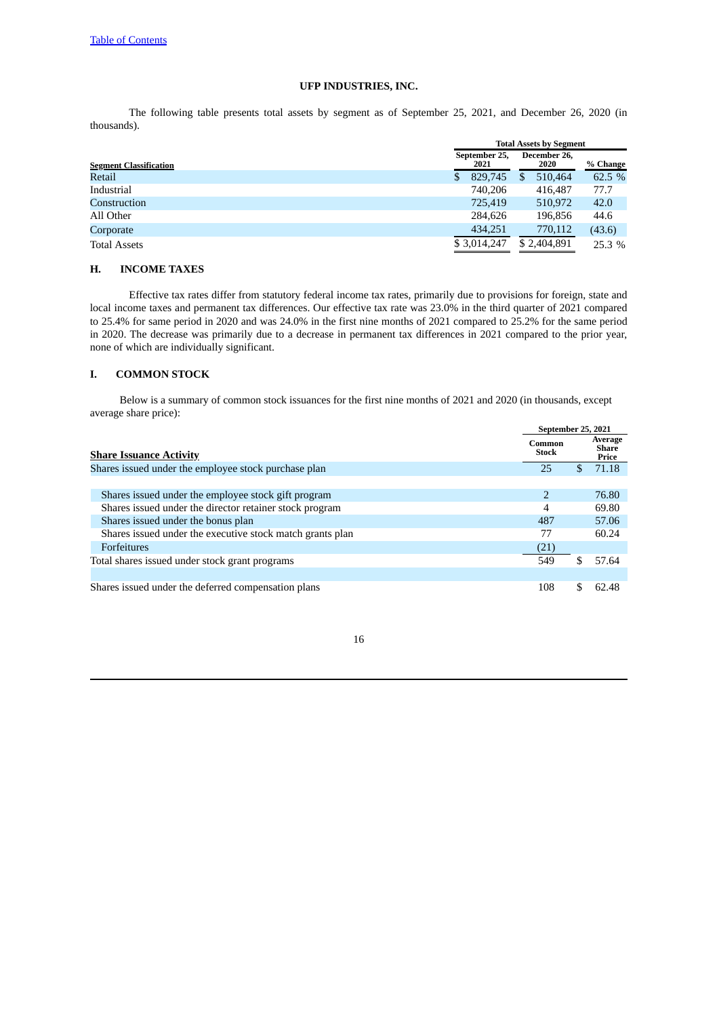The following table presents total assets by segment as of September 25, 2021, and December 26, 2020 (in thousands).

|                               | <b>Total Assets by Segment</b> |             |                      |             |          |  |
|-------------------------------|--------------------------------|-------------|----------------------|-------------|----------|--|
| <b>Segment Classification</b> | September 25,<br>2021          |             | December 26,<br>2020 |             | % Change |  |
| Retail                        | S.                             | 829,745     |                      | 510.464     | 62.5 %   |  |
| Industrial                    |                                | 740.206     |                      | 416.487     | 77.7     |  |
| Construction                  |                                | 725,419     |                      | 510,972     | 42.0     |  |
| All Other                     |                                | 284,626     |                      | 196.856     | 44.6     |  |
| Corporate                     |                                | 434.251     |                      | 770,112     | (43.6)   |  |
| <b>Total Assets</b>           |                                | \$3.014.247 |                      | \$2,404,891 | 25.3 %   |  |

#### **H. INCOME TAXES**

Effective tax rates differ from statutory federal income tax rates, primarily due to provisions for foreign, state and local income taxes and permanent tax differences. Our effective tax rate was 23.0% in the third quarter of 2021 compared to 25.4% for same period in 2020 and was 24.0% in the first nine months of 2021 compared to 25.2% for the same period in 2020. The decrease was primarily due to a decrease in permanent tax differences in 2021 compared to the prior year, none of which are individually significant.

## **I. COMMON STOCK**

Below is a summary of common stock issuances for the first nine months of 2021 and 2020 (in thousands, except average share price):

|                                                           | September 25, 2021     |     |                                  |
|-----------------------------------------------------------|------------------------|-----|----------------------------------|
| <b>Share Issuance Activity</b>                            | Common<br><b>Stock</b> |     | Average<br><b>Share</b><br>Price |
| Shares issued under the employee stock purchase plan      | 25                     | £.  | 71.18                            |
|                                                           |                        |     |                                  |
| Shares issued under the employee stock gift program       | 2                      |     | 76.80                            |
| Shares issued under the director retainer stock program   | 4                      |     | 69.80                            |
| Shares issued under the bonus plan                        | 487                    |     | 57.06                            |
| Shares issued under the executive stock match grants plan | 77                     |     | 60.24                            |
| <b>Forfeitures</b>                                        | (21)                   |     |                                  |
| Total shares issued under stock grant programs            | 549                    | \$  | 57.64                            |
|                                                           |                        |     |                                  |
| Shares issued under the deferred compensation plans       | 108                    | \$. | 62.48                            |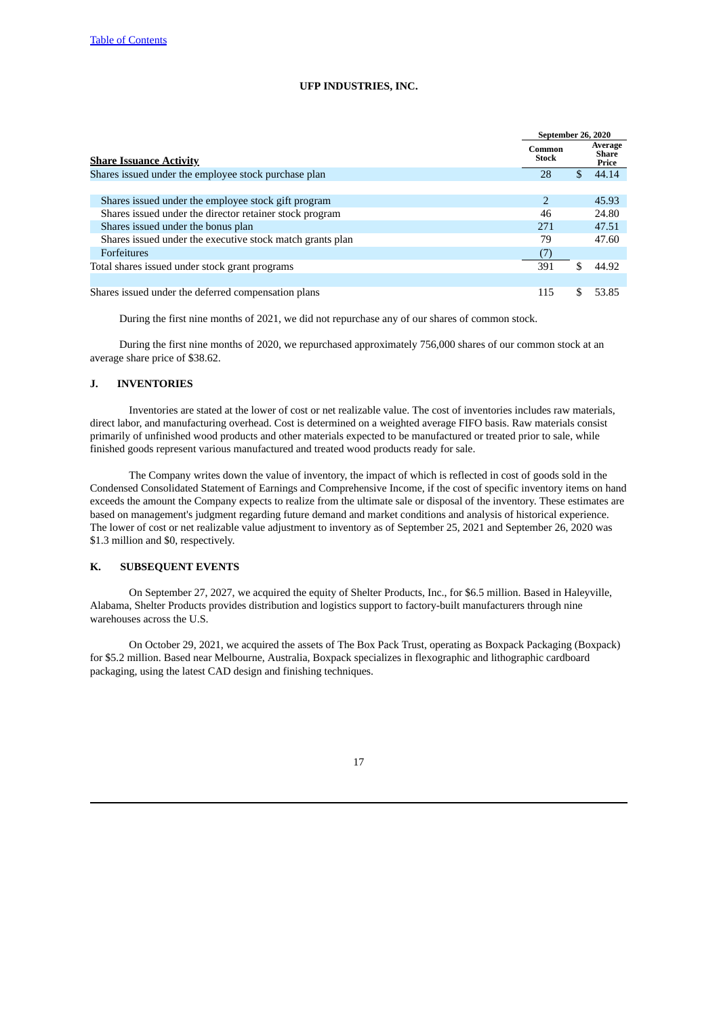|                                                           | September 26, 2020     |     |                           |
|-----------------------------------------------------------|------------------------|-----|---------------------------|
| <b>Share Issuance Activity</b>                            | Common<br><b>Stock</b> |     | Average<br>Share<br>Price |
| Shares issued under the employee stock purchase plan      | 28                     | \$. | 44.14                     |
|                                                           |                        |     |                           |
| Shares issued under the employee stock gift program       | 2                      |     | 45.93                     |
| Shares issued under the director retainer stock program   | 46                     |     | 24.80                     |
| Shares issued under the bonus plan                        | 271                    |     | 47.51                     |
| Shares issued under the executive stock match grants plan | 79                     |     | 47.60                     |
| <b>Forfeitures</b>                                        | (7)                    |     |                           |
| Total shares issued under stock grant programs            | 391                    | \$  | 44.92                     |
|                                                           |                        |     |                           |
| Shares issued under the deferred compensation plans       | 115                    | S.  | 53.85                     |

During the first nine months of 2021, we did not repurchase any of our shares of common stock.

During the first nine months of 2020, we repurchased approximately 756,000 shares of our common stock at an average share price of \$38.62.

#### **J. INVENTORIES**

Inventories are stated at the lower of cost or net realizable value. The cost of inventories includes raw materials, direct labor, and manufacturing overhead. Cost is determined on a weighted average FIFO basis. Raw materials consist primarily of unfinished wood products and other materials expected to be manufactured or treated prior to sale, while finished goods represent various manufactured and treated wood products ready for sale.

The Company writes down the value of inventory, the impact of which is reflected in cost of goods sold in the Condensed Consolidated Statement of Earnings and Comprehensive Income, if the cost of specific inventory items on hand exceeds the amount the Company expects to realize from the ultimate sale or disposal of the inventory. These estimates are based on management's judgment regarding future demand and market conditions and analysis of historical experience. The lower of cost or net realizable value adjustment to inventory as of September 25, 2021 and September 26, 2020 was \$1.3 million and \$0, respectively.

# **K. SUBSEQUENT EVENTS**

On September 27, 2027, we acquired the equity of Shelter Products, Inc., for \$6.5 million. Based in Haleyville, Alabama, Shelter Products provides distribution and logistics support to factory-built manufacturers through nine warehouses across the U.S.

On October 29, 2021, we acquired the assets of The Box Pack Trust, operating as Boxpack Packaging (Boxpack) for \$5.2 million. Based near Melbourne, Australia, Boxpack specializes in flexographic and lithographic cardboard packaging, using the latest CAD design and finishing techniques.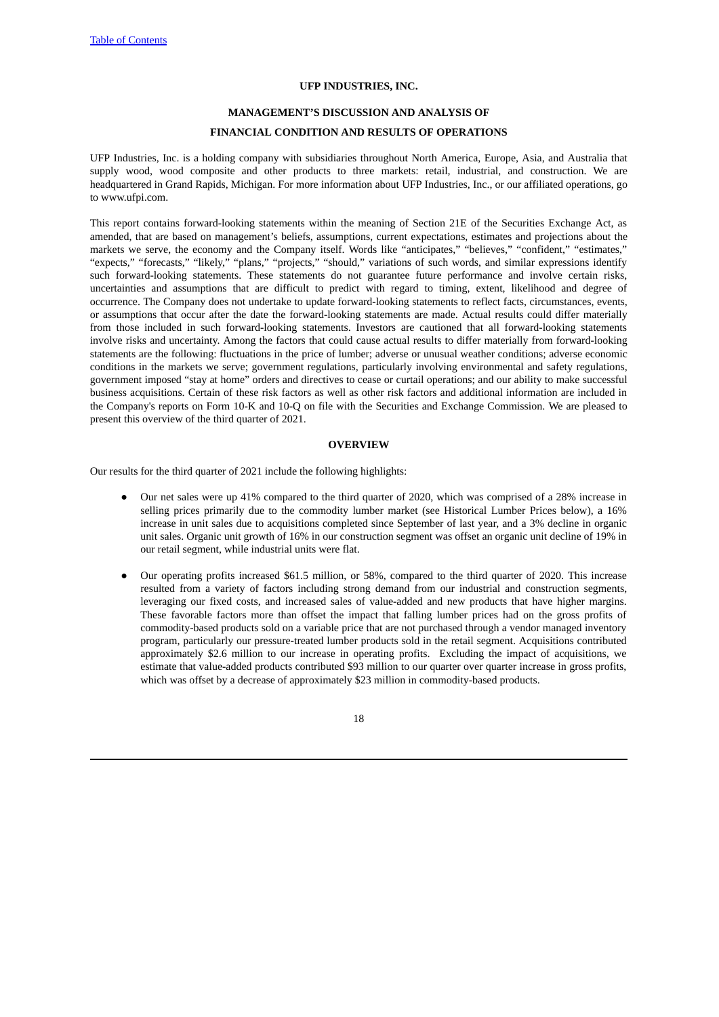#### **MANAGEMENT'S DISCUSSION AND ANALYSIS OF**

#### **FINANCIAL CONDITION AND RESULTS OF OPERATIONS**

<span id="page-17-0"></span>UFP Industries, Inc. is a holding company with subsidiaries throughout North America, Europe, Asia, and Australia that supply wood, wood composite and other products to three markets: retail, industrial, and construction. We are headquartered in Grand Rapids, Michigan. For more information about UFP Industries, Inc., or our affiliated operations, go to www.ufpi.com.

This report contains forward-looking statements within the meaning of Section 21E of the Securities Exchange Act, as amended, that are based on management's beliefs, assumptions, current expectations, estimates and projections about the markets we serve, the economy and the Company itself. Words like "anticipates," "believes," "confident," "estimates," "expects," "forecasts," "likely," "plans," "projects," "should," variations of such words, and similar expressions identify such forward-looking statements. These statements do not guarantee future performance and involve certain risks, uncertainties and assumptions that are difficult to predict with regard to timing, extent, likelihood and degree of occurrence. The Company does not undertake to update forward-looking statements to reflect facts, circumstances, events, or assumptions that occur after the date the forward-looking statements are made. Actual results could differ materially from those included in such forward-looking statements. Investors are cautioned that all forward-looking statements involve risks and uncertainty. Among the factors that could cause actual results to differ materially from forward-looking statements are the following: fluctuations in the price of lumber; adverse or unusual weather conditions; adverse economic conditions in the markets we serve; government regulations, particularly involving environmental and safety regulations, government imposed "stay at home" orders and directives to cease or curtail operations; and our ability to make successful business acquisitions. Certain of these risk factors as well as other risk factors and additional information are included in the Company's reports on Form 10-K and 10-Q on file with the Securities and Exchange Commission. We are pleased to present this overview of the third quarter of 2021.

#### **OVERVIEW**

Our results for the third quarter of 2021 include the following highlights:

- Our net sales were up 41% compared to the third quarter of 2020, which was comprised of a 28% increase in selling prices primarily due to the commodity lumber market (see Historical Lumber Prices below), a 16% increase in unit sales due to acquisitions completed since September of last year, and a 3% decline in organic unit sales. Organic unit growth of 16% in our construction segment was offset an organic unit decline of 19% in our retail segment, while industrial units were flat.
- Our operating profits increased \$61.5 million, or 58%, compared to the third quarter of 2020. This increase resulted from a variety of factors including strong demand from our industrial and construction segments, leveraging our fixed costs, and increased sales of value-added and new products that have higher margins. These favorable factors more than offset the impact that falling lumber prices had on the gross profits of commodity-based products sold on a variable price that are not purchased through a vendor managed inventory program, particularly our pressure-treated lumber products sold in the retail segment. Acquisitions contributed approximately \$2.6 million to our increase in operating profits. Excluding the impact of acquisitions, we estimate that value-added products contributed \$93 million to our quarter over quarter increase in gross profits, which was offset by a decrease of approximately \$23 million in commodity-based products.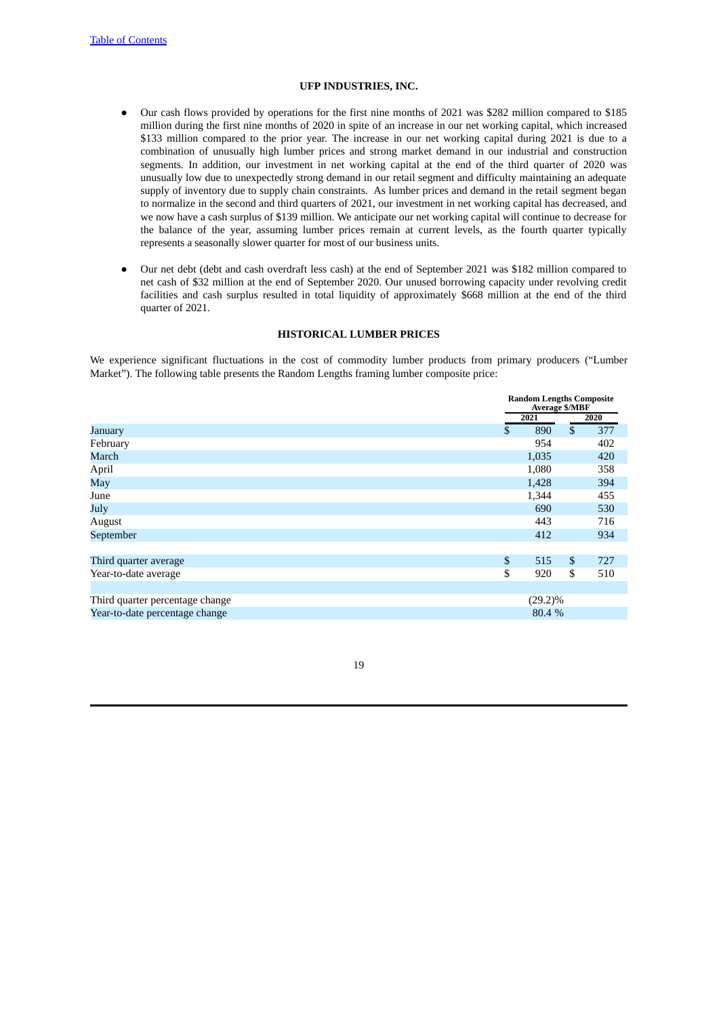- Our cash flows provided by operations for the first nine months of 2021 was \$282 million compared to \$185 million during the first nine months of 2020 in spite of an increase in our net working capital, which increased \$133 million compared to the prior year. The increase in our net working capital during 2021 is due to a combination of unusually high lumber prices and strong market demand in our industrial and construction segments. In addition, our investment in net working capital at the end of the third quarter of 2020 was unusually low due to unexpectedly strong demand in our retail segment and difficulty maintaining an adequate supply of inventory due to supply chain constraints. As lumber prices and demand in the retail segment began to normalize in the second and third quarters of 2021, our investment in net working capital has decreased, and we now have a cash surplus of \$139 million. We anticipate our net working capital will continue to decrease for the balance of the year, assuming lumber prices remain at current levels, as the fourth quarter typically represents a seasonally slower quarter for most of our business units.
- Our net debt (debt and cash overdraft less cash) at the end of September 2021 was \$182 million compared to net cash of \$32 million at the end of September 2020. Our unused borrowing capacity under revolving credit facilities and cash surplus resulted in total liquidity of approximately \$668 million at the end of the third quarter of 2021.

### **HISTORICAL LUMBER PRICES**

We experience significant fluctuations in the cost of commodity lumber products from primary producers ("Lumber Market"). The following table presents the Random Lengths framing lumber composite price:

|                                 | <b>Random Lengths Composite</b><br>Average \$/MBF |              |      |  |
|---------------------------------|---------------------------------------------------|--------------|------|--|
|                                 | 2021                                              |              | 2020 |  |
| January                         | \$<br>890                                         | $\mathbb{S}$ | 377  |  |
| February                        | 954                                               |              | 402  |  |
| March                           | 1,035                                             |              | 420  |  |
| April                           | 1,080                                             |              | 358  |  |
| May                             | 1,428                                             |              | 394  |  |
| June                            | 1,344                                             |              | 455  |  |
| July                            | 690                                               |              | 530  |  |
| August                          | 443                                               |              | 716  |  |
| September                       | 412                                               |              | 934  |  |
|                                 |                                                   |              |      |  |
| Third quarter average           | \$<br>515                                         | $\mathbb{S}$ | 727  |  |
| Year-to-date average            | \$<br>920                                         | \$           | 510  |  |
|                                 |                                                   |              |      |  |
| Third quarter percentage change | $(29.2)\%$                                        |              |      |  |
| Year-to-date percentage change  | 80.4 %                                            |              |      |  |

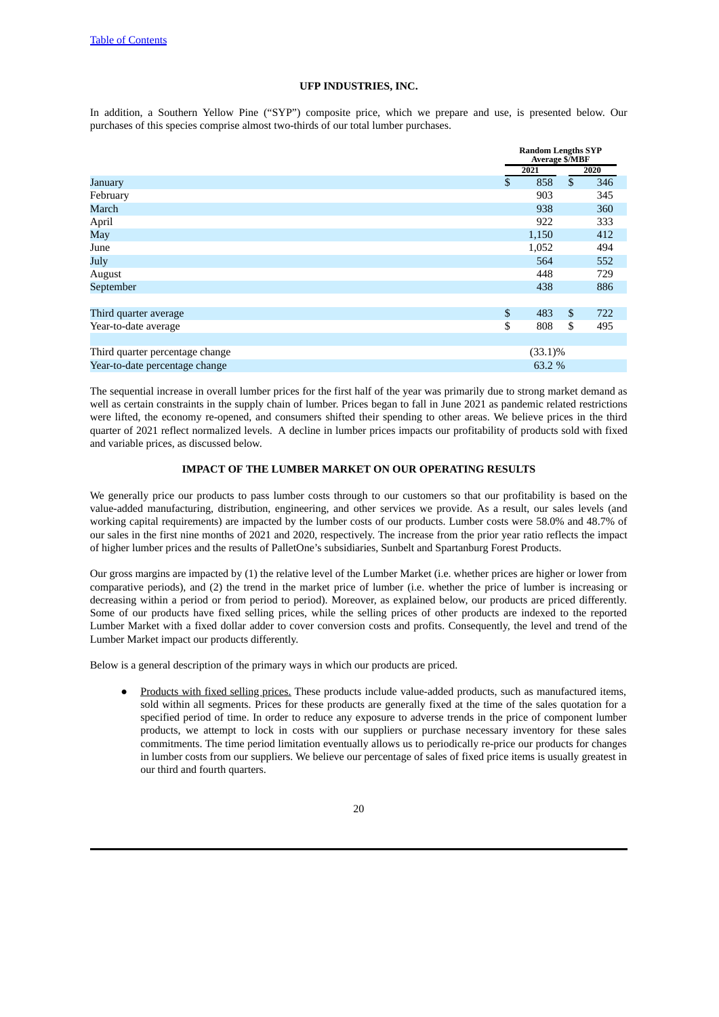In addition, a Southern Yellow Pine ("SYP") composite price, which we prepare and use, is presented below. Our purchases of this species comprise almost two-thirds of our total lumber purchases.

|                                 | <b>Random Lengths SYP</b><br><b>Average \$/MBF</b> |              |      |  |
|---------------------------------|----------------------------------------------------|--------------|------|--|
|                                 | 2021                                               |              | 2020 |  |
| January                         | \$<br>858                                          | $\mathbb{S}$ | 346  |  |
| February                        | 903                                                |              | 345  |  |
| March                           | 938                                                |              | 360  |  |
| April                           | 922                                                |              | 333  |  |
| May                             | 1,150                                              |              | 412  |  |
| June                            | 1,052                                              |              | 494  |  |
| July                            | 564                                                |              | 552  |  |
| August                          | 448                                                |              | 729  |  |
| September                       | 438                                                |              | 886  |  |
|                                 |                                                    |              |      |  |
| Third quarter average           | \$<br>483                                          | $\mathbb{S}$ | 722  |  |
| Year-to-date average            | \$<br>808                                          | \$           | 495  |  |
|                                 |                                                    |              |      |  |
| Third quarter percentage change | $(33.1)\%$                                         |              |      |  |
| Year-to-date percentage change  | 63.2 %                                             |              |      |  |

The sequential increase in overall lumber prices for the first half of the year was primarily due to strong market demand as well as certain constraints in the supply chain of lumber. Prices began to fall in June 2021 as pandemic related restrictions were lifted, the economy re-opened, and consumers shifted their spending to other areas. We believe prices in the third quarter of 2021 reflect normalized levels. A decline in lumber prices impacts our profitability of products sold with fixed and variable prices, as discussed below.

#### **IMPACT OF THE LUMBER MARKET ON OUR OPERATING RESULTS**

We generally price our products to pass lumber costs through to our customers so that our profitability is based on the value-added manufacturing, distribution, engineering, and other services we provide. As a result, our sales levels (and working capital requirements) are impacted by the lumber costs of our products. Lumber costs were 58.0% and 48.7% of our sales in the first nine months of 2021 and 2020, respectively. The increase from the prior year ratio reflects the impact of higher lumber prices and the results of PalletOne's subsidiaries, Sunbelt and Spartanburg Forest Products.

Our gross margins are impacted by (1) the relative level of the Lumber Market (i.e. whether prices are higher or lower from comparative periods), and (2) the trend in the market price of lumber (i.e. whether the price of lumber is increasing or decreasing within a period or from period to period). Moreover, as explained below, our products are priced differently. Some of our products have fixed selling prices, while the selling prices of other products are indexed to the reported Lumber Market with a fixed dollar adder to cover conversion costs and profits. Consequently, the level and trend of the Lumber Market impact our products differently.

Below is a general description of the primary ways in which our products are priced.

Products with fixed selling prices. These products include value-added products, such as manufactured items, sold within all segments. Prices for these products are generally fixed at the time of the sales quotation for a specified period of time. In order to reduce any exposure to adverse trends in the price of component lumber products, we attempt to lock in costs with our suppliers or purchase necessary inventory for these sales commitments. The time period limitation eventually allows us to periodically re-price our products for changes in lumber costs from our suppliers. We believe our percentage of sales of fixed price items is usually greatest in our third and fourth quarters.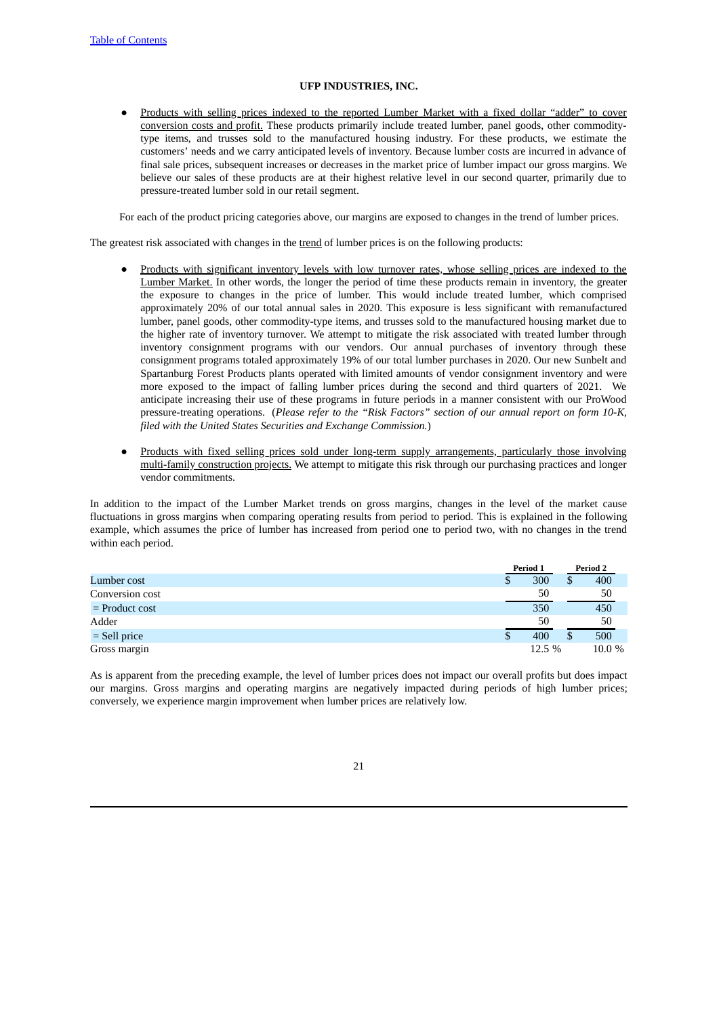Products with selling prices indexed to the reported Lumber Market with a fixed dollar "adder" to cover conversion costs and profit. These products primarily include treated lumber, panel goods, other commoditytype items, and trusses sold to the manufactured housing industry. For these products, we estimate the customers' needs and we carry anticipated levels of inventory. Because lumber costs are incurred in advance of final sale prices, subsequent increases or decreases in the market price of lumber impact our gross margins. We believe our sales of these products are at their highest relative level in our second quarter, primarily due to pressure-treated lumber sold in our retail segment.

For each of the product pricing categories above, our margins are exposed to changes in the trend of lumber prices.

The greatest risk associated with changes in the trend of lumber prices is on the following products:

- Products with significant inventory levels with low turnover rates, whose selling prices are indexed to the Lumber Market. In other words, the longer the period of time these products remain in inventory, the greater the exposure to changes in the price of lumber. This would include treated lumber, which comprised approximately 20% of our total annual sales in 2020. This exposure is less significant with remanufactured lumber, panel goods, other commodity-type items, and trusses sold to the manufactured housing market due to the higher rate of inventory turnover. We attempt to mitigate the risk associated with treated lumber through inventory consignment programs with our vendors. Our annual purchases of inventory through these consignment programs totaled approximately 19% of our total lumber purchases in 2020. Our new Sunbelt and Spartanburg Forest Products plants operated with limited amounts of vendor consignment inventory and were more exposed to the impact of falling lumber prices during the second and third quarters of 2021. We anticipate increasing their use of these programs in future periods in a manner consistent with our ProWood pressure-treating operations. (*Please refer to the "Risk Factors" section of our annual report on form 10-K, filed with the United States Securities and Exchange Commission.*)
- Products with fixed selling prices sold under long-term supply arrangements, particularly those involving multi-family construction projects. We attempt to mitigate this risk through our purchasing practices and longer vendor commitments.

In addition to the impact of the Lumber Market trends on gross margins, changes in the level of the market cause fluctuations in gross margins when comparing operating results from period to period. This is explained in the following example, which assumes the price of lumber has increased from period one to period two, with no changes in the trend within each period.

|                  | Period 1 | <b>Period 2</b> |
|------------------|----------|-----------------|
| Lumber cost      | 300<br>Φ | 400             |
| Conversion cost  | 50       | 50              |
| $=$ Product cost | 350      | 450             |
| Adder            | 50       | 50              |
| $=$ Sell price   | 400      | 500             |
| Gross margin     | 12.5 %   | 10.0 %          |

As is apparent from the preceding example, the level of lumber prices does not impact our overall profits but does impact our margins. Gross margins and operating margins are negatively impacted during periods of high lumber prices; conversely, we experience margin improvement when lumber prices are relatively low.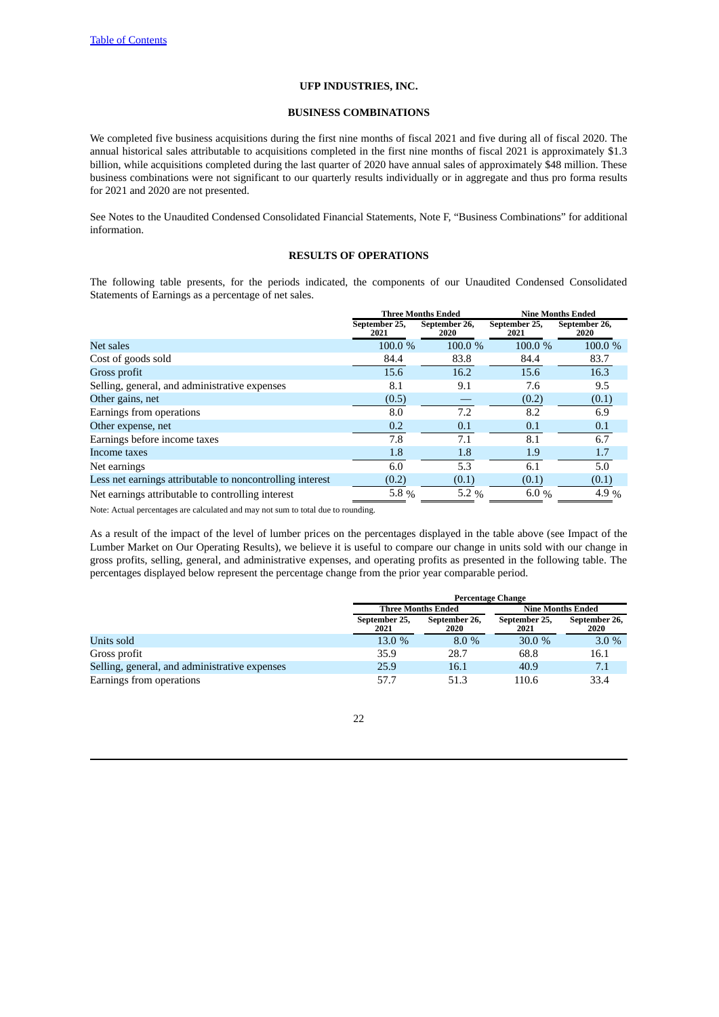### **BUSINESS COMBINATIONS**

We completed five business acquisitions during the first nine months of fiscal 2021 and five during all of fiscal 2020. The annual historical sales attributable to acquisitions completed in the first nine months of fiscal 2021 is approximately \$1.3 billion, while acquisitions completed during the last quarter of 2020 have annual sales of approximately \$48 million. These business combinations were not significant to our quarterly results individually or in aggregate and thus pro forma results for 2021 and 2020 are not presented.

See Notes to the Unaudited Condensed Consolidated Financial Statements, Note F, "Business Combinations" for additional information.

#### **RESULTS OF OPERATIONS**

The following table presents, for the periods indicated, the components of our Unaudited Condensed Consolidated Statements of Earnings as a percentage of net sales.

|                                                           |                       | <b>Three Months Ended</b> |                       | <b>Nine Months Ended</b> |
|-----------------------------------------------------------|-----------------------|---------------------------|-----------------------|--------------------------|
|                                                           | September 25,<br>2021 | September 26,<br>2020     | September 25,<br>2021 | September 26,<br>2020    |
| Net sales                                                 | 100.0%                | 100.0%                    | 100.0%                | 100.0 %                  |
| Cost of goods sold                                        | 84.4                  | 83.8                      | 84.4                  | 83.7                     |
| Gross profit                                              | 15.6                  | 16.2                      | 15.6                  | 16.3                     |
| Selling, general, and administrative expenses             | 8.1                   | 9.1                       | 7.6                   | 9.5                      |
| Other gains, net                                          | (0.5)                 |                           | (0.2)                 | (0.1)                    |
| Earnings from operations                                  | 8.0                   | 7.2                       | 8.2                   | 6.9                      |
| Other expense, net                                        | 0.2                   | 0.1                       | 0.1                   | 0.1                      |
| Earnings before income taxes                              | 7.8                   | 7.1                       | 8.1                   | 6.7                      |
| Income taxes                                              | 1.8                   | 1.8                       | 1.9                   | 1.7                      |
| Net earnings                                              | 6.0                   | 5.3                       | 6.1                   | 5.0                      |
| Less net earnings attributable to noncontrolling interest | (0.2)                 | (0.1)                     | (0.1)                 | (0.1)                    |
| Net earnings attributable to controlling interest         | 5.8 %                 | 5.2 %                     | 6.0 $%$               | 4.9 $%$                  |

Note: Actual percentages are calculated and may not sum to total due to rounding.

As a result of the impact of the level of lumber prices on the percentages displayed in the table above (see Impact of the Lumber Market on Our Operating Results), we believe it is useful to compare our change in units sold with our change in gross profits, selling, general, and administrative expenses, and operating profits as presented in the following table. The percentages displayed below represent the percentage change from the prior year comparable period.

|                                               |                           | <b>Percentage Change</b> |                       |                          |  |  |  |  |
|-----------------------------------------------|---------------------------|--------------------------|-----------------------|--------------------------|--|--|--|--|
|                                               | <b>Three Months Ended</b> |                          |                       | <b>Nine Months Ended</b> |  |  |  |  |
|                                               | September 25,<br>2021     | September 26,<br>2020    | September 25,<br>2021 | September 26,<br>2020    |  |  |  |  |
| Units sold                                    | 13.0 %                    | $8.0\%$                  | 30.0%                 | 3.0%                     |  |  |  |  |
| Gross profit                                  | 35.9                      | 28.7                     | 68.8                  | 16.1                     |  |  |  |  |
| Selling, general, and administrative expenses | 25.9                      | 16.1                     | 40.9                  | 7.1                      |  |  |  |  |
| Earnings from operations                      | 57.7                      | 51.3                     | 110.6                 | 33.4                     |  |  |  |  |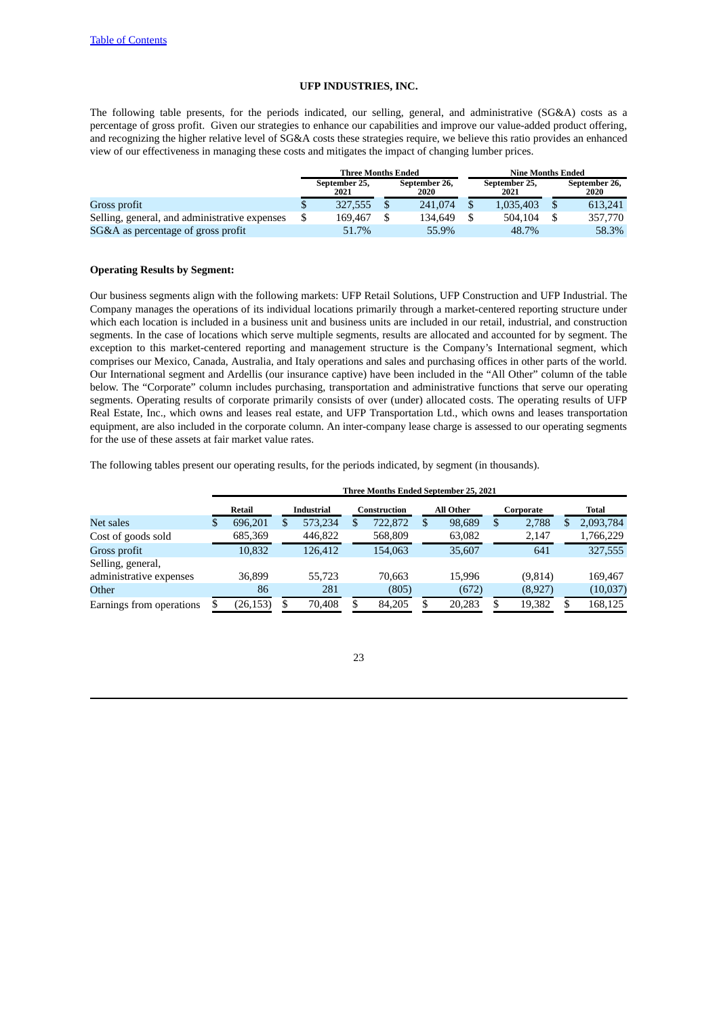The following table presents, for the periods indicated, our selling, general, and administrative (SG&A) costs as a percentage of gross profit. Given our strategies to enhance our capabilities and improve our value-added product offering, and recognizing the higher relative level of SG&A costs these strategies require, we believe this ratio provides an enhanced view of our effectiveness in managing these costs and mitigates the impact of changing lumber prices.

|                                               |    | <b>Three Months Ended</b> |  | <b>Nine Months Ended</b> |                       |  |                       |
|-----------------------------------------------|----|---------------------------|--|--------------------------|-----------------------|--|-----------------------|
|                                               |    | September 25,<br>2021     |  | September 26,<br>2020    | September 25,<br>2021 |  | September 26,<br>2020 |
| Gross profit                                  |    | 327.555                   |  | 241,074                  | 1.035.403             |  | 613.241               |
| Selling, general, and administrative expenses | S. | 169.467                   |  | 134.649                  | 504.104               |  | 357,770               |
| SG&A as percentage of gross profit            |    | 51.7%                     |  | 55.9%                    | 48.7%                 |  | 58.3%                 |

### **Operating Results by Segment:**

Our business segments align with the following markets: UFP Retail Solutions, UFP Construction and UFP Industrial. The Company manages the operations of its individual locations primarily through a market-centered reporting structure under which each location is included in a business unit and business units are included in our retail, industrial, and construction segments. In the case of locations which serve multiple segments, results are allocated and accounted for by segment. The exception to this market-centered reporting and management structure is the Company's International segment, which comprises our Mexico, Canada, Australia, and Italy operations and sales and purchasing offices in other parts of the world. Our International segment and Ardellis (our insurance captive) have been included in the "All Other" column of the table below. The "Corporate" column includes purchasing, transportation and administrative functions that serve our operating segments. Operating results of corporate primarily consists of over (under) allocated costs. The operating results of UFP Real Estate, Inc., which owns and leases real estate, and UFP Transportation Ltd., which owns and leases transportation equipment, are also included in the corporate column. An inter-company lease charge is assessed to our operating segments for the use of these assets at fair market value rates.

The following tables present our operating results, for the periods indicated, by segment (in thousands).

|                          | Three Months Ended September 25, 2021 |           |  |            |   |              |   |                  |    |           |   |           |
|--------------------------|---------------------------------------|-----------|--|------------|---|--------------|---|------------------|----|-----------|---|-----------|
|                          |                                       | Retail    |  | Industrial |   | Construction |   | <b>All Other</b> |    | Corporate |   | Total     |
| Net sales                |                                       | 696.201   |  | 573.234    | D | 722,872      | S | 98.689           | \$ | 2,788     | S | 2,093,784 |
| Cost of goods sold       |                                       | 685,369   |  | 446,822    |   | 568,809      |   | 63,082           |    | 2,147     |   | 1,766,229 |
| Gross profit             |                                       | 10,832    |  | 126,412    |   | 154,063      |   | 35,607           |    | 641       |   | 327,555   |
| Selling, general,        |                                       |           |  |            |   |              |   |                  |    |           |   |           |
| administrative expenses  |                                       | 36,899    |  | 55,723     |   | 70.663       |   | 15.996           |    | (9,814)   |   | 169.467   |
| Other                    |                                       | 86        |  | 281        |   | (805)        |   | (672)            |    | (8,927)   |   | (10, 037) |
| Earnings from operations |                                       | (26, 153) |  | 70,408     |   | 84,205       |   | 20,283           |    | 19,382    |   | 168,125   |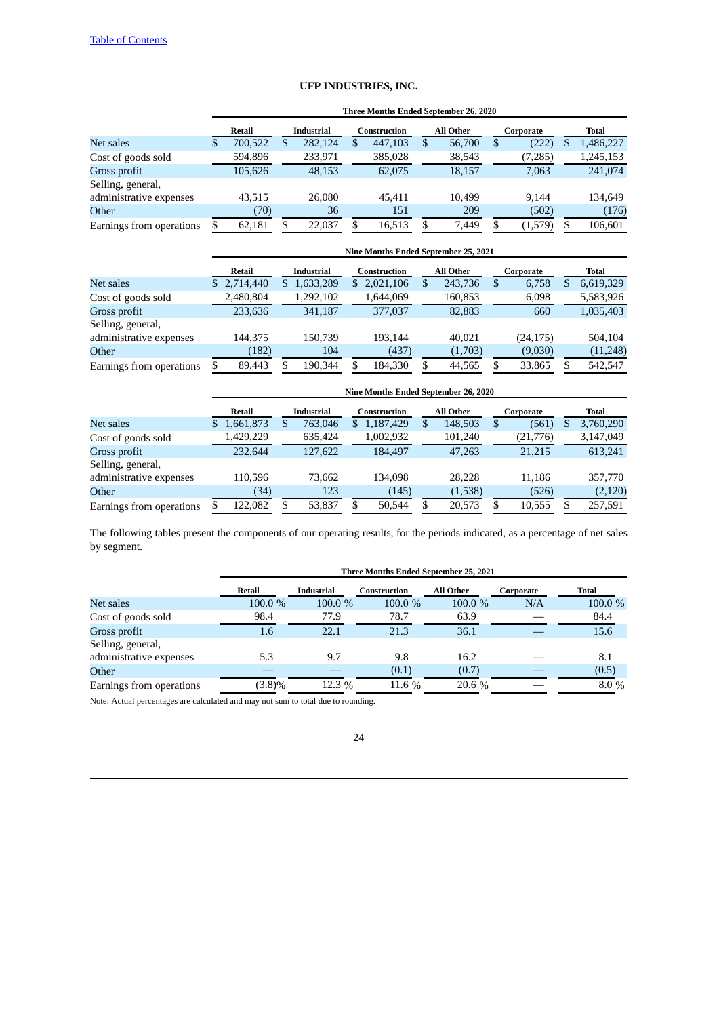|                          | Three Months Ended September 26, 2020 |   |            |  |              |    |                  |   |           |   |           |
|--------------------------|---------------------------------------|---|------------|--|--------------|----|------------------|---|-----------|---|-----------|
|                          | Retail                                |   | Industrial |  | Construction |    | <b>All Other</b> |   | Corporate |   | Total     |
| Net sales                | 700,522                               | D | 282,124    |  | 447,103      | \$ | 56,700           | S | (222)     | S | 1,486,227 |
| Cost of goods sold       | 594,896                               |   | 233,971    |  | 385,028      |    | 38,543           |   | (7, 285)  |   | 1,245,153 |
| Gross profit             | 105,626                               |   | 48,153     |  | 62,075       |    | 18,157           |   | 7,063     |   | 241,074   |
| Selling, general,        |                                       |   |            |  |              |    |                  |   |           |   |           |
| administrative expenses  | 43,515                                |   | 26,080     |  | 45.411       |    | 10.499           |   | 9.144     |   | 134,649   |
| Other                    | (70)                                  |   | 36         |  | 151          |    | 209              |   | (502)     |   | (176)     |
| Earnings from operations | 62,181                                |   | 22,037     |  | 16,513       | \$ | 7,449            | S | (1,579)   |   | 106,601   |

|                          | Nine Months Ended September 25, 2021 |                   |                 |                  |              |                 |  |  |  |  |
|--------------------------|--------------------------------------|-------------------|-----------------|------------------|--------------|-----------------|--|--|--|--|
|                          | <b>Retail</b>                        | <b>Industrial</b> | Construction    | <b>All Other</b> | Corporate    | Total           |  |  |  |  |
| Net sales                | 2,714,440<br>S.                      | 1,633,289<br>S.   | 2,021,106<br>S. | 243,736<br>S     | 6,758<br>S   | 6,619,329<br>\$ |  |  |  |  |
| Cost of goods sold       | 2,480,804                            | 1,292,102         | 1,644,069       | 160,853          | 6,098        | 5,583,926       |  |  |  |  |
| Gross profit             | 233,636                              | 341,187           | 377,037         | 82,883           | 660          | 1,035,403       |  |  |  |  |
| Selling, general,        |                                      |                   |                 |                  |              |                 |  |  |  |  |
| administrative expenses  | 144,375                              | 150,739           | 193.144         | 40,021           | (24, 175)    | 504,104         |  |  |  |  |
| Other                    | (182)                                | 104               | (437)           | (1,703)          | (9,030)      | (11,248)        |  |  |  |  |
| Earnings from operations | 89,443                               | 190,344           | 184,330         | 44,565<br>\$     | 33,865<br>S. | 542,547<br>\$.  |  |  |  |  |

|                          |   | Nine Months Ended September 26, 2020 |   |                   |    |              |    |                  |   |           |     |              |
|--------------------------|---|--------------------------------------|---|-------------------|----|--------------|----|------------------|---|-----------|-----|--------------|
|                          |   | Retail                               |   | <b>Industrial</b> |    | Construction |    | <b>All Other</b> |   | Corporate |     | <b>Total</b> |
| Net sales                | S | 1,661,873                            | D | 763,046           | S. | 1,187,429    | S  | 148,503          | S | (561)     | \$  | 3,760,290    |
| Cost of goods sold       |   | 1,429,229                            |   | 635,424           |    | 1,002,932    |    | 101,240          |   | (21,776)  |     | 3,147,049    |
| Gross profit             |   | 232,644                              |   | 127,622           |    | 184.497      |    | 47.263           |   | 21.215    |     | 613,241      |
| Selling, general,        |   |                                      |   |                   |    |              |    |                  |   |           |     |              |
| administrative expenses  |   | 110.596                              |   | 73.662            |    | 134.098      |    | 28,228           |   | 11.186    |     | 357,770      |
| Other                    |   | (34)                                 |   | 123               |    | (145)        |    | (1,538)          |   | (526)     |     | (2, 120)     |
| Earnings from operations |   | 122,082                              |   | 53,837            |    | 50,544       | \$ | 20,573           |   | 10,555    | \$. | 257,591      |

The following tables present the components of our operating results, for the periods indicated, as a percentage of net sales by segment.

|                          | <b>Three Months Ended September 25, 2021</b> |            |              |           |           |         |  |  |  |
|--------------------------|----------------------------------------------|------------|--------------|-----------|-----------|---------|--|--|--|
|                          | Retail                                       | Industrial | Construction | All Other | Corporate | Total   |  |  |  |
| Net sales                | 100.0 %                                      | 100.0 %    | 100.0 %      | 100.0 %   | N/A       | 100.0 % |  |  |  |
| Cost of goods sold       | 98.4                                         | 77.9       | 78.7         | 63.9      |           | 84.4    |  |  |  |
| Gross profit             | 1.6                                          | 22.1       | 21.3         | 36.1      |           | 15.6    |  |  |  |
| Selling, general,        |                                              |            |              |           |           |         |  |  |  |
| administrative expenses  | 5.3                                          | 9.7        | 9.8          | 16.2      |           | 8.1     |  |  |  |
| Other                    |                                              |            | (0.1)        | (0.7)     |           | (0.5)   |  |  |  |
| Earnings from operations | $(3.8)\%$                                    | 12.3%      | 11.6%        | $20.6\%$  |           | 8.0%    |  |  |  |

Note: Actual percentages are calculated and may not sum to total due to rounding.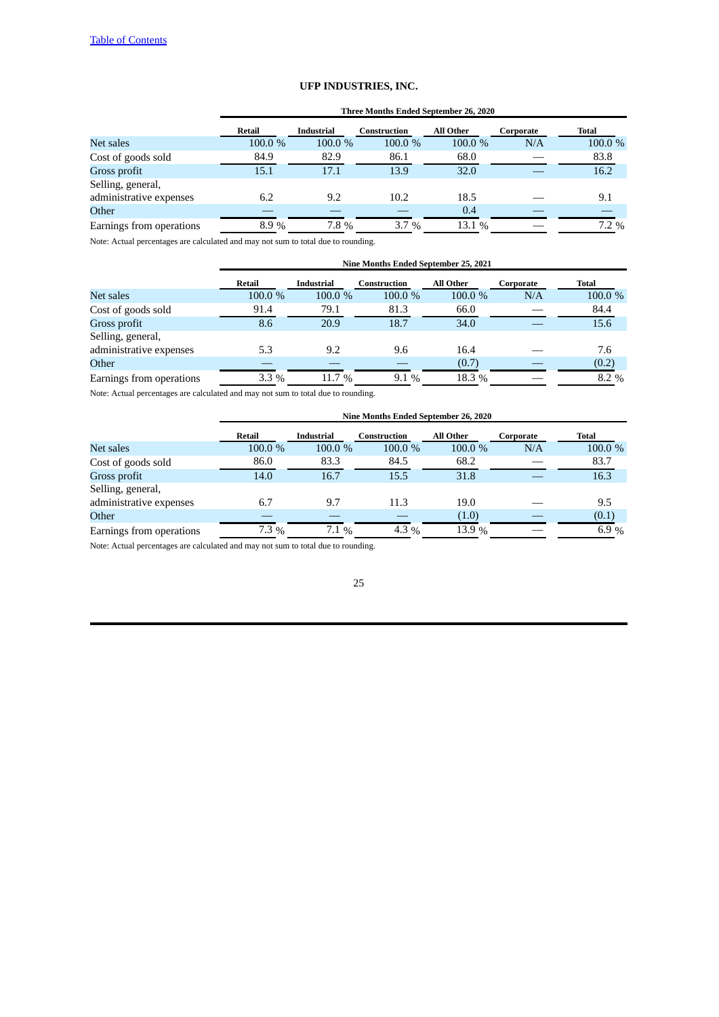|                          |         | Three Months Ended September 26, 2020 |              |                  |           |         |  |  |  |  |
|--------------------------|---------|---------------------------------------|--------------|------------------|-----------|---------|--|--|--|--|
|                          | Retail  | Industrial                            | Construction | <b>All Other</b> | Corporate | Total   |  |  |  |  |
| Net sales                | 100.0 % | 100.0 %                               | 100.0 %      | 100.0 %          | N/A       | 100.0 % |  |  |  |  |
| Cost of goods sold       | 84.9    | 82.9                                  | 86.1         | 68.0             |           | 83.8    |  |  |  |  |
| Gross profit             | 15.1    | 17.1                                  | 13.9         | 32.0             |           | 16.2    |  |  |  |  |
| Selling, general,        |         |                                       |              |                  |           |         |  |  |  |  |
| administrative expenses  | 6.2     | 9.2                                   | 10.2         | 18.5             |           | 9.1     |  |  |  |  |
| Other                    |         |                                       |              | 0.4              |           |         |  |  |  |  |
| Earnings from operations | 8.9%    | 7.8%                                  | $3.7\%$      | 13.1 %           |           | $7.2\%$ |  |  |  |  |

Note: Actual percentages are calculated and may not sum to total due to rounding.

|                          |         | Nine Months Ended September 25, 2021 |                     |                  |           |         |  |  |  |  |
|--------------------------|---------|--------------------------------------|---------------------|------------------|-----------|---------|--|--|--|--|
|                          | Retail  | Industrial                           | <b>Construction</b> | <b>All Other</b> | Corporate | Total   |  |  |  |  |
| Net sales                | 100.0 % | 100.0 %                              | 100.0 %             | 100.0 %          | N/A       | 100.0 % |  |  |  |  |
| Cost of goods sold       | 91.4    | 79.1                                 | 81.3                | 66.0             |           | 84.4    |  |  |  |  |
| Gross profit             | 8.6     | 20.9                                 | 18.7                | 34.0             |           | 15.6    |  |  |  |  |
| Selling, general,        |         |                                      |                     |                  |           |         |  |  |  |  |
| administrative expenses  | 5.3     | 9.2                                  | 9.6                 | 16.4             |           | 7.6     |  |  |  |  |
| Other                    |         |                                      |                     | (0.7)            |           | (0.2)   |  |  |  |  |
| Earnings from operations | $3.3\%$ | 11.7 %                               | $9.1\%$             | 18.3 %           |           | 8.2%    |  |  |  |  |

Note: Actual percentages are calculated and may not sum to total due to rounding.

|                          | Nine Months Ended September 26, 2020 |            |                     |                  |           |         |  |  |  |
|--------------------------|--------------------------------------|------------|---------------------|------------------|-----------|---------|--|--|--|
|                          | Retail                               | Industrial | <b>Construction</b> | <b>All Other</b> | Corporate | Total   |  |  |  |
| Net sales                | 100.0 %                              | 100.0 %    | 100.0 %             | 100.0 %          | N/A       | 100.0 % |  |  |  |
| Cost of goods sold       | 86.0                                 | 83.3       | 84.5                | 68.2             |           | 83.7    |  |  |  |
| Gross profit             | 14.0                                 | 16.7       | 15.5                | 31.8             |           | 16.3    |  |  |  |
| Selling, general,        |                                      |            |                     |                  |           |         |  |  |  |
| administrative expenses  | 6.7                                  | 9.7        | 11.3                | 19.0             |           | 9.5     |  |  |  |
| Other                    |                                      |            |                     | (1.0)            |           | (0.1)   |  |  |  |
| Earnings from operations | $7.3\%$                              | 7.1%       | 4.3 $%$             | 13.9 %           |           | 6.9 $%$ |  |  |  |

Note: Actual percentages are calculated and may not sum to total due to rounding.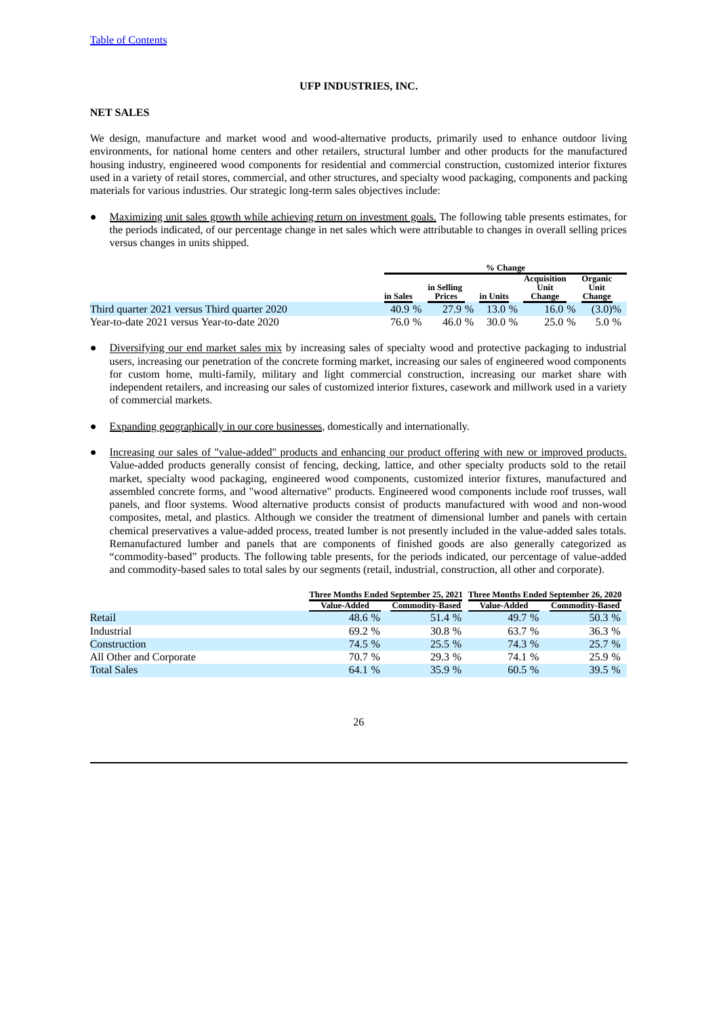#### **NET SALES**

We design, manufacture and market wood and wood-alternative products, primarily used to enhance outdoor living environments, for national home centers and other retailers, structural lumber and other products for the manufactured housing industry, engineered wood components for residential and commercial construction, customized interior fixtures used in a variety of retail stores, commercial, and other structures, and specialty wood packaging, components and packing materials for various industries. Our strategic long-term sales objectives include:

Maximizing unit sales growth while achieving return on investment goals. The following table presents estimates, for the periods indicated, of our percentage change in net sales which were attributable to changes in overall selling prices versus changes in units shipped.

|                                              | % Change |            |           |                |                 |  |
|----------------------------------------------|----------|------------|-----------|----------------|-----------------|--|
|                                              |          | in Selling |           |                | Organic<br>Unit |  |
|                                              | in Sales | Prices     | in Units  | Unit<br>Change | Change          |  |
| Third quarter 2021 versus Third quarter 2020 | $40.9\%$ | 27.9 %     | $13.0 \%$ | 16.0 %         | $(3.0)\%$       |  |
| Year-to-date 2021 versus Year-to-date 2020   | 76.0 %   | 46.0 %     | 30.0 %    | 25.0 %         | $5.0\%$         |  |

- Diversifying our end market sales mix by increasing sales of specialty wood and protective packaging to industrial users, increasing our penetration of the concrete forming market, increasing our sales of engineered wood components for custom home, multi-family, military and light commercial construction, increasing our market share with independent retailers, and increasing our sales of customized interior fixtures, casework and millwork used in a variety of commercial markets.
- Expanding geographically in our core businesses, domestically and internationally.
- Increasing our sales of "value-added" products and enhancing our product offering with new or improved products. Value-added products generally consist of fencing, decking, lattice, and other specialty products sold to the retail market, specialty wood packaging, engineered wood components, customized interior fixtures, manufactured and assembled concrete forms, and "wood alternative" products. Engineered wood components include roof trusses, wall panels, and floor systems. Wood alternative products consist of products manufactured with wood and non-wood composites, metal, and plastics. Although we consider the treatment of dimensional lumber and panels with certain chemical preservatives a value-added process, treated lumber is not presently included in the value-added sales totals. Remanufactured lumber and panels that are components of finished goods are also generally categorized as "commodity-based" products. The following table presents, for the periods indicated, our percentage of value-added and commodity-based sales to total sales by our segments (retail, industrial, construction, all other and corporate).

|                         |             |                        | Three Months Ended September 25, 2021 Three Months Ended September 26, 2020 |                        |  |
|-------------------------|-------------|------------------------|-----------------------------------------------------------------------------|------------------------|--|
|                         | Value-Added | <b>Commodity-Based</b> | <b>Value-Added</b>                                                          | <b>Commodity-Based</b> |  |
| Retail                  | 48.6 %      | 51.4 %                 | 49.7 %                                                                      | 50.3%                  |  |
| Industrial              | 69.2 %      | 30.8%                  | 63.7 %                                                                      | 36.3 %                 |  |
| Construction            | 74.5 %      | 25.5%                  | 74.3 %                                                                      | 25.7%                  |  |
| All Other and Corporate | 70.7 %      | 29.3 %                 | 74.1 %                                                                      | 25.9 %                 |  |
| <b>Total Sales</b>      | 64.1 %      | 35.9%                  | 60.5 %                                                                      | 39.5%                  |  |

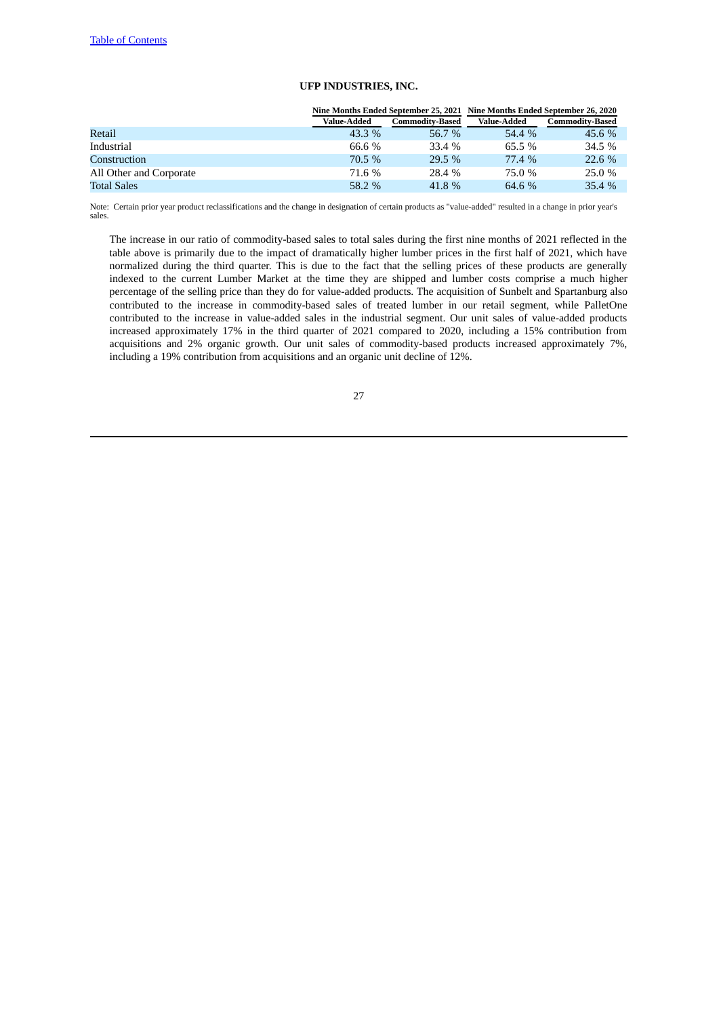|                         |                    |                        | Nine Months Ended September 25, 2021 Nine Months Ended September 26, 2020 |                        |  |  |
|-------------------------|--------------------|------------------------|---------------------------------------------------------------------------|------------------------|--|--|
|                         | <b>Value-Added</b> | <b>Commodity-Based</b> | <b>Value-Added</b>                                                        | <b>Commodity-Based</b> |  |  |
| Retail                  | 43.3 %             | 56.7 %                 | 54.4 %                                                                    | 45.6 %                 |  |  |
| Industrial              | 66.6 %             | 33.4 %                 | 65.5 %                                                                    | 34.5 %                 |  |  |
| Construction            | 70.5 %             | 29.5%                  | 77.4 %                                                                    | 22.6 %                 |  |  |
| All Other and Corporate | 71.6 %             | 28.4 %                 | 75.0 %                                                                    | 25.0 %                 |  |  |
| <b>Total Sales</b>      | 58.2 %             | 41.8%                  | 64.6 %                                                                    | 35.4 %                 |  |  |

Note: Certain prior year product reclassifications and the change in designation of certain products as "value-added" resulted in a change in prior year's sales.

The increase in our ratio of commodity-based sales to total sales during the first nine months of 2021 reflected in the table above is primarily due to the impact of dramatically higher lumber prices in the first half of 2021, which have normalized during the third quarter. This is due to the fact that the selling prices of these products are generally indexed to the current Lumber Market at the time they are shipped and lumber costs comprise a much higher percentage of the selling price than they do for value-added products. The acquisition of Sunbelt and Spartanburg also contributed to the increase in commodity-based sales of treated lumber in our retail segment, while PalletOne contributed to the increase in value-added sales in the industrial segment. Our unit sales of value-added products increased approximately 17% in the third quarter of 2021 compared to 2020, including a 15% contribution from acquisitions and 2% organic growth. Our unit sales of commodity-based products increased approximately 7%, including a 19% contribution from acquisitions and an organic unit decline of 12%.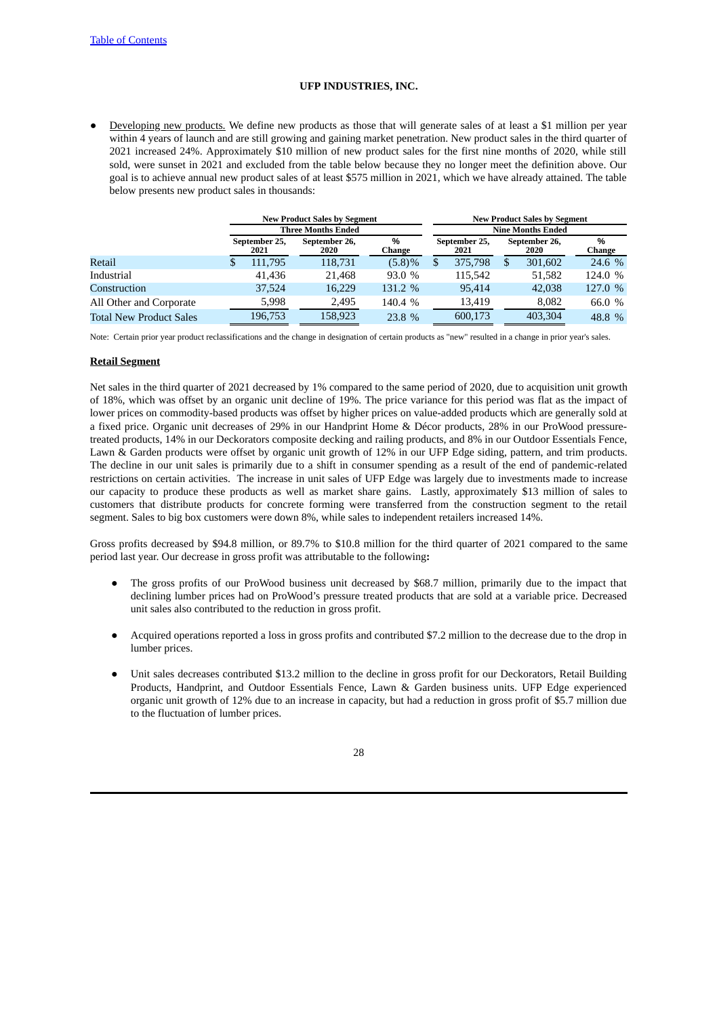Developing new products. We define new products as those that will generate sales of at least a \$1 million per year within 4 years of launch and are still growing and gaining market penetration. New product sales in the third quarter of 2021 increased 24%. Approximately \$10 million of new product sales for the first nine months of 2020, while still sold, were sunset in 2021 and excluded from the table below because they no longer meet the definition above. Our goal is to achieve annual new product sales of at least \$575 million in 2021, which we have already attained. The table below presents new product sales in thousands:

|                                |  | <b>New Product Sales by Segment</b><br><b>Three Months Ended</b> |                       |             |    | <b>New Product Sales by Segment</b><br><b>Nine Months Ended</b> |    |                       |             |
|--------------------------------|--|------------------------------------------------------------------|-----------------------|-------------|----|-----------------------------------------------------------------|----|-----------------------|-------------|
|                                |  |                                                                  |                       |             |    |                                                                 |    |                       |             |
|                                |  | September 25,<br>2021                                            | September 26,<br>2020 | %<br>Change |    | September 25,<br>2021                                           |    | September 26,<br>2020 | %<br>Change |
| Retail                         |  | 111.795                                                          | 118,731               | $(5.8)\%$   | \$ | 375,798                                                         | \$ | 301,602               | 24.6 %      |
| Industrial                     |  | 41.436                                                           | 21.468                | 93.0 %      |    | 115.542                                                         |    | 51,582                | 124.0 %     |
| Construction                   |  | 37,524                                                           | 16.229                | 131.2 %     |    | 95.414                                                          |    | 42,038                | 127.0 %     |
| All Other and Corporate        |  | 5.998                                                            | 2,495                 | 140.4 %     |    | 13.419                                                          |    | 8,082                 | 66.0 %      |
| <b>Total New Product Sales</b> |  | 196.753                                                          | 158,923               | 23.8 %      |    | 600.173                                                         |    | 403.304               | 48.8 %      |

Note: Certain prior year product reclassifications and the change in designation of certain products as "new" resulted in a change in prior year's sales.

#### **Retail Segment**

Net sales in the third quarter of 2021 decreased by 1% compared to the same period of 2020, due to acquisition unit growth of 18%, which was offset by an organic unit decline of 19%. The price variance for this period was flat as the impact of lower prices on commodity-based products was offset by higher prices on value-added products which are generally sold at a fixed price. Organic unit decreases of 29% in our Handprint Home & Décor products, 28% in our ProWood pressuretreated products, 14% in our Deckorators composite decking and railing products, and 8% in our Outdoor Essentials Fence, Lawn & Garden products were offset by organic unit growth of 12% in our UFP Edge siding, pattern, and trim products. The decline in our unit sales is primarily due to a shift in consumer spending as a result of the end of pandemic-related restrictions on certain activities. The increase in unit sales of UFP Edge was largely due to investments made to increase our capacity to produce these products as well as market share gains. Lastly, approximately \$13 million of sales to customers that distribute products for concrete forming were transferred from the construction segment to the retail segment. Sales to big box customers were down 8%, while sales to independent retailers increased 14%.

Gross profits decreased by \$94.8 million, or 89.7% to \$10.8 million for the third quarter of 2021 compared to the same period last year. Our decrease in gross profit was attributable to the following**:**

- The gross profits of our ProWood business unit decreased by \$68.7 million, primarily due to the impact that declining lumber prices had on ProWood's pressure treated products that are sold at a variable price. Decreased unit sales also contributed to the reduction in gross profit.
- Acquired operations reported a loss in gross profits and contributed \$7.2 million to the decrease due to the drop in lumber prices.
- Unit sales decreases contributed \$13.2 million to the decline in gross profit for our Deckorators, Retail Building Products, Handprint, and Outdoor Essentials Fence, Lawn & Garden business units. UFP Edge experienced organic unit growth of 12% due to an increase in capacity, but had a reduction in gross profit of \$5.7 million due to the fluctuation of lumber prices.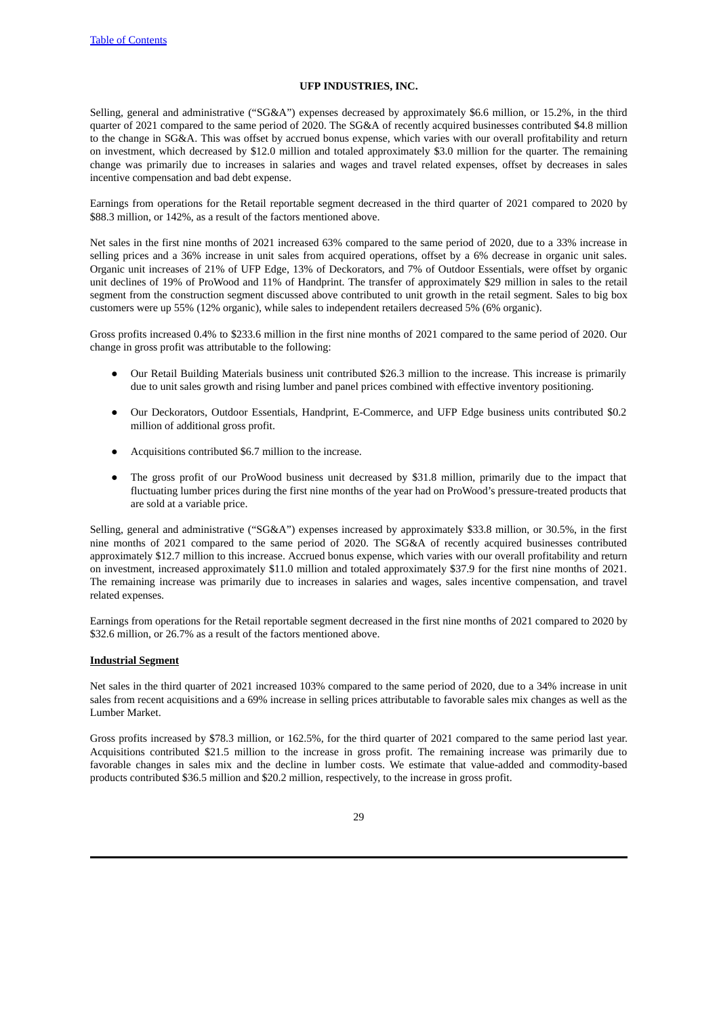Selling, general and administrative ("SG&A") expenses decreased by approximately \$6.6 million, or 15.2%, in the third quarter of 2021 compared to the same period of 2020. The SG&A of recently acquired businesses contributed \$4.8 million to the change in SG&A. This was offset by accrued bonus expense, which varies with our overall profitability and return on investment, which decreased by \$12.0 million and totaled approximately \$3.0 million for the quarter. The remaining change was primarily due to increases in salaries and wages and travel related expenses, offset by decreases in sales incentive compensation and bad debt expense.

Earnings from operations for the Retail reportable segment decreased in the third quarter of 2021 compared to 2020 by \$88.3 million, or 142%, as a result of the factors mentioned above.

Net sales in the first nine months of 2021 increased 63% compared to the same period of 2020, due to a 33% increase in selling prices and a 36% increase in unit sales from acquired operations, offset by a 6% decrease in organic unit sales. Organic unit increases of 21% of UFP Edge, 13% of Deckorators, and 7% of Outdoor Essentials, were offset by organic unit declines of 19% of ProWood and 11% of Handprint. The transfer of approximately \$29 million in sales to the retail segment from the construction segment discussed above contributed to unit growth in the retail segment. Sales to big box customers were up 55% (12% organic), while sales to independent retailers decreased 5% (6% organic).

Gross profits increased 0.4% to \$233.6 million in the first nine months of 2021 compared to the same period of 2020. Our change in gross profit was attributable to the following:

- Our Retail Building Materials business unit contributed \$26.3 million to the increase. This increase is primarily due to unit sales growth and rising lumber and panel prices combined with effective inventory positioning.
- Our Deckorators, Outdoor Essentials, Handprint, E-Commerce, and UFP Edge business units contributed \$0.2 million of additional gross profit.
- Acquisitions contributed \$6.7 million to the increase.
- The gross profit of our ProWood business unit decreased by \$31.8 million, primarily due to the impact that fluctuating lumber prices during the first nine months of the year had on ProWood's pressure-treated products that are sold at a variable price.

Selling, general and administrative ("SG&A") expenses increased by approximately \$33.8 million, or 30.5%, in the first nine months of 2021 compared to the same period of 2020. The SG&A of recently acquired businesses contributed approximately \$12.7 million to this increase. Accrued bonus expense, which varies with our overall profitability and return on investment, increased approximately \$11.0 million and totaled approximately \$37.9 for the first nine months of 2021. The remaining increase was primarily due to increases in salaries and wages, sales incentive compensation, and travel related expenses.

Earnings from operations for the Retail reportable segment decreased in the first nine months of 2021 compared to 2020 by \$32.6 million, or 26.7% as a result of the factors mentioned above.

#### **Industrial Segment**

Net sales in the third quarter of 2021 increased 103% compared to the same period of 2020, due to a 34% increase in unit sales from recent acquisitions and a 69% increase in selling prices attributable to favorable sales mix changes as well as the Lumber Market.

Gross profits increased by \$78.3 million, or 162.5%, for the third quarter of 2021 compared to the same period last year. Acquisitions contributed \$21.5 million to the increase in gross profit. The remaining increase was primarily due to favorable changes in sales mix and the decline in lumber costs. We estimate that value-added and commodity-based products contributed \$36.5 million and \$20.2 million, respectively, to the increase in gross profit.

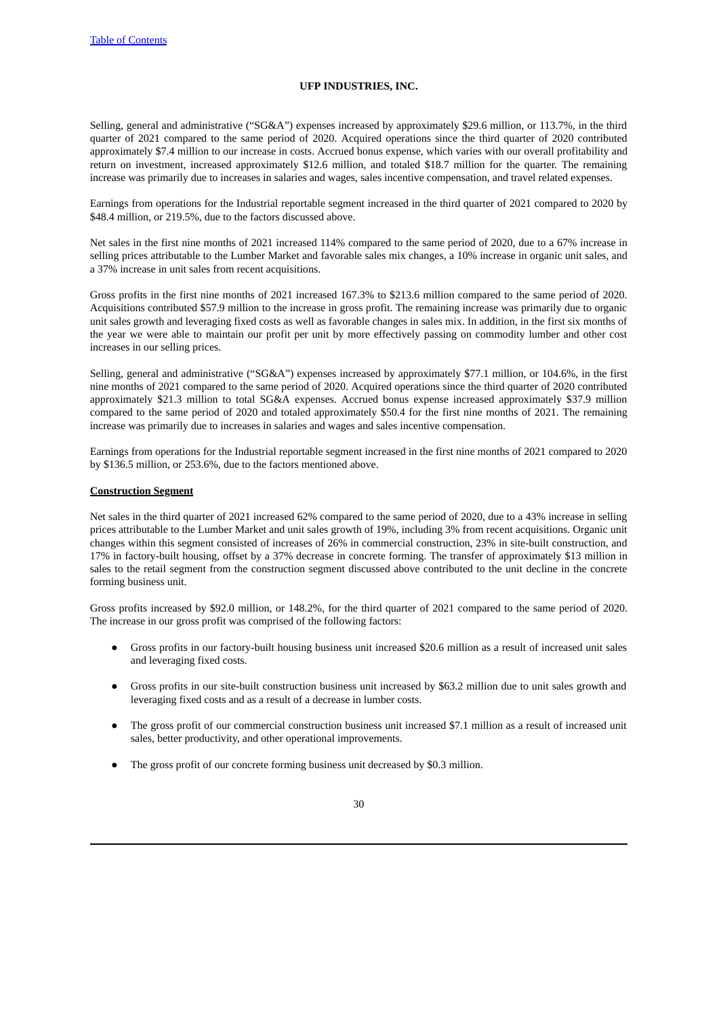Selling, general and administrative ("SG&A") expenses increased by approximately \$29.6 million, or 113.7%, in the third quarter of 2021 compared to the same period of 2020. Acquired operations since the third quarter of 2020 contributed approximately \$7.4 million to our increase in costs. Accrued bonus expense, which varies with our overall profitability and return on investment, increased approximately \$12.6 million, and totaled \$18.7 million for the quarter. The remaining increase was primarily due to increases in salaries and wages, sales incentive compensation, and travel related expenses.

Earnings from operations for the Industrial reportable segment increased in the third quarter of 2021 compared to 2020 by \$48.4 million, or 219.5%, due to the factors discussed above.

Net sales in the first nine months of 2021 increased 114% compared to the same period of 2020, due to a 67% increase in selling prices attributable to the Lumber Market and favorable sales mix changes, a 10% increase in organic unit sales, and a 37% increase in unit sales from recent acquisitions.

Gross profits in the first nine months of 2021 increased 167.3% to \$213.6 million compared to the same period of 2020. Acquisitions contributed \$57.9 million to the increase in gross profit. The remaining increase was primarily due to organic unit sales growth and leveraging fixed costs as well as favorable changes in sales mix. In addition, in the first six months of the year we were able to maintain our profit per unit by more effectively passing on commodity lumber and other cost increases in our selling prices.

Selling, general and administrative ("SG&A") expenses increased by approximately \$77.1 million, or 104.6%, in the first nine months of 2021 compared to the same period of 2020. Acquired operations since the third quarter of 2020 contributed approximately \$21.3 million to total SG&A expenses. Accrued bonus expense increased approximately \$37.9 million compared to the same period of 2020 and totaled approximately \$50.4 for the first nine months of 2021. The remaining increase was primarily due to increases in salaries and wages and sales incentive compensation.

Earnings from operations for the Industrial reportable segment increased in the first nine months of 2021 compared to 2020 by \$136.5 million, or 253.6%, due to the factors mentioned above.

#### **Construction Segment**

Net sales in the third quarter of 2021 increased 62% compared to the same period of 2020, due to a 43% increase in selling prices attributable to the Lumber Market and unit sales growth of 19%, including 3% from recent acquisitions. Organic unit changes within this segment consisted of increases of 26% in commercial construction, 23% in site-built construction, and 17% in factory-built housing, offset by a 37% decrease in concrete forming. The transfer of approximately \$13 million in sales to the retail segment from the construction segment discussed above contributed to the unit decline in the concrete forming business unit.

Gross profits increased by \$92.0 million, or 148.2%, for the third quarter of 2021 compared to the same period of 2020. The increase in our gross profit was comprised of the following factors:

- Gross profits in our factory-built housing business unit increased \$20.6 million as a result of increased unit sales and leveraging fixed costs.
- Gross profits in our site-built construction business unit increased by \$63.2 million due to unit sales growth and leveraging fixed costs and as a result of a decrease in lumber costs.
- The gross profit of our commercial construction business unit increased \$7.1 million as a result of increased unit sales, better productivity, and other operational improvements.
- The gross profit of our concrete forming business unit decreased by \$0.3 million.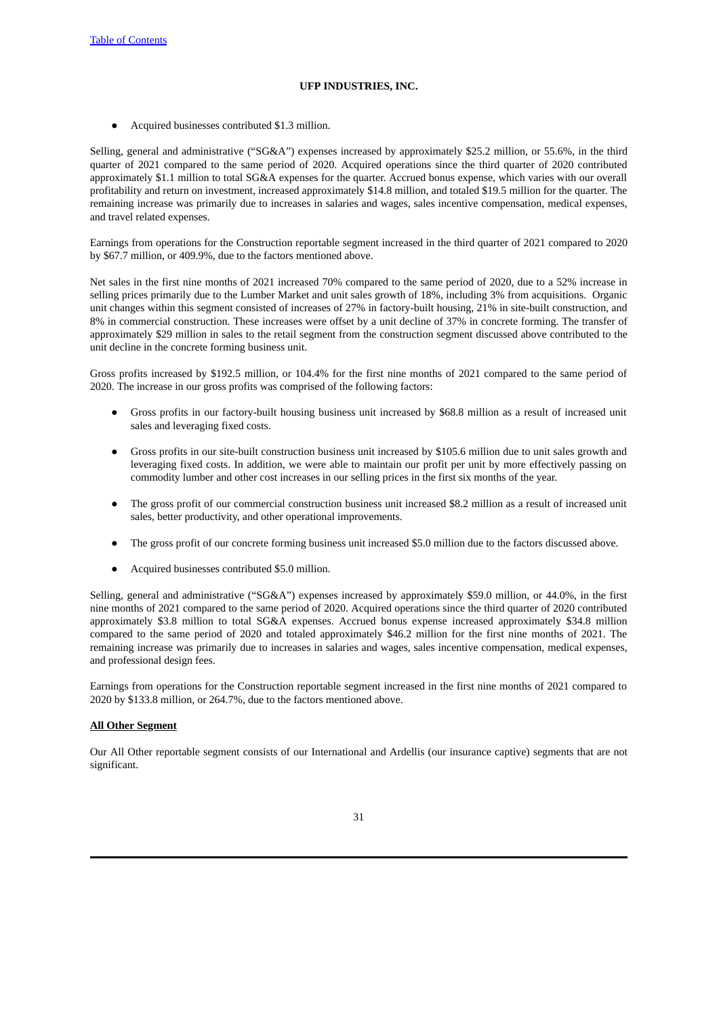● Acquired businesses contributed \$1.3 million.

Selling, general and administrative ("SG&A") expenses increased by approximately \$25.2 million, or 55.6%, in the third quarter of 2021 compared to the same period of 2020. Acquired operations since the third quarter of 2020 contributed approximately \$1.1 million to total SG&A expenses for the quarter. Accrued bonus expense, which varies with our overall profitability and return on investment, increased approximately \$14.8 million, and totaled \$19.5 million for the quarter. The remaining increase was primarily due to increases in salaries and wages, sales incentive compensation, medical expenses, and travel related expenses.

Earnings from operations for the Construction reportable segment increased in the third quarter of 2021 compared to 2020 by \$67.7 million, or 409.9%, due to the factors mentioned above.

Net sales in the first nine months of 2021 increased 70% compared to the same period of 2020, due to a 52% increase in selling prices primarily due to the Lumber Market and unit sales growth of 18%, including 3% from acquisitions. Organic unit changes within this segment consisted of increases of 27% in factory-built housing, 21% in site-built construction, and 8% in commercial construction. These increases were offset by a unit decline of 37% in concrete forming. The transfer of approximately \$29 million in sales to the retail segment from the construction segment discussed above contributed to the unit decline in the concrete forming business unit.

Gross profits increased by \$192.5 million, or 104.4% for the first nine months of 2021 compared to the same period of 2020. The increase in our gross profits was comprised of the following factors:

- Gross profits in our factory-built housing business unit increased by \$68.8 million as a result of increased unit sales and leveraging fixed costs.
- Gross profits in our site-built construction business unit increased by \$105.6 million due to unit sales growth and leveraging fixed costs. In addition, we were able to maintain our profit per unit by more effectively passing on commodity lumber and other cost increases in our selling prices in the first six months of the year.
- The gross profit of our commercial construction business unit increased \$8.2 million as a result of increased unit sales, better productivity, and other operational improvements.
- The gross profit of our concrete forming business unit increased \$5.0 million due to the factors discussed above.
- Acquired businesses contributed \$5.0 million.

Selling, general and administrative ("SG&A") expenses increased by approximately \$59.0 million, or 44.0%, in the first nine months of 2021 compared to the same period of 2020. Acquired operations since the third quarter of 2020 contributed approximately \$3.8 million to total SG&A expenses. Accrued bonus expense increased approximately \$34.8 million compared to the same period of 2020 and totaled approximately \$46.2 million for the first nine months of 2021. The remaining increase was primarily due to increases in salaries and wages, sales incentive compensation, medical expenses, and professional design fees.

Earnings from operations for the Construction reportable segment increased in the first nine months of 2021 compared to 2020 by \$133.8 million, or 264.7%, due to the factors mentioned above.

#### **All Other Segment**

Our All Other reportable segment consists of our International and Ardellis (our insurance captive) segments that are not significant.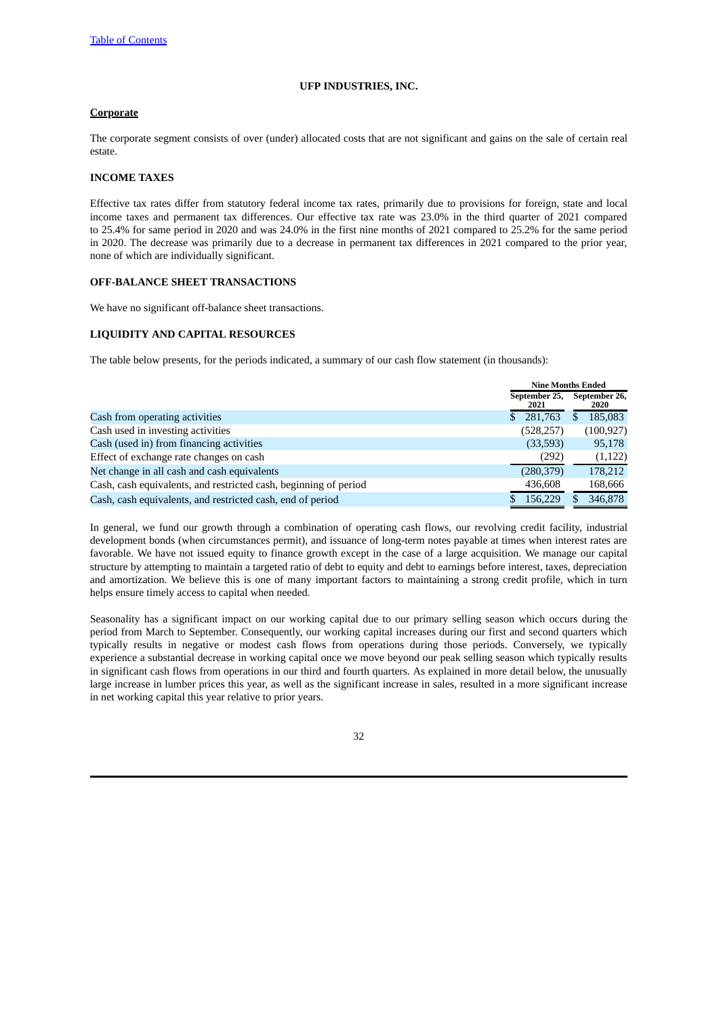#### **Corporate**

The corporate segment consists of over (under) allocated costs that are not significant and gains on the sale of certain real estate.

## **INCOME TAXES**

Effective tax rates differ from statutory federal income tax rates, primarily due to provisions for foreign, state and local income taxes and permanent tax differences. Our effective tax rate was 23.0% in the third quarter of 2021 compared to 25.4% for same period in 2020 and was 24.0% in the first nine months of 2021 compared to 25.2% for the same period in 2020. The decrease was primarily due to a decrease in permanent tax differences in 2021 compared to the prior year, none of which are individually significant.

#### **OFF-BALANCE SHEET TRANSACTIONS**

We have no significant off-balance sheet transactions.

#### **LIQUIDITY AND CAPITAL RESOURCES**

The table below presents, for the periods indicated, a summary of our cash flow statement (in thousands):

|                                                                  | <b>Nine Months Ended</b> |                       |  |
|------------------------------------------------------------------|--------------------------|-----------------------|--|
|                                                                  | September 25,<br>2021    | September 26,<br>2020 |  |
| Cash from operating activities                                   | 281,763                  | 185,083<br>S          |  |
| Cash used in investing activities                                | (528, 257)               | (100, 927)            |  |
| Cash (used in) from financing activities                         | (33,593)                 | 95,178                |  |
| Effect of exchange rate changes on cash                          | (292)                    | (1,122)               |  |
| Net change in all cash and cash equivalents                      | (280, 379)               | 178,212               |  |
| Cash, cash equivalents, and restricted cash, beginning of period | 436,608                  | 168,666               |  |
| Cash, cash equivalents, and restricted cash, end of period       | 156,229                  | 346,878               |  |

In general, we fund our growth through a combination of operating cash flows, our revolving credit facility, industrial development bonds (when circumstances permit), and issuance of long-term notes payable at times when interest rates are favorable. We have not issued equity to finance growth except in the case of a large acquisition. We manage our capital structure by attempting to maintain a targeted ratio of debt to equity and debt to earnings before interest, taxes, depreciation and amortization. We believe this is one of many important factors to maintaining a strong credit profile, which in turn helps ensure timely access to capital when needed.

Seasonality has a significant impact on our working capital due to our primary selling season which occurs during the period from March to September. Consequently, our working capital increases during our first and second quarters which typically results in negative or modest cash flows from operations during those periods. Conversely, we typically experience a substantial decrease in working capital once we move beyond our peak selling season which typically results in significant cash flows from operations in our third and fourth quarters. As explained in more detail below, the unusually large increase in lumber prices this year, as well as the significant increase in sales, resulted in a more significant increase in net working capital this year relative to prior years.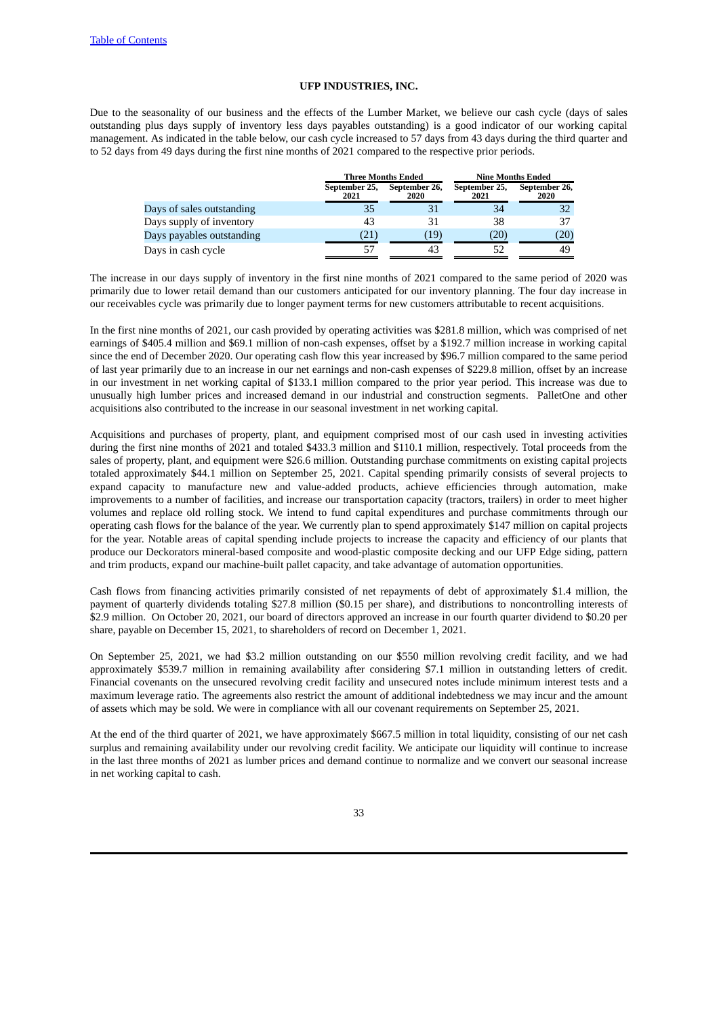Due to the seasonality of our business and the effects of the Lumber Market, we believe our cash cycle (days of sales outstanding plus days supply of inventory less days payables outstanding) is a good indicator of our working capital management. As indicated in the table below, our cash cycle increased to 57 days from 43 days during the third quarter and to 52 days from 49 days during the first nine months of 2021 compared to the respective prior periods.

|                           |                       | <b>Three Months Ended</b> | <b>Nine Months Ended</b> |                       |  |  |
|---------------------------|-----------------------|---------------------------|--------------------------|-----------------------|--|--|
|                           | September 25,<br>2021 | September 26,<br>2020     | September 25,<br>2021    | September 26,<br>2020 |  |  |
| Days of sales outstanding | 35                    | 31                        | 34                       |                       |  |  |
| Days supply of inventory  | 43                    | 31                        | 38                       | 37                    |  |  |
| Days payables outstanding | (21)                  | (19)                      | (20)                     | (20)                  |  |  |
| Days in cash cycle        |                       | 43                        |                          | 49                    |  |  |

The increase in our days supply of inventory in the first nine months of 2021 compared to the same period of 2020 was primarily due to lower retail demand than our customers anticipated for our inventory planning. The four day increase in our receivables cycle was primarily due to longer payment terms for new customers attributable to recent acquisitions.

In the first nine months of 2021, our cash provided by operating activities was \$281.8 million, which was comprised of net earnings of \$405.4 million and \$69.1 million of non-cash expenses, offset by a \$192.7 million increase in working capital since the end of December 2020. Our operating cash flow this year increased by \$96.7 million compared to the same period of last year primarily due to an increase in our net earnings and non-cash expenses of \$229.8 million, offset by an increase in our investment in net working capital of \$133.1 million compared to the prior year period. This increase was due to unusually high lumber prices and increased demand in our industrial and construction segments. PalletOne and other acquisitions also contributed to the increase in our seasonal investment in net working capital.

Acquisitions and purchases of property, plant, and equipment comprised most of our cash used in investing activities during the first nine months of 2021 and totaled \$433.3 million and \$110.1 million, respectively. Total proceeds from the sales of property, plant, and equipment were \$26.6 million. Outstanding purchase commitments on existing capital projects totaled approximately \$44.1 million on September 25, 2021. Capital spending primarily consists of several projects to expand capacity to manufacture new and value-added products, achieve efficiencies through automation, make improvements to a number of facilities, and increase our transportation capacity (tractors, trailers) in order to meet higher volumes and replace old rolling stock. We intend to fund capital expenditures and purchase commitments through our operating cash flows for the balance of the year. We currently plan to spend approximately \$147 million on capital projects for the year. Notable areas of capital spending include projects to increase the capacity and efficiency of our plants that produce our Deckorators mineral-based composite and wood-plastic composite decking and our UFP Edge siding, pattern and trim products, expand our machine-built pallet capacity, and take advantage of automation opportunities.

Cash flows from financing activities primarily consisted of net repayments of debt of approximately \$1.4 million, the payment of quarterly dividends totaling \$27.8 million (\$0.15 per share), and distributions to noncontrolling interests of \$2.9 million. On October 20, 2021, our board of directors approved an increase in our fourth quarter dividend to \$0.20 per share, payable on December 15, 2021, to shareholders of record on December 1, 2021.

On September 25, 2021, we had \$3.2 million outstanding on our \$550 million revolving credit facility, and we had approximately \$539.7 million in remaining availability after considering \$7.1 million in outstanding letters of credit. Financial covenants on the unsecured revolving credit facility and unsecured notes include minimum interest tests and a maximum leverage ratio. The agreements also restrict the amount of additional indebtedness we may incur and the amount of assets which may be sold. We were in compliance with all our covenant requirements on September 25, 2021.

At the end of the third quarter of 2021, we have approximately \$667.5 million in total liquidity, consisting of our net cash surplus and remaining availability under our revolving credit facility. We anticipate our liquidity will continue to increase in the last three months of 2021 as lumber prices and demand continue to normalize and we convert our seasonal increase in net working capital to cash.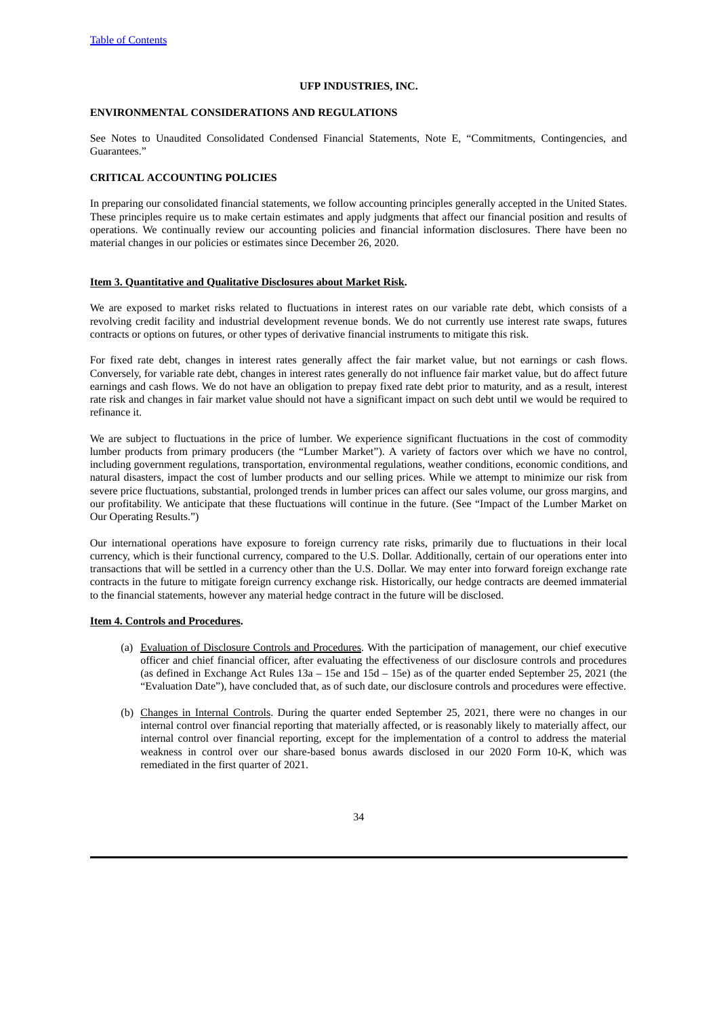## **ENVIRONMENTAL CONSIDERATIONS AND REGULATIONS**

See Notes to Unaudited Consolidated Condensed Financial Statements, Note E, "Commitments, Contingencies, and Guarantees."

## **CRITICAL ACCOUNTING POLICIES**

In preparing our consolidated financial statements, we follow accounting principles generally accepted in the United States. These principles require us to make certain estimates and apply judgments that affect our financial position and results of operations. We continually review our accounting policies and financial information disclosures. There have been no material changes in our policies or estimates since December 26, 2020.

#### <span id="page-33-0"></span>**Item 3. Quantitative and Qualitative Disclosures about Market Risk.**

We are exposed to market risks related to fluctuations in interest rates on our variable rate debt, which consists of a revolving credit facility and industrial development revenue bonds. We do not currently use interest rate swaps, futures contracts or options on futures, or other types of derivative financial instruments to mitigate this risk.

For fixed rate debt, changes in interest rates generally affect the fair market value, but not earnings or cash flows. Conversely, for variable rate debt, changes in interest rates generally do not influence fair market value, but do affect future earnings and cash flows. We do not have an obligation to prepay fixed rate debt prior to maturity, and as a result, interest rate risk and changes in fair market value should not have a significant impact on such debt until we would be required to refinance it.

We are subject to fluctuations in the price of lumber. We experience significant fluctuations in the cost of commodity lumber products from primary producers (the "Lumber Market"). A variety of factors over which we have no control, including government regulations, transportation, environmental regulations, weather conditions, economic conditions, and natural disasters, impact the cost of lumber products and our selling prices. While we attempt to minimize our risk from severe price fluctuations, substantial, prolonged trends in lumber prices can affect our sales volume, our gross margins, and our profitability. We anticipate that these fluctuations will continue in the future. (See "Impact of the Lumber Market on Our Operating Results.")

Our international operations have exposure to foreign currency rate risks, primarily due to fluctuations in their local currency, which is their functional currency, compared to the U.S. Dollar. Additionally, certain of our operations enter into transactions that will be settled in a currency other than the U.S. Dollar. We may enter into forward foreign exchange rate contracts in the future to mitigate foreign currency exchange risk. Historically, our hedge contracts are deemed immaterial to the financial statements, however any material hedge contract in the future will be disclosed.

#### <span id="page-33-1"></span>**Item 4. Controls and Procedures.**

- (a) Evaluation of Disclosure Controls and Procedures. With the participation of management, our chief executive officer and chief financial officer, after evaluating the effectiveness of our disclosure controls and procedures (as defined in Exchange Act Rules 13a – 15e and 15d – 15e) as of the quarter ended September 25, 2021 (the "Evaluation Date"), have concluded that, as of such date, our disclosure controls and procedures were effective.
- (b) Changes in Internal Controls. During the quarter ended September 25, 2021, there were no changes in our internal control over financial reporting that materially affected, or is reasonably likely to materially affect, our internal control over financial reporting, except for the implementation of a control to address the material weakness in control over our share-based bonus awards disclosed in our 2020 Form 10-K, which was remediated in the first quarter of 2021.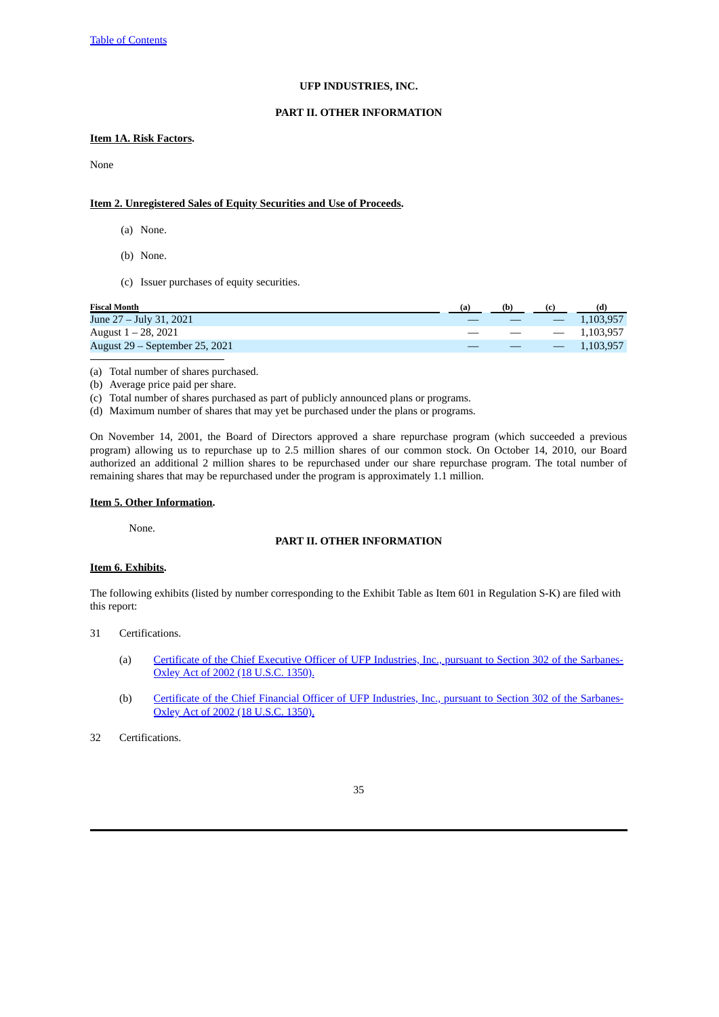# **PART II. OTHER INFORMATION**

## <span id="page-34-0"></span>**Item 1A. Risk Factors.**

None

# <span id="page-34-1"></span>**Item 2. Unregistered Sales of Equity Securities and Use of Proceeds.**

- (a) None.
- (b) None.
- (c) Issuer purchases of equity securities.

| <b>Fiscal Month</b>            | (D) |               |
|--------------------------------|-----|---------------|
| June 27 – July 31, 2021        |     | 1.103.957     |
| August $1 - 28$ , 2021         |     | $- 1.103.957$ |
| August 29 – September 25, 2021 |     | 1.103.957     |

(a) Total number of shares purchased.

- (b) Average price paid per share.
- (c) Total number of shares purchased as part of publicly announced plans or programs.
- (d) Maximum number of shares that may yet be purchased under the plans or programs.

On November 14, 2001, the Board of Directors approved a share repurchase program (which succeeded a previous program) allowing us to repurchase up to 2.5 million shares of our common stock. On October 14, 2010, our Board authorized an additional 2 million shares to be repurchased under our share repurchase program. The total number of remaining shares that may be repurchased under the program is approximately 1.1 million.

#### <span id="page-34-2"></span>**Item 5. Other Information.**

None.

# **PART II. OTHER INFORMATION**

### <span id="page-34-3"></span>**Item 6. Exhibits.**

The following exhibits (listed by number corresponding to the Exhibit Table as Item 601 in Regulation S-K) are filed with this report:

- 31 Certifications.
	- (a) [Certificate](#page-37-0) of the Chief Executive Officer of UFP Industries, Inc., pursuant to Section 302 of the Sarbanes-Oxley Act of 2002 (18 U.S.C. 1350).
	- (b) [Certificate](#page-38-0) of the Chief Financial Officer of UFP Industries, Inc., pursuant to Section 302 of the Sarbanes-Oxley Act of 2002 (18 U.S.C. 1350).
- 32 Certifications.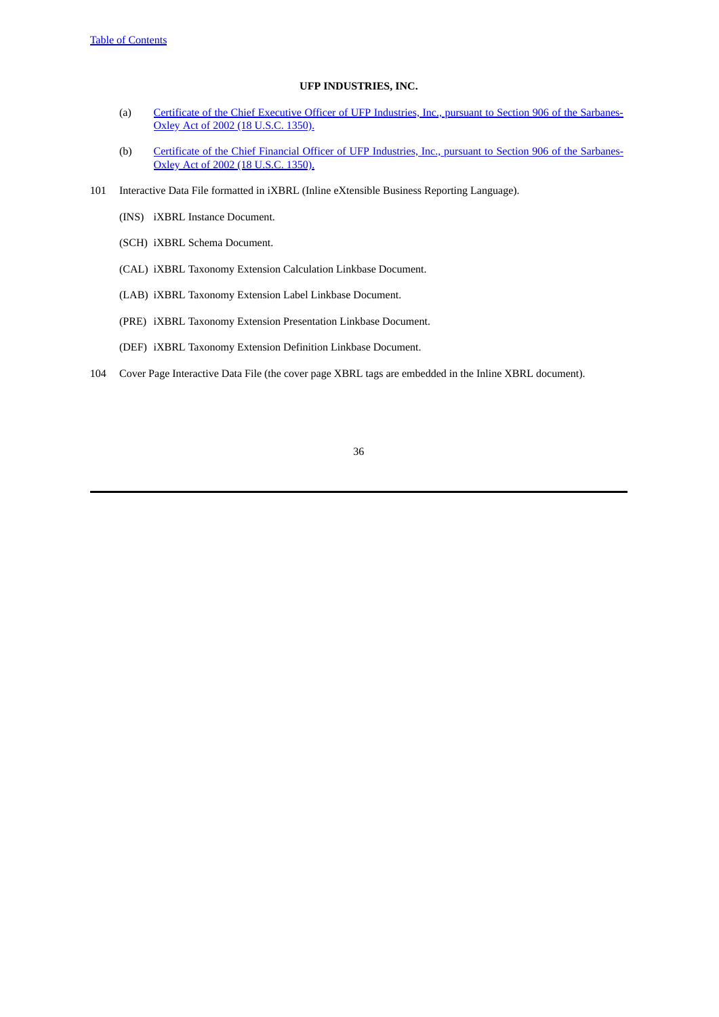- (a) [Certificate](#page-39-0) of the Chief Executive Officer of UFP Industries, Inc., pursuant to Section 906 of the Sarbanes-Oxley Act of 2002 (18 U.S.C. 1350).
- (b) [Certificate](#page-40-0) of the Chief Financial Officer of UFP Industries, Inc., pursuant to Section 906 of the Sarbanes-Oxley Act of 2002 (18 U.S.C. 1350).
- 101 Interactive Data File formatted in iXBRL (Inline eXtensible Business Reporting Language).
	- (INS) iXBRL Instance Document.
	- (SCH) iXBRL Schema Document.
	- (CAL) iXBRL Taxonomy Extension Calculation Linkbase Document.
	- (LAB) iXBRL Taxonomy Extension Label Linkbase Document.
	- (PRE) iXBRL Taxonomy Extension Presentation Linkbase Document.
	- (DEF) iXBRL Taxonomy Extension Definition Linkbase Document.
- 104 Cover Page Interactive Data File (the cover page XBRL tags are embedded in the Inline XBRL document).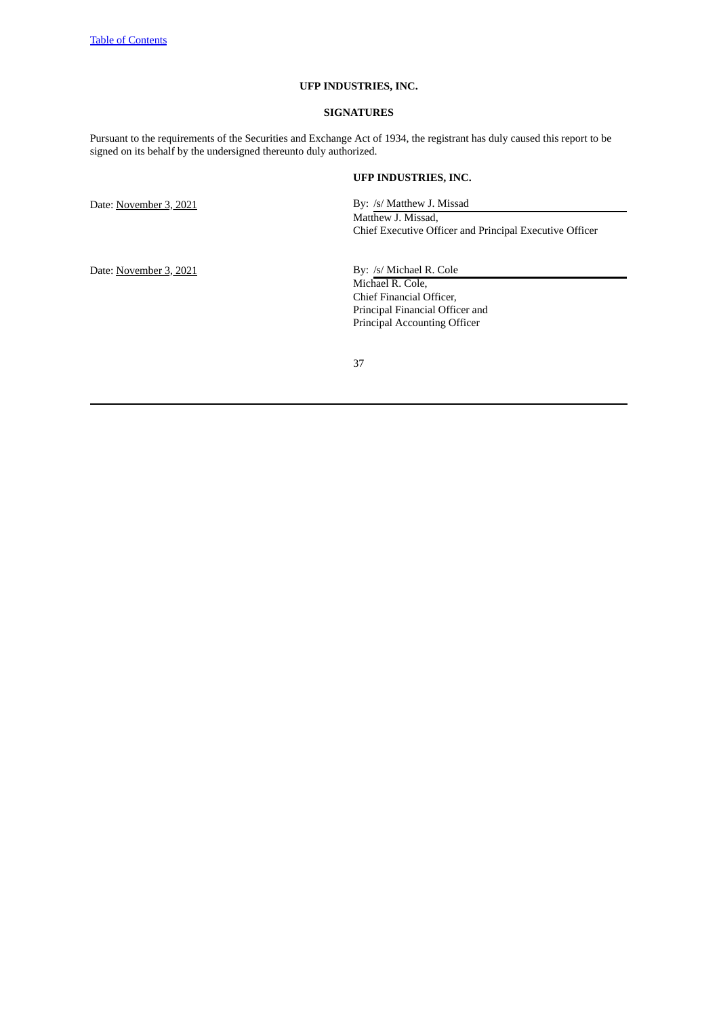## **SIGNATURES**

Pursuant to the requirements of the Securities and Exchange Act of 1934, the registrant has duly caused this report to be signed on its behalf by the undersigned thereunto duly authorized.

# **UFP INDUSTRIES, INC.**

Date: November 3, 2021 By: /s/ Matthew J. Missad

Matthew J. Missad, Chief Executive Officer and Principal Executive Officer

Date: November 3, 2021 By: /s/ Michael R. Cole Michael R. Cole, Chief Financial Officer, Principal Financial Officer and Principal Accounting Officer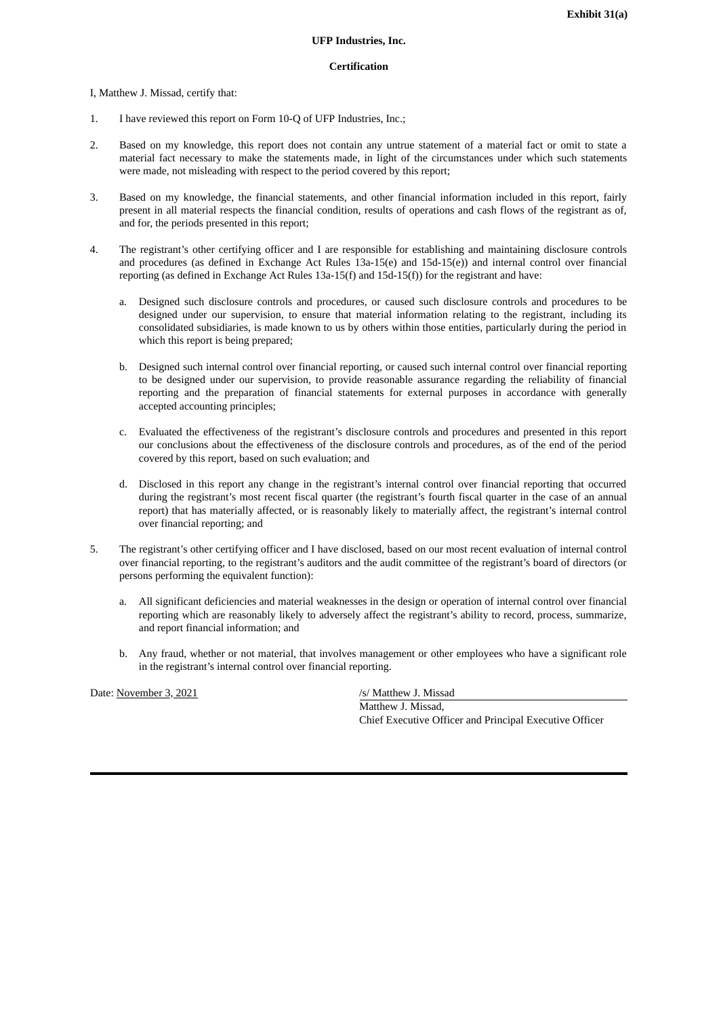#### **Certification**

<span id="page-37-0"></span>I, Matthew J. Missad, certify that:

- 1. I have reviewed this report on Form 10-Q of UFP Industries, Inc.;
- 2. Based on my knowledge, this report does not contain any untrue statement of a material fact or omit to state a material fact necessary to make the statements made, in light of the circumstances under which such statements were made, not misleading with respect to the period covered by this report;
- 3. Based on my knowledge, the financial statements, and other financial information included in this report, fairly present in all material respects the financial condition, results of operations and cash flows of the registrant as of, and for, the periods presented in this report;
- 4. The registrant's other certifying officer and I are responsible for establishing and maintaining disclosure controls and procedures (as defined in Exchange Act Rules 13a-15(e) and 15d-15(e)) and internal control over financial reporting (as defined in Exchange Act Rules 13a-15(f) and 15d-15(f)) for the registrant and have:
	- a. Designed such disclosure controls and procedures, or caused such disclosure controls and procedures to be designed under our supervision, to ensure that material information relating to the registrant, including its consolidated subsidiaries, is made known to us by others within those entities, particularly during the period in which this report is being prepared;
	- b. Designed such internal control over financial reporting, or caused such internal control over financial reporting to be designed under our supervision, to provide reasonable assurance regarding the reliability of financial reporting and the preparation of financial statements for external purposes in accordance with generally accepted accounting principles;
	- c. Evaluated the effectiveness of the registrant's disclosure controls and procedures and presented in this report our conclusions about the effectiveness of the disclosure controls and procedures, as of the end of the period covered by this report, based on such evaluation; and
	- d. Disclosed in this report any change in the registrant's internal control over financial reporting that occurred during the registrant's most recent fiscal quarter (the registrant's fourth fiscal quarter in the case of an annual report) that has materially affected, or is reasonably likely to materially affect, the registrant's internal control over financial reporting; and
- 5. The registrant's other certifying officer and I have disclosed, based on our most recent evaluation of internal control over financial reporting, to the registrant's auditors and the audit committee of the registrant's board of directors (or persons performing the equivalent function):
	- a. All significant deficiencies and material weaknesses in the design or operation of internal control over financial reporting which are reasonably likely to adversely affect the registrant's ability to record, process, summarize, and report financial information; and
	- b. Any fraud, whether or not material, that involves management or other employees who have a significant role in the registrant's internal control over financial reporting.

Date: November 3, 2021 /s/ Matthew J. Missad

Matthew J. Missad, Chief Executive Officer and Principal Executive Officer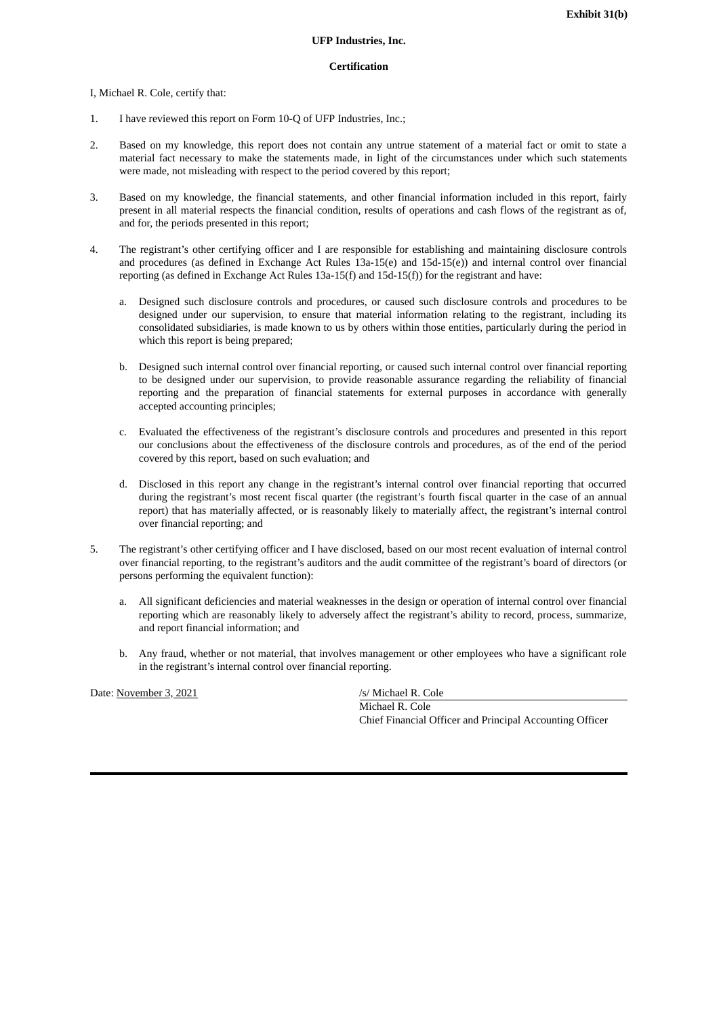#### **Certification**

<span id="page-38-0"></span>I, Michael R. Cole, certify that:

- 1. I have reviewed this report on Form 10-Q of UFP Industries, Inc.;
- 2. Based on my knowledge, this report does not contain any untrue statement of a material fact or omit to state a material fact necessary to make the statements made, in light of the circumstances under which such statements were made, not misleading with respect to the period covered by this report;
- 3. Based on my knowledge, the financial statements, and other financial information included in this report, fairly present in all material respects the financial condition, results of operations and cash flows of the registrant as of, and for, the periods presented in this report;
- 4. The registrant's other certifying officer and I are responsible for establishing and maintaining disclosure controls and procedures (as defined in Exchange Act Rules 13a-15(e) and 15d-15(e)) and internal control over financial reporting (as defined in Exchange Act Rules 13a-15(f) and 15d-15(f)) for the registrant and have:
	- a. Designed such disclosure controls and procedures, or caused such disclosure controls and procedures to be designed under our supervision, to ensure that material information relating to the registrant, including its consolidated subsidiaries, is made known to us by others within those entities, particularly during the period in which this report is being prepared;
	- b. Designed such internal control over financial reporting, or caused such internal control over financial reporting to be designed under our supervision, to provide reasonable assurance regarding the reliability of financial reporting and the preparation of financial statements for external purposes in accordance with generally accepted accounting principles;
	- c. Evaluated the effectiveness of the registrant's disclosure controls and procedures and presented in this report our conclusions about the effectiveness of the disclosure controls and procedures, as of the end of the period covered by this report, based on such evaluation; and
	- d. Disclosed in this report any change in the registrant's internal control over financial reporting that occurred during the registrant's most recent fiscal quarter (the registrant's fourth fiscal quarter in the case of an annual report) that has materially affected, or is reasonably likely to materially affect, the registrant's internal control over financial reporting; and
- 5. The registrant's other certifying officer and I have disclosed, based on our most recent evaluation of internal control over financial reporting, to the registrant's auditors and the audit committee of the registrant's board of directors (or persons performing the equivalent function):
	- a. All significant deficiencies and material weaknesses in the design or operation of internal control over financial reporting which are reasonably likely to adversely affect the registrant's ability to record, process, summarize, and report financial information; and
	- b. Any fraud, whether or not material, that involves management or other employees who have a significant role in the registrant's internal control over financial reporting.

Date: November 3, 2021 /s/ Michael R. Cole

Michael R. Cole

Chief Financial Officer and Principal Accounting Officer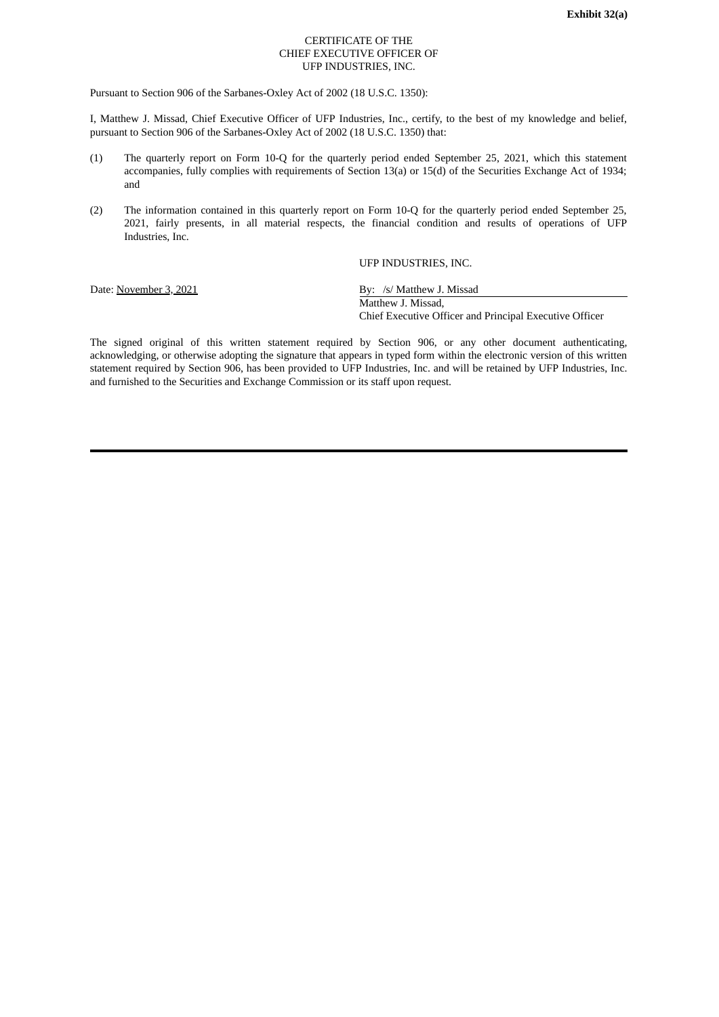### CERTIFICATE OF THE CHIEF EXECUTIVE OFFICER OF UFP INDUSTRIES, INC.

<span id="page-39-0"></span>Pursuant to Section 906 of the Sarbanes-Oxley Act of 2002 (18 U.S.C. 1350):

I, Matthew J. Missad, Chief Executive Officer of UFP Industries, Inc., certify, to the best of my knowledge and belief, pursuant to Section 906 of the Sarbanes-Oxley Act of 2002 (18 U.S.C. 1350) that:

- (1) The quarterly report on Form 10-Q for the quarterly period ended September 25, 2021, which this statement accompanies, fully complies with requirements of Section 13(a) or 15(d) of the Securities Exchange Act of 1934; and
- (2) The information contained in this quarterly report on Form 10-Q for the quarterly period ended September 25, 2021, fairly presents, in all material respects, the financial condition and results of operations of UFP Industries, Inc.

UFP INDUSTRIES, INC.

Date: November 3, 2021 By: /s/ Matthew J. Missad

Matthew J. Missad, Chief Executive Officer and Principal Executive Officer

The signed original of this written statement required by Section 906, or any other document authenticating, acknowledging, or otherwise adopting the signature that appears in typed form within the electronic version of this written statement required by Section 906, has been provided to UFP Industries, Inc. and will be retained by UFP Industries, Inc. and furnished to the Securities and Exchange Commission or its staff upon request.